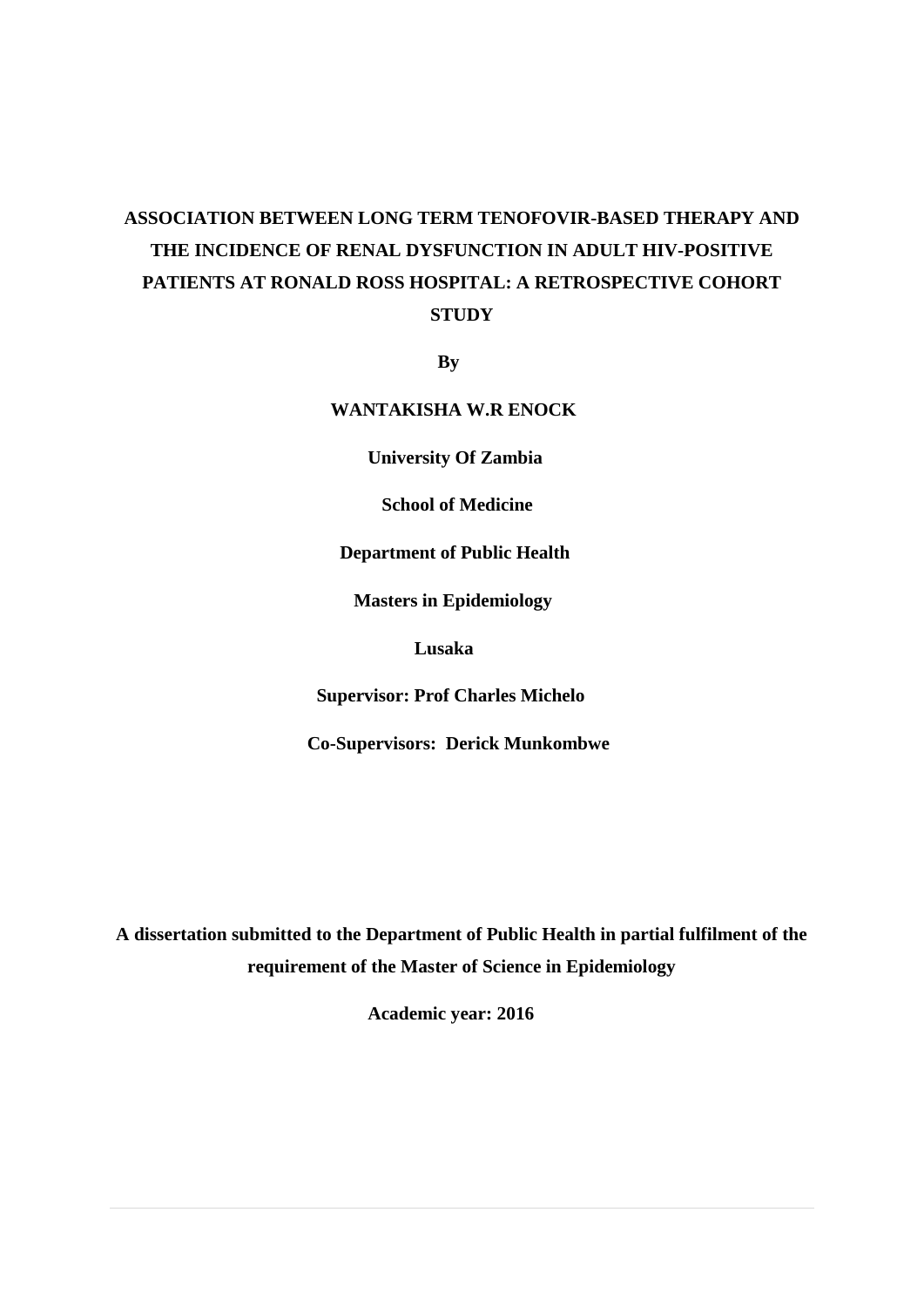# **ASSOCIATION BETWEEN LONG TERM TENOFOVIR-BASED THERAPY AND THE INCIDENCE OF RENAL DYSFUNCTION IN ADULT HIV-POSITIVE PATIENTS AT RONALD ROSS HOSPITAL: A RETROSPECTIVE COHORT STUDY**

**By** 

 **WANTAKISHA W.R ENOCK** 

 **University Of Zambia**

 **School of Medicine**

 **Department of Public Health**

 **Masters in Epidemiology** 

 **Lusaka**

 **Supervisor: Prof Charles Michelo** 

 **Co-Supervisors: Derick Munkombwe** 

**A dissertation submitted to the Department of Public Health in partial fulfilment of the requirement of the Master of Science in Epidemiology**

 **Academic year: 2016**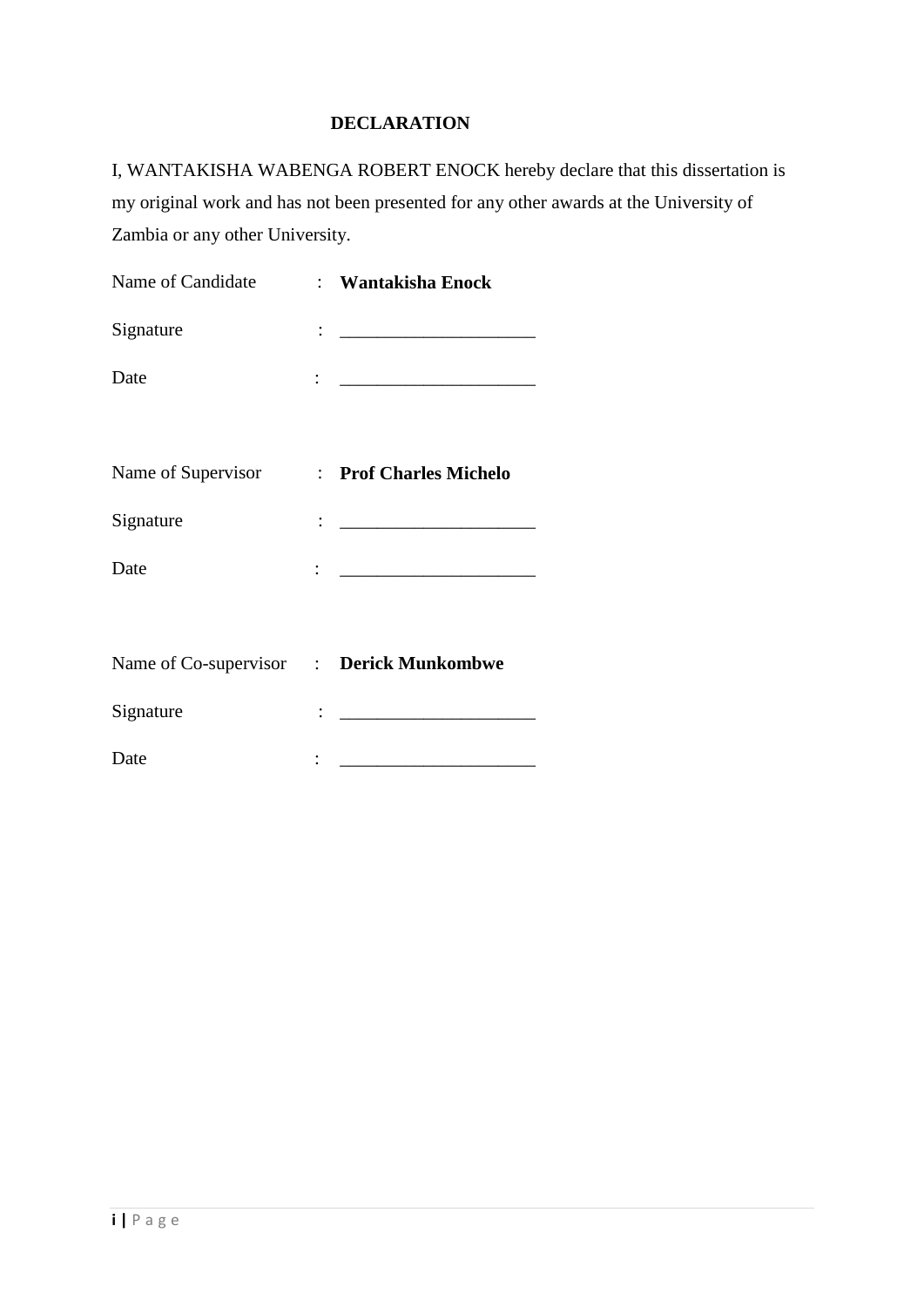# **DECLARATION**

I, WANTAKISHA WABENGA ROBERT ENOCK hereby declare that this dissertation is my original work and has not been presented for any other awards at the University of Zambia or any other University.

| Name of Candidate                         | : Wantakisha Enock                                                   |
|-------------------------------------------|----------------------------------------------------------------------|
| Signature                                 |                                                                      |
| Date                                      | : <u>____________________</u>                                        |
| Name of Supervisor : Prof Charles Michelo |                                                                      |
| Signature                                 | <u>: ______________________</u>                                      |
| Date                                      | : <u>_______________________</u>                                     |
| Name of Co-supervisor : Derick Munkombwe  |                                                                      |
| Signature                                 | $\colon$ . The contract of the contract of $\mathcal{L}_\mathcal{A}$ |
| Date                                      |                                                                      |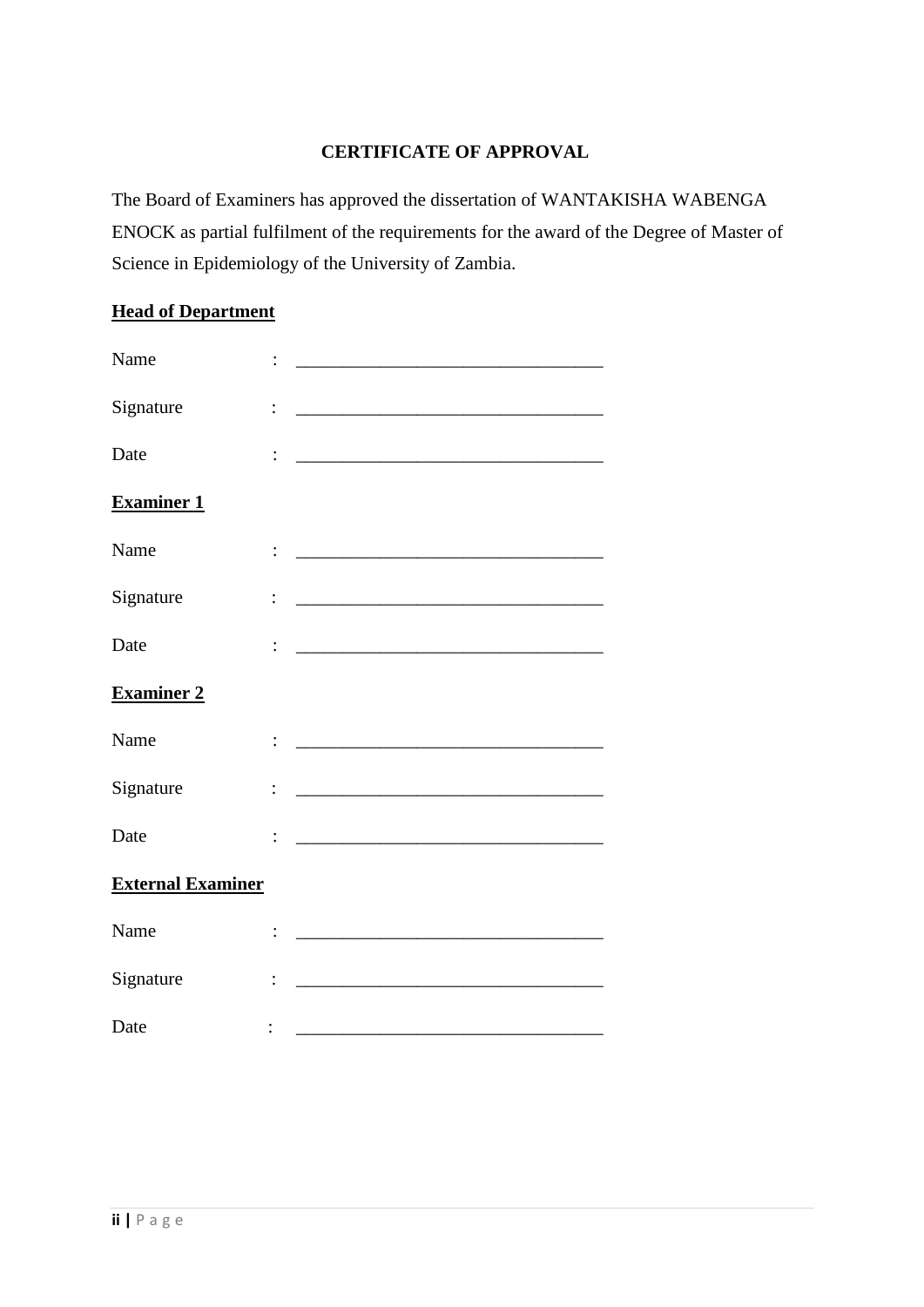# **CERTIFICATE OF APPROVAL**

The Board of Examiners has approved the dissertation of WANTAKISHA WABENGA ENOCK as partial fulfilment of the requirements for the award of the Degree of Master of Science in Epidemiology of the University of Zambia.

# **Head of Department**

| Name                     |                |                                                                   |
|--------------------------|----------------|-------------------------------------------------------------------|
| Signature                |                |                                                                   |
| Date                     |                | <u> 1989 - Jan James James, politik eta idazleari (h. 1989).</u>  |
| <b>Examiner 1</b>        |                |                                                                   |
| Name                     |                | <u> 1989 - Johann Barn, mars an t-Amerikaansk politiker (</u>     |
| Signature                | $\ddot{\cdot}$ | <u> 2008 - Jan James James Barnett, amerikansk politik (d. 18</u> |
| Date                     |                | <u> 2000 - Jan James James Barnett, amerikansk politik (</u>      |
| <b>Examiner 2</b>        |                |                                                                   |
| Name                     |                | <u> 1980 - Jan James James Barnett, fransk politik (d. 1980)</u>  |
| Signature                |                |                                                                   |
| Date                     |                |                                                                   |
| <b>External Examiner</b> |                |                                                                   |
| Name                     |                |                                                                   |
| Signature                | $\ddot{\cdot}$ |                                                                   |
| Date                     |                |                                                                   |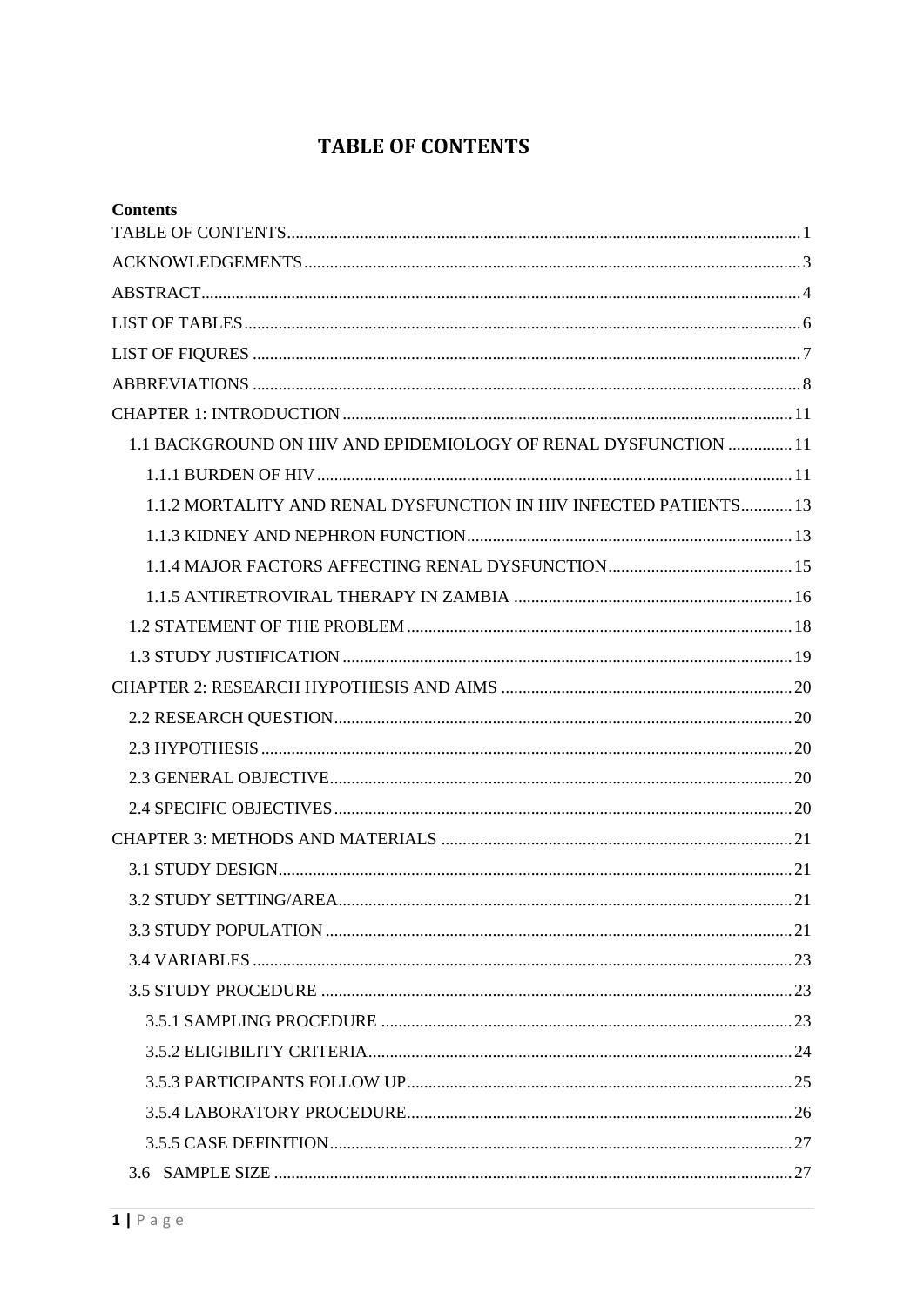# <span id="page-3-0"></span>**TABLE OF CONTENTS**

| <b>Contents</b>                                                   |    |
|-------------------------------------------------------------------|----|
|                                                                   |    |
|                                                                   |    |
|                                                                   |    |
|                                                                   |    |
|                                                                   |    |
|                                                                   |    |
| 1.1 BACKGROUND ON HIV AND EPIDEMIOLOGY OF RENAL DYSFUNCTION  11   |    |
|                                                                   |    |
| 1.1.2 MORTALITY AND RENAL DYSFUNCTION IN HIV INFECTED PATIENTS 13 |    |
|                                                                   |    |
|                                                                   |    |
|                                                                   |    |
|                                                                   |    |
|                                                                   |    |
|                                                                   |    |
|                                                                   |    |
|                                                                   |    |
|                                                                   |    |
|                                                                   |    |
|                                                                   |    |
|                                                                   |    |
|                                                                   | 21 |
|                                                                   |    |
|                                                                   |    |
|                                                                   |    |
|                                                                   |    |
|                                                                   |    |
|                                                                   |    |
|                                                                   |    |
|                                                                   |    |
|                                                                   |    |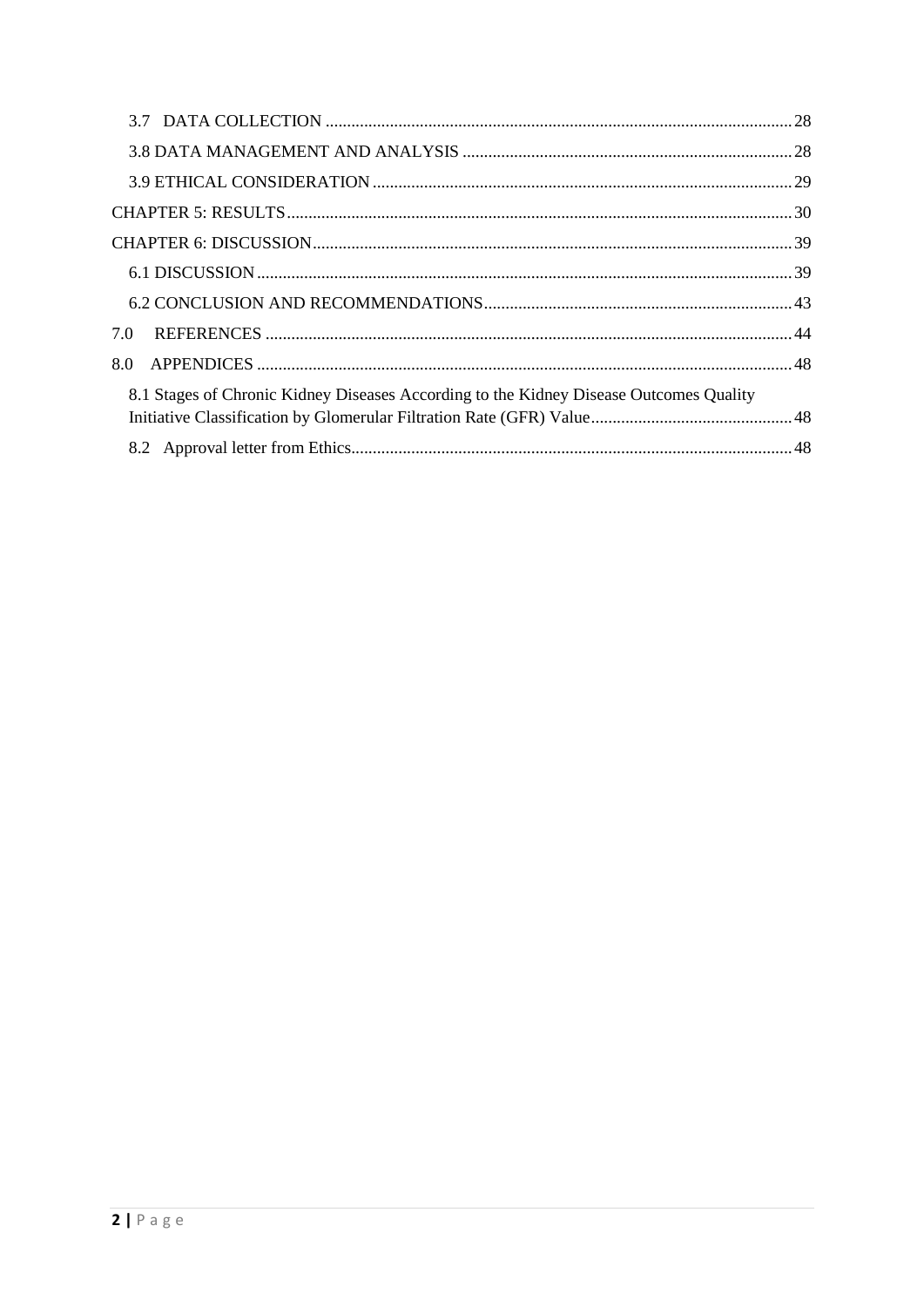| 7.0                                                                                    |  |
|----------------------------------------------------------------------------------------|--|
| 8.0                                                                                    |  |
| 8.1 Stages of Chronic Kidney Diseases According to the Kidney Disease Outcomes Quality |  |
|                                                                                        |  |
|                                                                                        |  |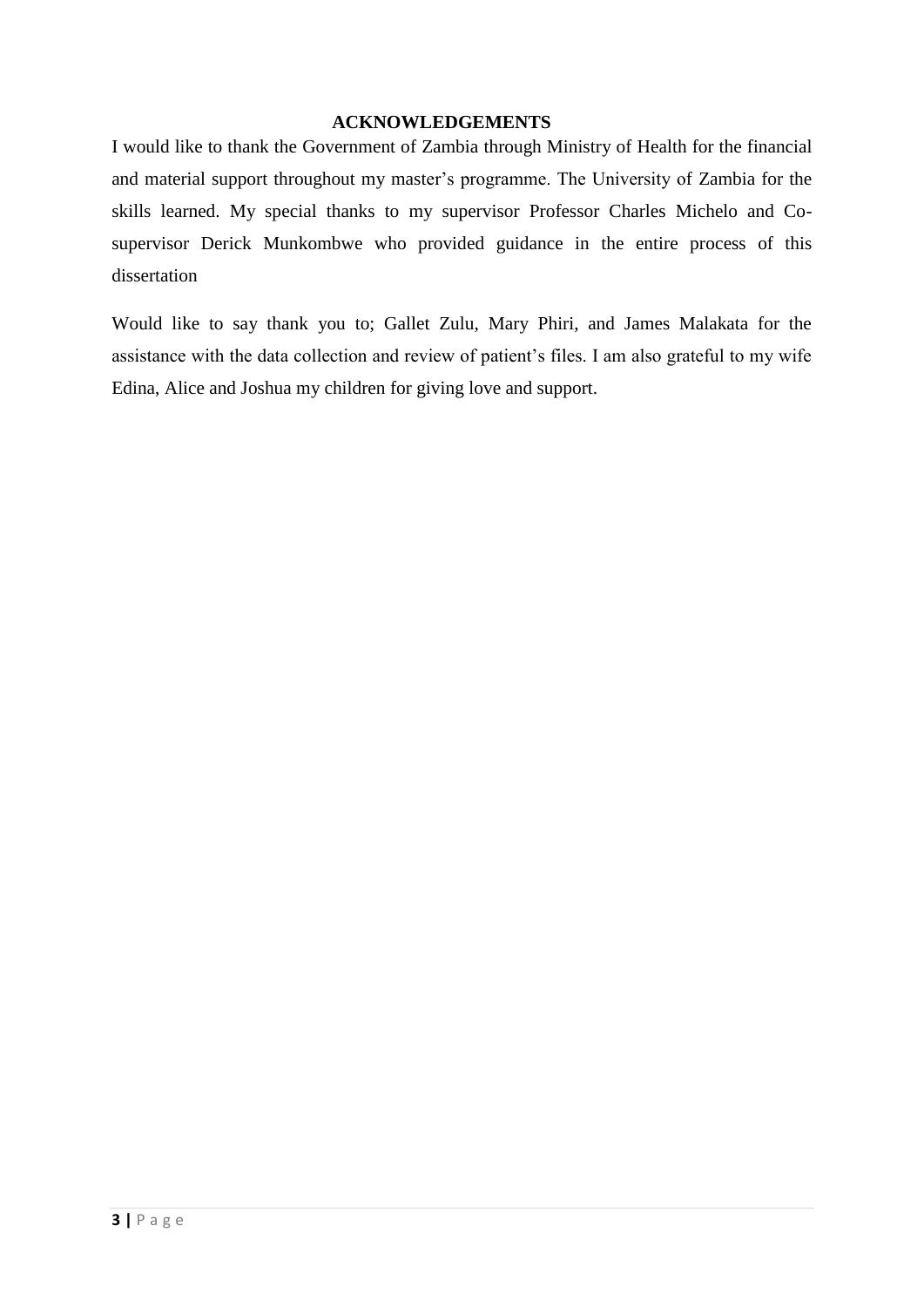### <span id="page-5-0"></span> **ACKNOWLEDGEMENTS**

I would like to thank the Government of Zambia through Ministry of Health for the financial and material support throughout my master's programme. The University of Zambia for the skills learned. My special thanks to my supervisor Professor Charles Michelo and Cosupervisor Derick Munkombwe who provided guidance in the entire process of this dissertation

Would like to say thank you to; Gallet Zulu, Mary Phiri, and James Malakata for the assistance with the data collection and review of patient's files. I am also grateful to my wife Edina, Alice and Joshua my children for giving love and support.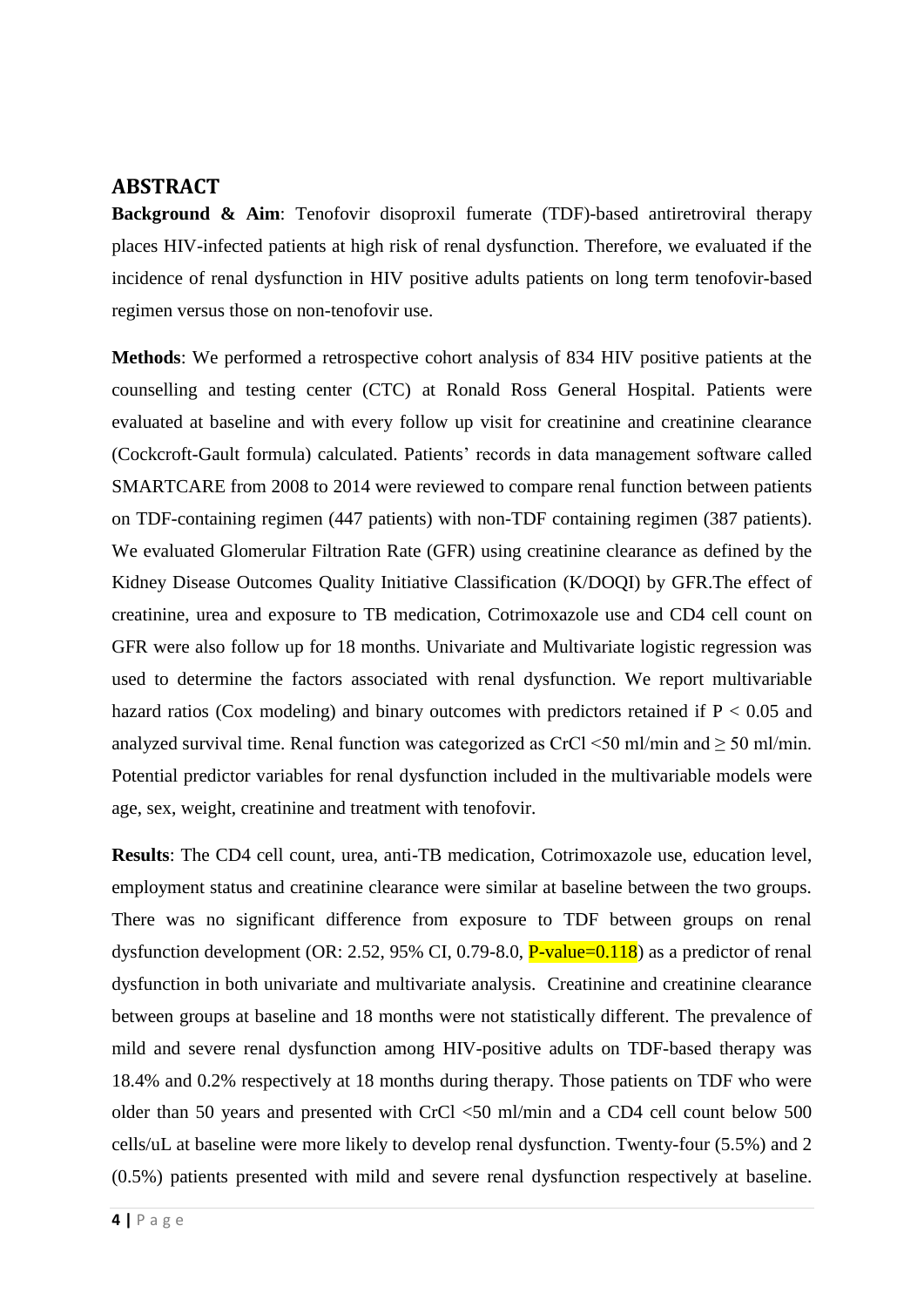# <span id="page-6-0"></span>**ABSTRACT**

**Background & Aim**: Tenofovir disoproxil fumerate (TDF)-based antiretroviral therapy places HIV-infected patients at high risk of renal dysfunction. Therefore, we evaluated if the incidence of renal dysfunction in HIV positive adults patients on long term tenofovir-based regimen versus those on non-tenofovir use.

**Methods**: We performed a retrospective cohort analysis of 834 HIV positive patients at the counselling and testing center (CTC) at Ronald Ross General Hospital. Patients were evaluated at baseline and with every follow up visit for creatinine and creatinine clearance (Cockcroft-Gault formula) calculated. Patients' records in data management software called SMARTCARE from 2008 to 2014 were reviewed to compare renal function between patients on TDF-containing regimen (447 patients) with non-TDF containing regimen (387 patients). We evaluated Glomerular Filtration Rate (GFR) using creatinine clearance as defined by the Kidney Disease Outcomes Quality Initiative Classification (K/DOQI) by GFR.The effect of creatinine, urea and exposure to TB medication, Cotrimoxazole use and CD4 cell count on GFR were also follow up for 18 months. Univariate and Multivariate logistic regression was used to determine the factors associated with renal dysfunction. We report multivariable hazard ratios (Cox modeling) and binary outcomes with predictors retained if  $P < 0.05$  and analyzed survival time. Renal function was categorized as CrCl <50 ml/min and  $\geq$  50 ml/min. Potential predictor variables for renal dysfunction included in the multivariable models were age, sex, weight, creatinine and treatment with tenofovir.

**Results**: The CD4 cell count, urea, anti-TB medication, Cotrimoxazole use, education level, employment status and creatinine clearance were similar at baseline between the two groups. There was no significant difference from exposure to TDF between groups on renal dysfunction development (OR: 2.52, 95% CI, 0.79-8.0,  $P$ -value=0.118) as a predictor of renal dysfunction in both univariate and multivariate analysis. Creatinine and creatinine clearance between groups at baseline and 18 months were not statistically different. The prevalence of mild and severe renal dysfunction among HIV-positive adults on TDF-based therapy was 18.4% and 0.2% respectively at 18 months during therapy. Those patients on TDF who were older than 50 years and presented with CrCl <50 ml/min and a CD4 cell count below 500 cells/uL at baseline were more likely to develop renal dysfunction. Twenty-four (5.5%) and 2 (0.5%) patients presented with mild and severe renal dysfunction respectively at baseline.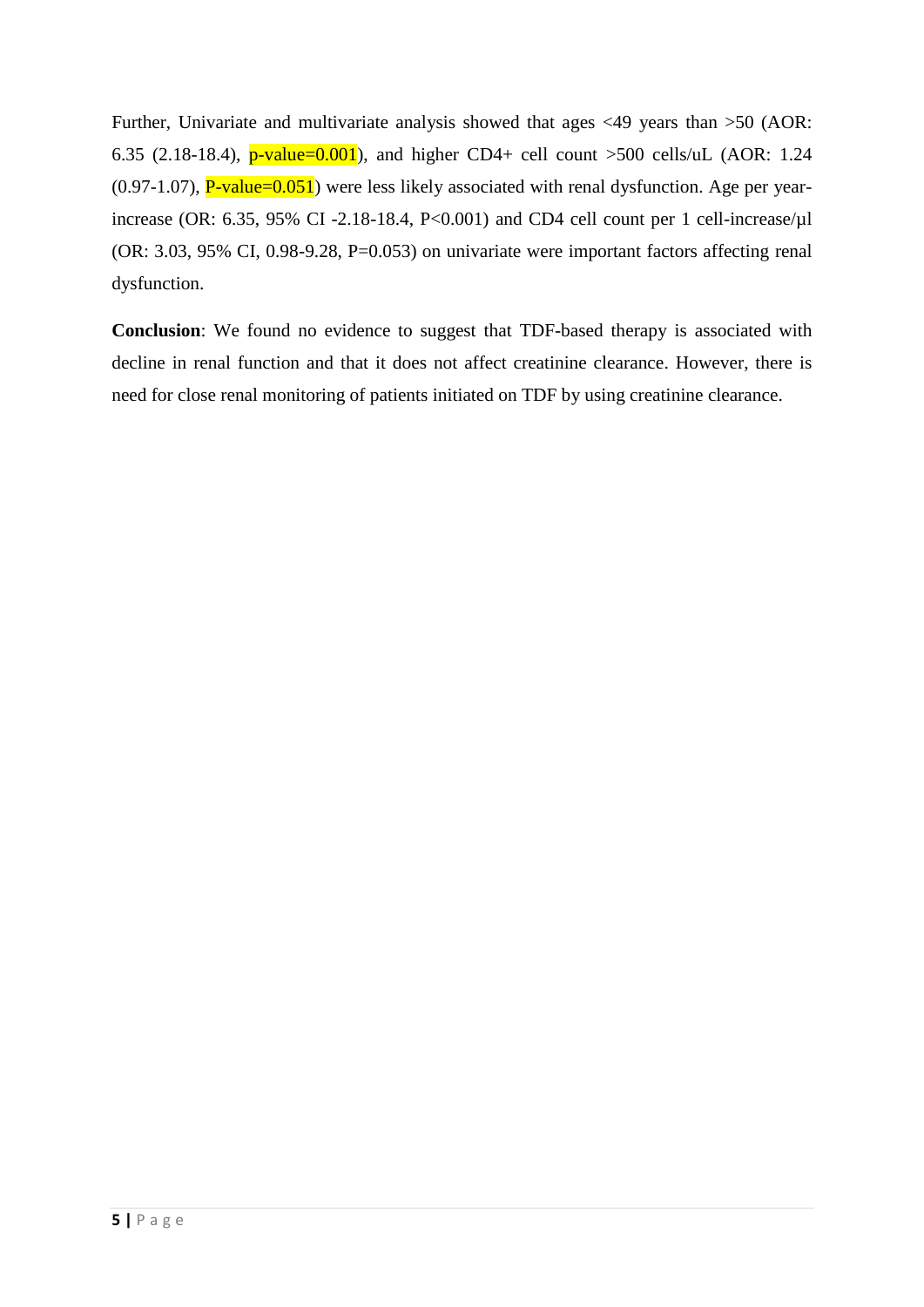Further, Univariate and multivariate analysis showed that ages <49 years than >50 (AOR: 6.35 (2.18-18.4),  $p$ -value=0.001), and higher CD4+ cell count >500 cells/uL (AOR: 1.24  $(0.97-1.07)$ ,  $P$ -value= $0.051$ ) were less likely associated with renal dysfunction. Age per yearincrease (OR: 6.35, 95% CI -2.18-18.4, P<0.001) and CD4 cell count per 1 cell-increase/µl (OR: 3.03, 95% CI, 0.98-9.28, P=0.053) on univariate were important factors affecting renal dysfunction.

**Conclusion**: We found no evidence to suggest that TDF-based therapy is associated with decline in renal function and that it does not affect creatinine clearance. However, there is need for close renal monitoring of patients initiated on TDF by using creatinine clearance.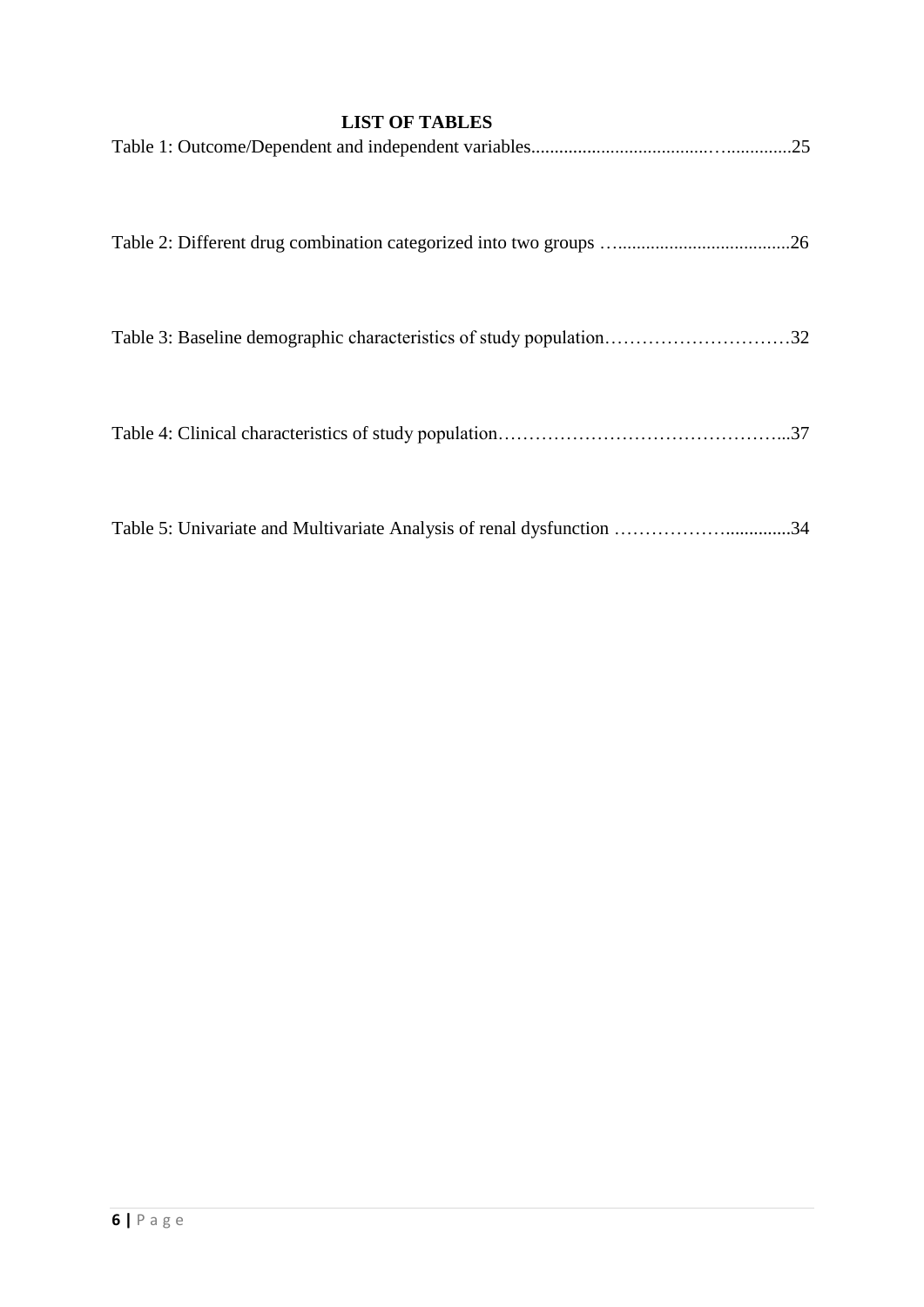# **LIST OF TABLES**

<span id="page-8-0"></span>

|                                                                       | .25 |
|-----------------------------------------------------------------------|-----|
|                                                                       |     |
|                                                                       | .26 |
|                                                                       |     |
|                                                                       |     |
|                                                                       |     |
|                                                                       | .37 |
|                                                                       |     |
| Table 5: Univariate and Multivariate Analysis of renal dysfunction 34 |     |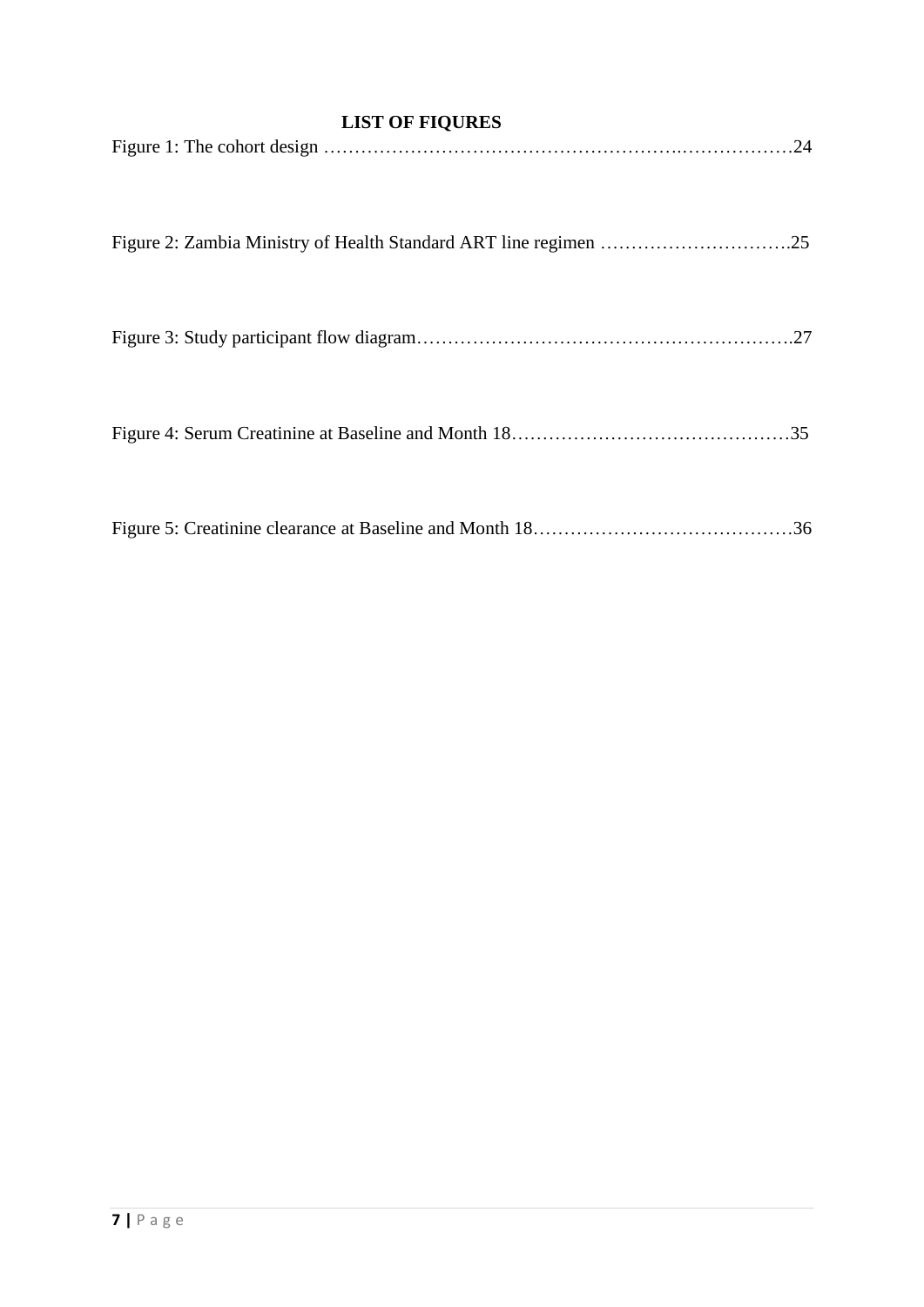# <span id="page-9-0"></span> **LIST OF FIQURES**

| .24 |
|-----|
|     |
| .27 |
|     |
| .36 |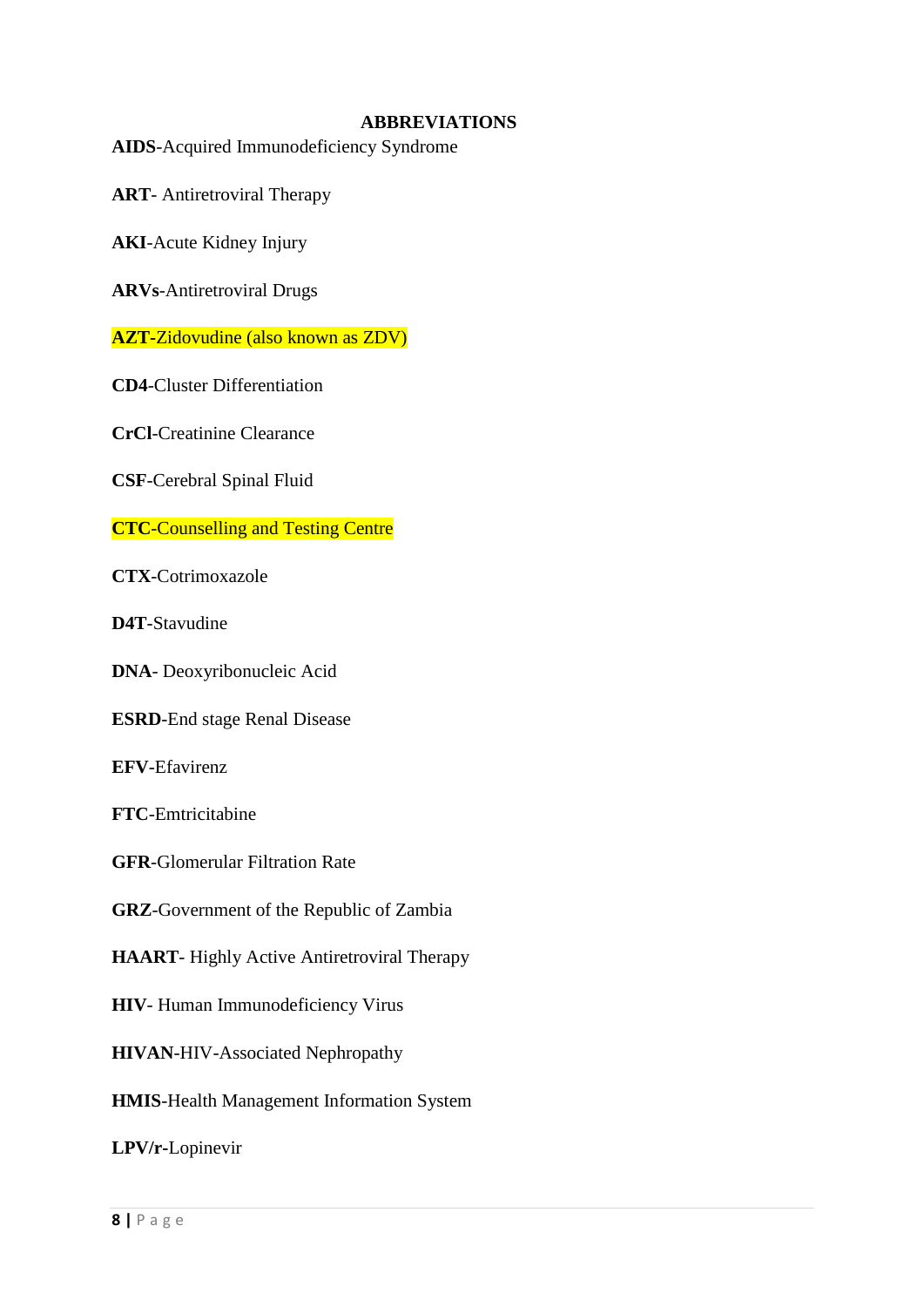### <span id="page-10-0"></span> **ABBREVIATIONS**

**AIDS**-Acquired Immunodeficiency Syndrome

**ART**- Antiretroviral Therapy

**AKI**-Acute Kidney Injury

**ARVs**-Antiretroviral Drugs

**AZT-**Zidovudine (also known as ZDV)

**CD4**-Cluster Differentiation

**CrCl**-Creatinine Clearance

**CSF**-Cerebral Spinal Fluid

**CTC**-Counselling and Testing Centre

**CTX**-Cotrimoxazole

**D4T**-Stavudine

**DNA**- Deoxyribonucleic Acid

**ESRD**-End stage Renal Disease

**EFV**-Efavirenz

**FTC**-Emtricitabine

**GFR**-Glomerular Filtration Rate

**GRZ**-Government of the Republic of Zambia

**HAART**- Highly Active Antiretroviral Therapy

**HIV**- Human Immunodeficiency Virus

**HIVAN**-HIV-Associated Nephropathy

**HMIS**-Health Management Information System

**LPV/r-**Lopinevir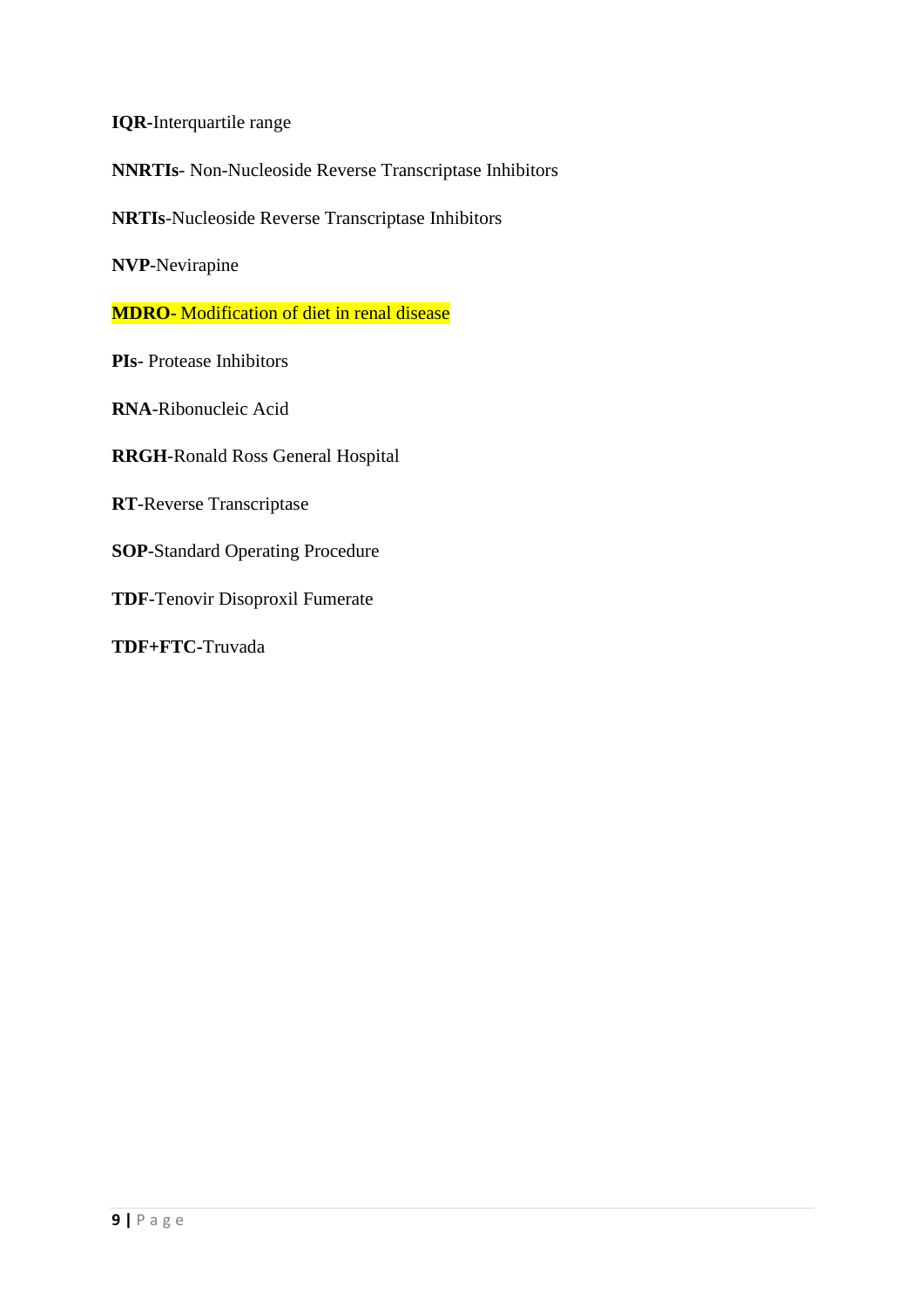**IQR-**Interquartile range

**NNRTIs**- Non-Nucleoside Reverse Transcriptase Inhibitors

**NRTIs**-Nucleoside Reverse Transcriptase Inhibitors

**NVP**-Nevirapine

**MDRO**- Modification of diet in renal disease

**PIs**- Protease Inhibitors

**RNA**-Ribonucleic Acid

**RRGH**-Ronald Ross General Hospital

**RT**-Reverse Transcriptase

**SOP**-Standard Operating Procedure

**TDF**-Tenovir Disoproxil Fumerate

**TDF+FTC-**Truvada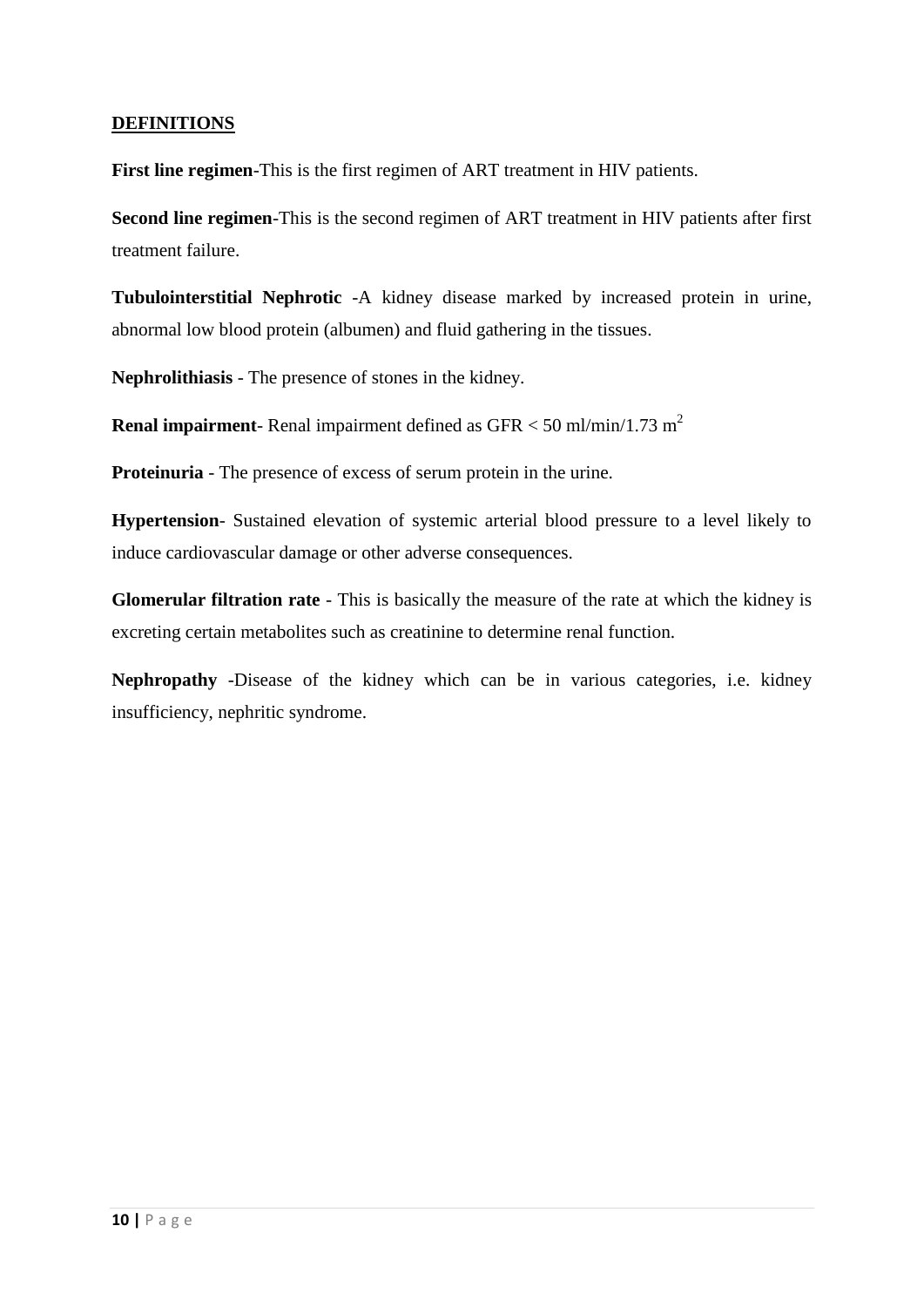# **DEFINITIONS**

**First line regimen**-This is the first regimen of ART treatment in HIV patients.

**Second line regimen**-This is the second regimen of ART treatment in HIV patients after first treatment failure.

**Tubulointerstitial Nephrotic** -A kidney disease marked by increased protein in urine, abnormal low blood protein (albumen) and fluid gathering in the tissues.

**Nephrolithiasis** - The presence of stones in the kidney.

**Renal impairment**- Renal impairment defined as GFR < 50 ml/min/1.73 m<sup>2</sup>

**Proteinuria** - The presence of excess of serum protein in the urine.

**Hypertension**- Sustained elevation of systemic arterial blood pressure to a level likely to induce cardiovascular damage or other adverse consequences.

**Glomerular filtration rate** - This is basically the measure of the rate at which the kidney is excreting certain metabolites such as creatinine to determine renal function.

**Nephropathy** -Disease of the kidney which can be in various categories, i.e. kidney insufficiency, nephritic syndrome.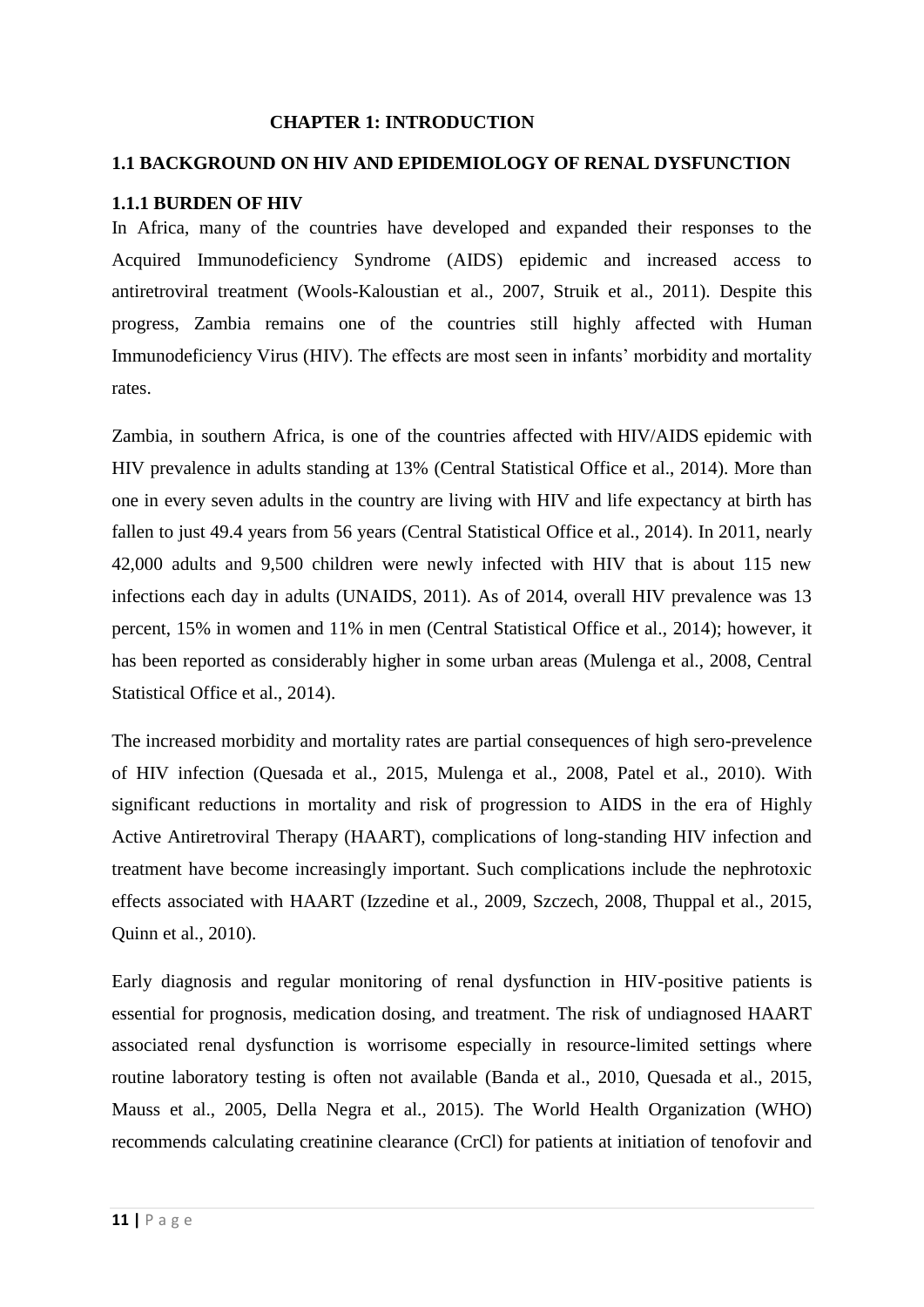#### <span id="page-13-0"></span> **CHAPTER 1: INTRODUCTION**

### <span id="page-13-1"></span>**1.1 BACKGROUND ON HIV AND EPIDEMIOLOGY OF RENAL DYSFUNCTION**

#### <span id="page-13-2"></span>**1.1.1 BURDEN OF HIV**

In Africa, many of the countries have developed and expanded their responses to the Acquired Immunodeficiency Syndrome (AIDS) epidemic and increased access to antiretroviral treatment [\(Wools-Kaloustian et al., 2007,](#page-49-0) [Struik et al., 2011\)](#page-48-0). Despite this progress, Zambia remains one of the countries still highly affected with Human Immunodeficiency Virus (HIV). The effects are most seen in infants' morbidity and mortality rates.

Zambia, in southern Africa, is one of the countries affected with HIV/AIDS epidemic with HIV prevalence in adults standing at 13% [\(Central Statistical Office et al., 2014\)](#page-46-1). More than one in every seven adults in the country are living with HIV and life expectancy at birth has fallen to just 49.4 years from 56 years [\(Central Statistical Office et al., 2014\)](#page-46-1). In 2011, nearly 42,000 adults and 9,500 children were newly infected with HIV that is about 115 new infections each day in adults [\(UNAIDS, 2011\)](#page-49-1). As of 2014, overall HIV prevalence was 13 percent, 15% in women and 11% in men [\(Central Statistical Office et al., 2014\)](#page-46-1); however, it has been reported as considerably higher in some urban areas [\(Mulenga et al., 2008,](#page-48-1) [Central](#page-46-1)  [Statistical Office et al., 2014\)](#page-46-1).

The increased morbidity and mortality rates are partial consequences of high sero-prevelence of HIV infection [\(Quesada et al., 2015,](#page-48-2) [Mulenga et al., 2008,](#page-48-1) [Patel et al., 2010\)](#page-48-3). With significant reductions in mortality and risk of progression to AIDS in the era of Highly Active Antiretroviral Therapy (HAART), complications of long-standing HIV infection and treatment have become increasingly important. Such complications include the nephrotoxic effects associated with HAART [\(Izzedine et al., 2009,](#page-47-0) [Szczech, 2008,](#page-49-2) [Thuppal et al., 2015,](#page-49-3) [Quinn et al., 2010\)](#page-48-4).

Early diagnosis and regular monitoring of renal dysfunction in HIV-positive patients is essential for prognosis, medication dosing, and treatment. The risk of undiagnosed HAART associated renal dysfunction is worrisome especially in resource-limited settings where routine laboratory testing is often not available [\(Banda et al., 2010,](#page-46-2) [Quesada et al., 2015,](#page-48-2) [Mauss et al., 2005,](#page-47-1) [Della Negra et al., 2015\)](#page-46-3). The World Health Organization (WHO) recommends calculating creatinine clearance (CrCl) for patients at initiation of tenofovir and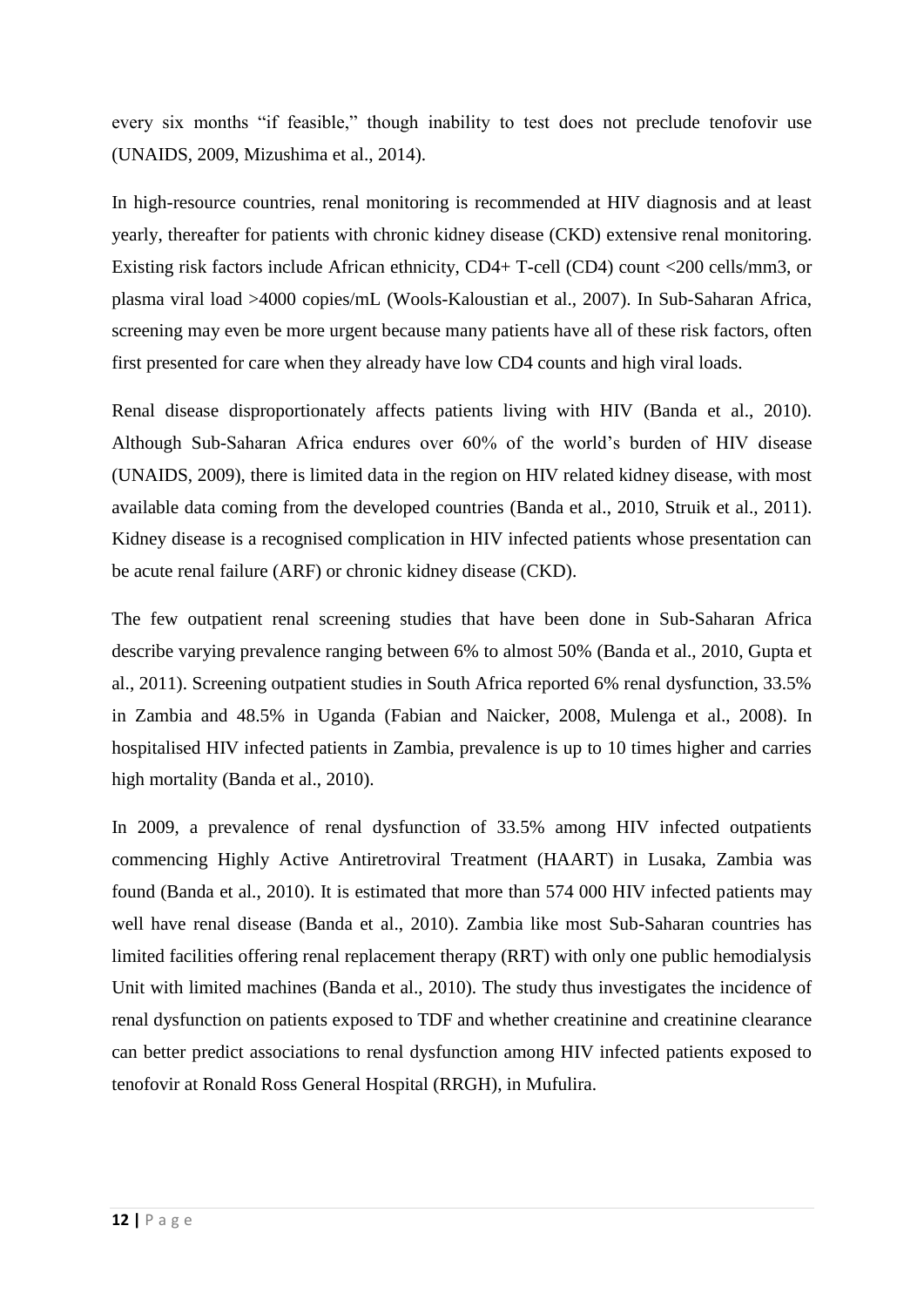every six months "if feasible," though inability to test does not preclude tenofovir use [\(UNAIDS, 2009,](#page-49-4) [Mizushima et al., 2014\)](#page-47-2).

In high-resource countries, renal monitoring is recommended at HIV diagnosis and at least yearly, thereafter for patients with chronic kidney disease (CKD) extensive renal monitoring. Existing risk factors include African ethnicity, CD4+ T-cell (CD4) count <200 cells/mm3, or plasma viral load >4000 copies/mL [\(Wools-Kaloustian et al., 2007\)](#page-49-0). In Sub-Saharan Africa, screening may even be more urgent because many patients have all of these risk factors, often first presented for care when they already have low CD4 counts and high viral loads.

Renal disease disproportionately affects patients living with HIV [\(Banda et al., 2010\)](#page-46-2). Although Sub-Saharan Africa endures over 60% of the world's burden of HIV disease [\(UNAIDS, 2009\)](#page-49-4), there is limited data in the region on HIV related kidney disease, with most available data coming from the developed countries [\(Banda et al., 2010,](#page-46-2) [Struik et al., 2011\)](#page-48-0). Kidney disease is a recognised complication in HIV infected patients whose presentation can be acute renal failure (ARF) or chronic kidney disease (CKD).

The few outpatient renal screening studies that have been done in Sub-Saharan Africa describe varying prevalence ranging between 6% to almost 50% [\(Banda et al., 2010,](#page-46-2) [Gupta et](#page-46-4)  [al., 2011\)](#page-46-4). Screening outpatient studies in South Africa reported 6% renal dysfunction, 33.5% in Zambia and 48.5% in Uganda [\(Fabian and Naicker, 2008,](#page-46-5) [Mulenga et al., 2008\)](#page-48-1). In hospitalised HIV infected patients in Zambia, prevalence is up to 10 times higher and carries high mortality [\(Banda et al., 2010\)](#page-46-2).

In 2009, a prevalence of renal dysfunction of 33.5% among HIV infected outpatients commencing Highly Active Antiretroviral Treatment (HAART) in Lusaka, Zambia was found [\(Banda et al., 2010\)](#page-46-2). It is estimated that more than 574 000 HIV infected patients may well have renal disease [\(Banda et al., 2010\)](#page-46-2). Zambia like most Sub-Saharan countries has limited facilities offering renal replacement therapy (RRT) with only one public hemodialysis Unit with limited machines [\(Banda et al., 2010\)](#page-46-2). The study thus investigates the incidence of renal dysfunction on patients exposed to TDF and whether creatinine and creatinine clearance can better predict associations to renal dysfunction among HIV infected patients exposed to tenofovir at Ronald Ross General Hospital (RRGH), in Mufulira.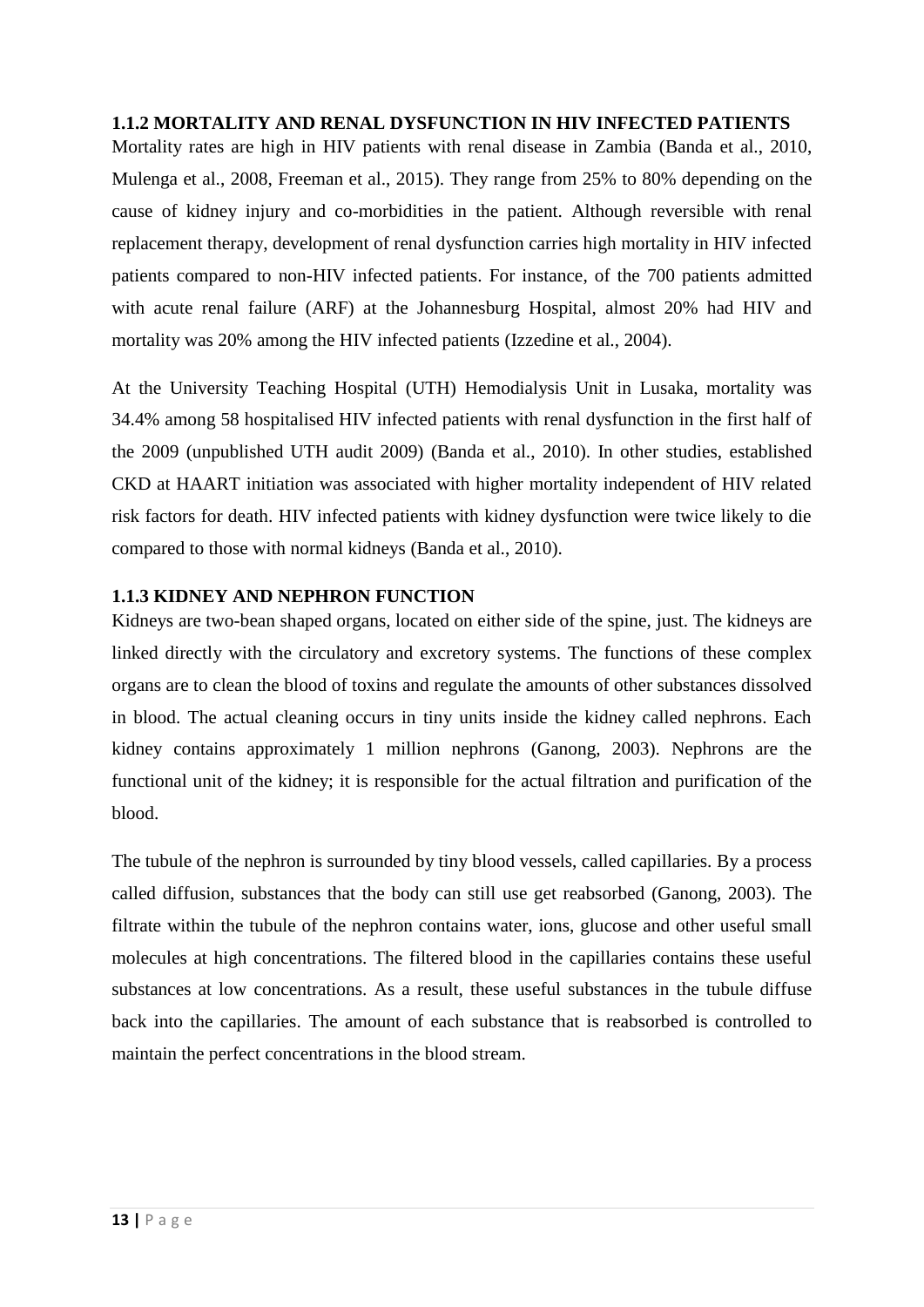### <span id="page-15-0"></span>**1.1.2 MORTALITY AND RENAL DYSFUNCTION IN HIV INFECTED PATIENTS**

Mortality rates are high in HIV patients with renal disease in Zambia [\(Banda et al., 2010,](#page-46-2) [Mulenga et al., 2008,](#page-48-1) [Freeman et al., 2015\)](#page-46-6). They range from 25% to 80% depending on the cause of kidney injury and co-morbidities in the patient. Although reversible with renal replacement therapy, development of renal dysfunction carries high mortality in HIV infected patients compared to non-HIV infected patients. For instance, of the 700 patients admitted with acute renal failure (ARF) at the Johannesburg Hospital, almost 20% had HIV and mortality was 20% among the HIV infected patients [\(Izzedine et al., 2004\)](#page-47-3).

At the University Teaching Hospital (UTH) Hemodialysis Unit in Lusaka, mortality was 34.4% among 58 hospitalised HIV infected patients with renal dysfunction in the first half of the 2009 (unpublished UTH audit 2009) [\(Banda et al., 2010\)](#page-46-2). In other studies, established CKD at HAART initiation was associated with higher mortality independent of HIV related risk factors for death. HIV infected patients with kidney dysfunction were twice likely to die compared to those with normal kidneys [\(Banda et al., 2010\)](#page-46-2).

### <span id="page-15-1"></span>**1.1.3 KIDNEY AND NEPHRON FUNCTION**

Kidneys are two-bean shaped organs, located on either side of the spine, just. The kidneys are linked directly with the circulatory and excretory systems. The functions of these complex organs are to clean the blood of toxins and regulate the amounts of other substances dissolved in blood. The actual cleaning occurs in tiny units inside the kidney called nephrons. Each kidney contains approximately 1 million nephrons [\(Ganong, 2003\)](#page-46-7). Nephrons are the functional unit of the kidney; it is responsible for the actual filtration and purification of the blood.

The tubule of the nephron is surrounded by tiny blood vessels, called capillaries. By a process called diffusion, substances that the body can still use get reabsorbed [\(Ganong, 2003\)](#page-46-7). The filtrate within the tubule of the nephron contains water, ions, glucose and other useful small molecules at high concentrations. The filtered blood in the capillaries contains these useful substances at low concentrations. As a result, these useful substances in the tubule diffuse back into the capillaries. The amount of each substance that is reabsorbed is controlled to maintain the perfect concentrations in the blood stream.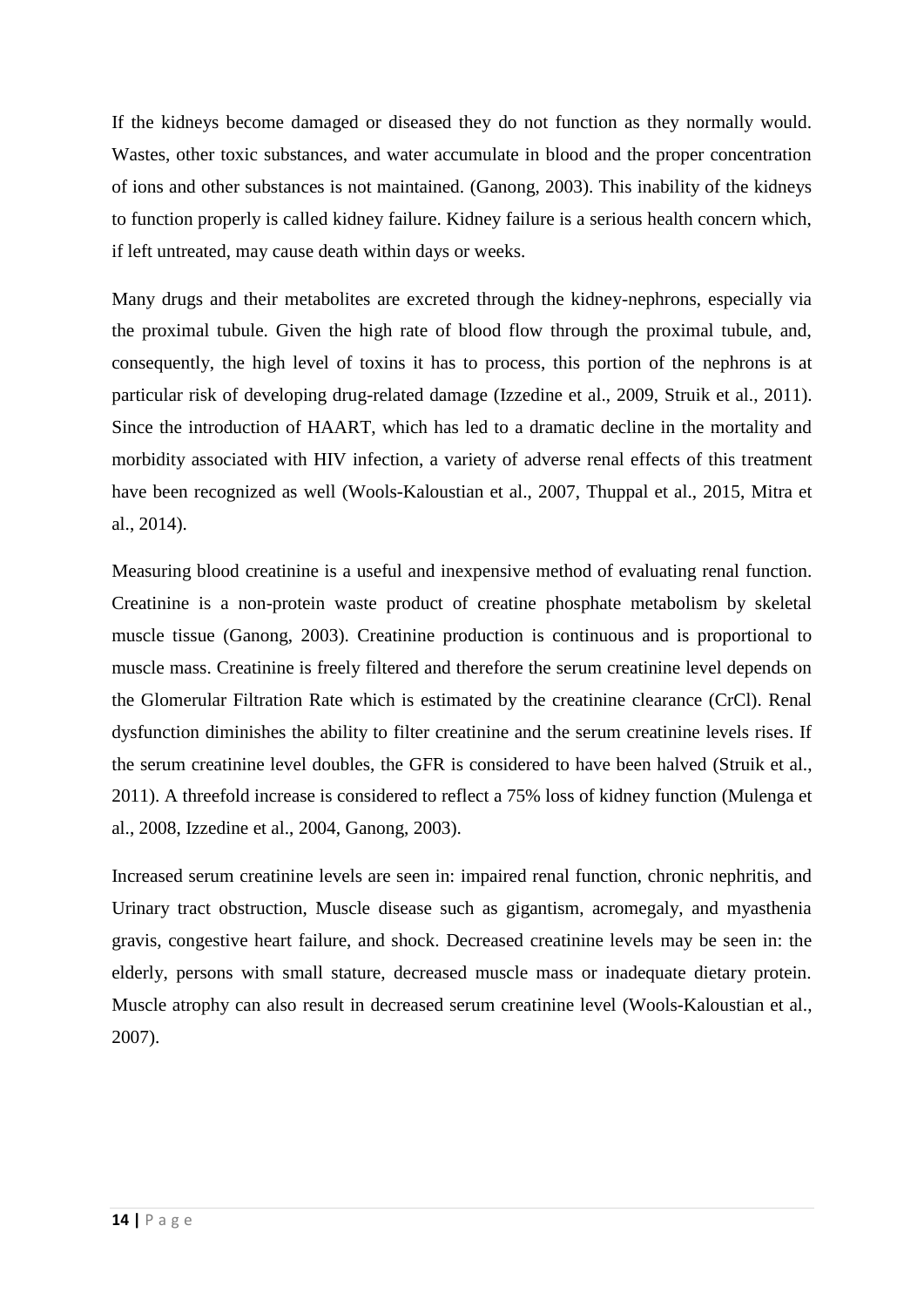If the kidneys become damaged or diseased they do not function as they normally would. Wastes, other toxic substances, and water accumulate in blood and the proper concentration of ions and other substances is not maintained. [\(Ganong, 2003\)](#page-46-7). This inability of the kidneys to function properly is called kidney failure. Kidney failure is a serious health concern which, if left untreated, may cause death within days or weeks.

Many drugs and their metabolites are excreted through the kidney-nephrons, especially via the proximal tubule. Given the high rate of blood flow through the proximal tubule, and, consequently, the high level of toxins it has to process, this portion of the nephrons is at particular risk of developing drug-related damage [\(Izzedine et al., 2009,](#page-47-0) [Struik et al., 2011\)](#page-48-0). Since the introduction of HAART, which has led to a dramatic decline in the mortality and morbidity associated with HIV infection, a variety of adverse renal effects of this treatment have been recognized as well [\(Wools-Kaloustian et al., 2007,](#page-49-0) [Thuppal et al., 2015,](#page-49-3) [Mitra et](#page-47-4)  [al., 2014\)](#page-47-4).

Measuring blood creatinine is a useful and inexpensive method of evaluating renal function. Creatinine is a non-protein waste product of creatine phosphate metabolism by skeletal muscle tissue [\(Ganong, 2003\)](#page-46-7). Creatinine production is continuous and is proportional to muscle mass. Creatinine is freely filtered and therefore the serum creatinine level depends on the Glomerular Filtration Rate which is estimated by the creatinine clearance (CrCl). Renal dysfunction diminishes the ability to filter creatinine and the serum creatinine levels rises. If the serum creatinine level doubles, the GFR is considered to have been halved [\(Struik et al.,](#page-48-0)  [2011\)](#page-48-0). A threefold increase is considered to reflect a 75% loss of kidney function [\(Mulenga et](#page-48-1)  [al., 2008,](#page-48-1) [Izzedine et al., 2004,](#page-47-3) [Ganong, 2003\)](#page-46-7).

Increased serum creatinine levels are seen in: impaired renal function, chronic nephritis, and Urinary tract obstruction, Muscle disease such as gigantism, acromegaly, and myasthenia gravis, congestive heart failure, and shock. Decreased creatinine levels may be seen in: the elderly, persons with small stature, decreased muscle mass or inadequate dietary protein. Muscle atrophy can also result in decreased serum creatinine level [\(Wools-Kaloustian et al.,](#page-49-0)  [2007\)](#page-49-0).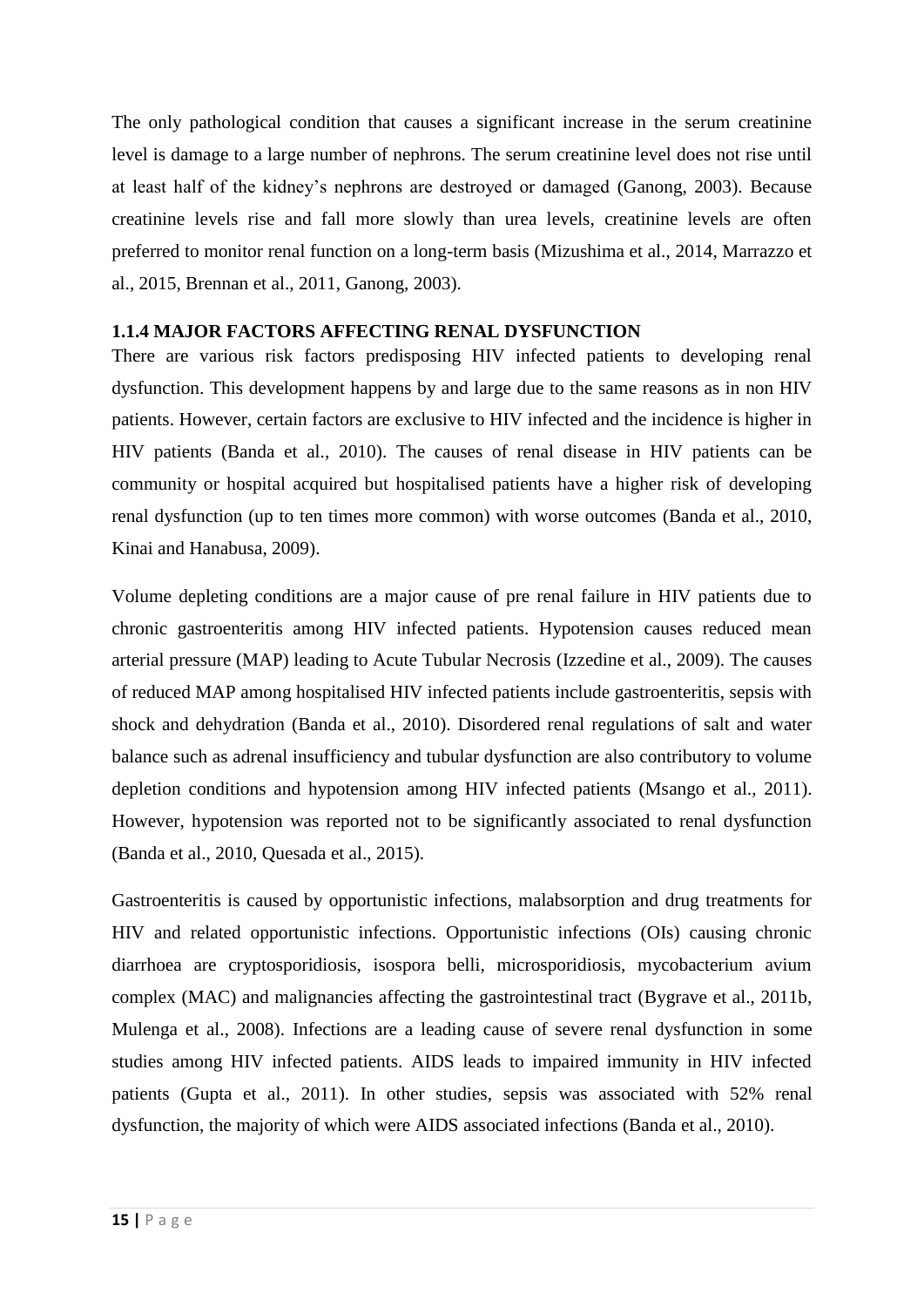The only pathological condition that causes a significant increase in the serum creatinine level is damage to a large number of nephrons. The serum creatinine level does not rise until at least half of the kidney's nephrons are destroyed or damaged [\(Ganong, 2003\)](#page-46-7). Because creatinine levels rise and fall more slowly than urea levels, creatinine levels are often preferred to monitor renal function on a long-term basis [\(Mizushima et al., 2014,](#page-47-2) [Marrazzo et](#page-47-5)  [al., 2015,](#page-47-5) [Brennan et al., 2011,](#page-46-8) [Ganong, 2003\)](#page-46-7).

### <span id="page-17-0"></span>**1.1.4 MAJOR FACTORS AFFECTING RENAL DYSFUNCTION**

There are various risk factors predisposing HIV infected patients to developing renal dysfunction. This development happens by and large due to the same reasons as in non HIV patients. However, certain factors are exclusive to HIV infected and the incidence is higher in HIV patients [\(Banda et al., 2010\)](#page-46-2). The causes of renal disease in HIV patients can be community or hospital acquired but hospitalised patients have a higher risk of developing renal dysfunction (up to ten times more common) with worse outcomes [\(Banda et al., 2010,](#page-46-2) [Kinai and Hanabusa, 2009\)](#page-47-6).

Volume depleting conditions are a major cause of pre renal failure in HIV patients due to chronic gastroenteritis among HIV infected patients. Hypotension causes reduced mean arterial pressure (MAP) leading to Acute Tubular Necrosis [\(Izzedine et al., 2009\)](#page-47-0). The causes of reduced MAP among hospitalised HIV infected patients include gastroenteritis, sepsis with shock and dehydration [\(Banda et al., 2010\)](#page-46-2). Disordered renal regulations of salt and water balance such as adrenal insufficiency and tubular dysfunction are also contributory to volume depletion conditions and hypotension among HIV infected patients [\(Msango et al., 2011\)](#page-48-5). However, hypotension was reported not to be significantly associated to renal dysfunction [\(Banda et al., 2010,](#page-46-2) Quesada [et al., 2015\)](#page-48-2).

Gastroenteritis is caused by opportunistic infections, malabsorption and drug treatments for HIV and related opportunistic infections. Opportunistic infections (OIs) causing chronic diarrhoea are cryptosporidiosis, isospora belli, microsporidiosis, mycobacterium avium complex (MAC) and malignancies affecting the gastrointestinal tract [\(Bygrave et al., 2011b,](#page-46-9) [Mulenga et al., 2008\)](#page-48-1). Infections are a leading cause of severe renal dysfunction in some studies among HIV infected patients. AIDS leads to impaired immunity in HIV infected patients [\(Gupta et al., 2011\)](#page-46-4). In other studies, sepsis was associated with 52% renal dysfunction, the majority of which were AIDS associated infections [\(Banda et al., 2010\)](#page-46-2).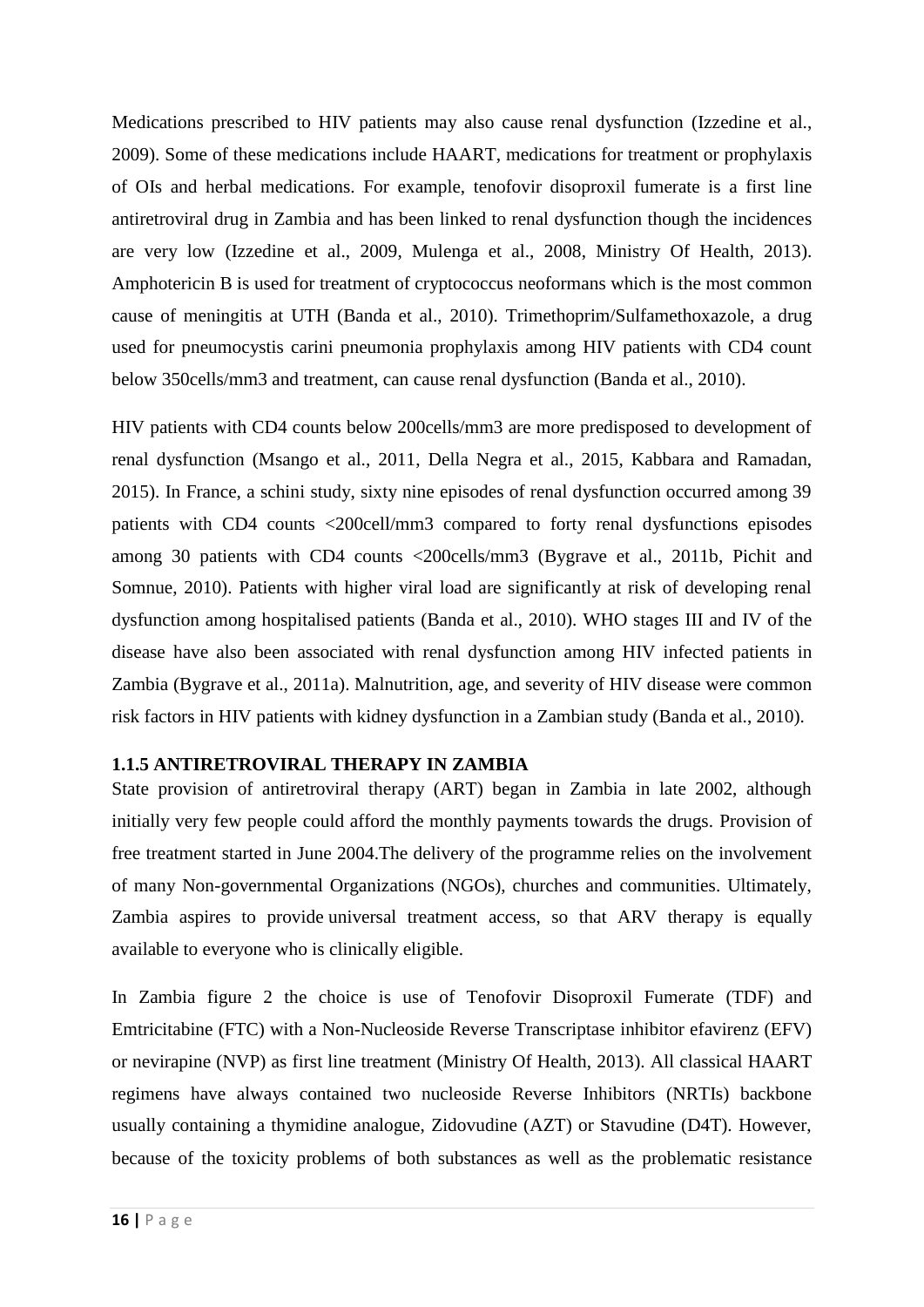Medications prescribed to HIV patients may also cause renal dysfunction [\(Izzedine et al.,](#page-47-0)  [2009\)](#page-47-0). Some of these medications include HAART, medications for treatment or prophylaxis of OIs and herbal medications. For example, tenofovir disoproxil fumerate is a first line antiretroviral drug in Zambia and has been linked to renal dysfunction though the incidences are very low [\(Izzedine et al., 2009,](#page-47-0) [Mulenga et al., 2008,](#page-48-1) [Ministry Of Health, 2013\)](#page-47-7). Amphotericin B is used for treatment of cryptococcus neoformans which is the most common cause of meningitis at UTH [\(Banda et al., 2010\)](#page-46-2). Trimethoprim/Sulfamethoxazole, a drug used for pneumocystis carini pneumonia prophylaxis among HIV patients with CD4 count below 350cells/mm3 and treatment, can cause renal dysfunction [\(Banda et al., 2010\)](#page-46-2).

HIV patients with CD4 counts below 200cells/mm3 are more predisposed to development of renal dysfunction [\(Msango et al., 2011,](#page-48-5) [Della Negra et al., 2015,](#page-46-3) [Kabbara and Ramadan,](#page-47-8)  [2015\)](#page-47-8). In France, a schini study, sixty nine episodes of renal dysfunction occurred among 39 patients with CD4 counts <200cell/mm3 compared to forty renal dysfunctions episodes among 30 patients with CD4 counts <200cells/mm3 [\(Bygrave et al., 2011b,](#page-46-9) [Pichit and](#page-48-6)  [Somnue, 2010\)](#page-48-6). Patients with higher viral load are significantly at risk of developing renal dysfunction among hospitalised patients [\(Banda et al., 2010\)](#page-46-2). WHO stages III and IV of the disease have also been associated with renal dysfunction among HIV infected patients in Zambia [\(Bygrave et al., 2011a\)](#page-46-10). Malnutrition, age, and severity of HIV disease were common risk factors in HIV patients with kidney dysfunction in a Zambian study [\(Banda et al., 2010\)](#page-46-2).

## <span id="page-18-0"></span>**1.1.5 ANTIRETROVIRAL THERAPY IN ZAMBIA**

State provision of antiretroviral therapy (ART) began in Zambia in late 2002, although initially very few people could afford the monthly payments towards the drugs. Provision of free treatment started in June 2004.The delivery of the programme relies on the involvement of many Non-governmental Organizations (NGOs), churches and communities. Ultimately, Zambia aspires to provide universal treatment access, so that ARV therapy is equally available to everyone who is clinically eligible.

In Zambia figure 2 the choice is use of Tenofovir Disoproxil Fumerate (TDF) and Emtricitabine (FTC) with a Non-Nucleoside Reverse Transcriptase inhibitor efavirenz (EFV) or nevirapine (NVP) as first line treatment [\(Ministry Of Health, 2013\)](#page-47-7). All classical HAART regimens have always contained two nucleoside Reverse Inhibitors (NRTIs) backbone usually containing a thymidine analogue, Zidovudine (AZT) or Stavudine (D4T). However, because of the toxicity problems of both substances as well as the problematic resistance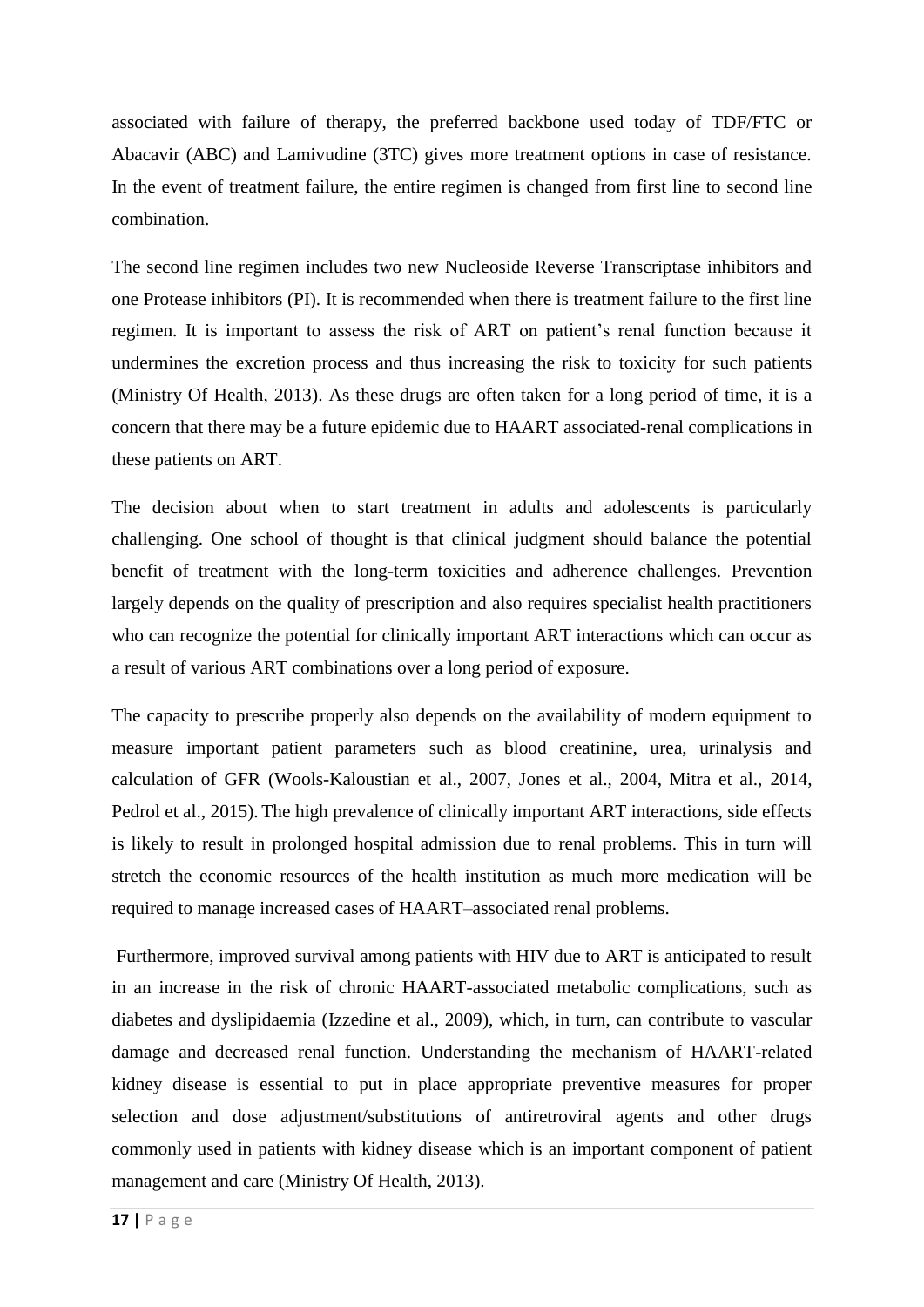associated with failure of therapy, the preferred backbone used today of TDF/FTC or Abacavir (ABC) and Lamivudine (3TC) gives more treatment options in case of resistance. In the event of treatment failure, the entire regimen is changed from first line to second line combination.

The second line regimen includes two new Nucleoside Reverse Transcriptase inhibitors and one Protease inhibitors (PI). It is recommended when there is treatment failure to the first line regimen. It is important to assess the risk of ART on patient's renal function because it undermines the excretion process and thus increasing the risk to toxicity for such patients [\(Ministry Of Health, 2013\)](#page-47-7). As these drugs are often taken for a long period of time, it is a concern that there may be a future epidemic due to HAART associated-renal complications in these patients on ART.

The decision about when to start treatment in adults and adolescents is particularly challenging. One school of thought is that clinical judgment should balance the potential benefit of treatment with the long-term toxicities and adherence challenges. Prevention largely depends on the quality of prescription and also requires specialist health practitioners who can recognize the potential for clinically important ART interactions which can occur as a result of various ART combinations over a long period of exposure.

The capacity to prescribe properly also depends on the availability of modern equipment to measure important patient parameters such as blood creatinine, urea, urinalysis and calculation of GFR [\(Wools-Kaloustian et al., 2007,](#page-49-0) [Jones et al., 2004,](#page-47-9) [Mitra et al., 2014,](#page-47-4) [Pedrol et al., 2015\)](#page-48-7). The high prevalence of clinically important ART interactions, side effects is likely to result in prolonged hospital admission due to renal problems. This in turn will stretch the economic resources of the health institution as much more medication will be required to manage increased cases of HAART–associated renal problems.

Furthermore, improved survival among patients with HIV due to ART is anticipated to result in an increase in the risk of chronic HAART-associated metabolic complications, such as diabetes and dyslipidaemia [\(Izzedine et al., 2009\)](#page-47-0), which, in turn, can contribute to vascular damage and decreased renal function. Understanding the mechanism of HAART-related kidney disease is essential to put in place appropriate preventive measures for proper selection and dose adjustment/substitutions of antiretroviral agents and other drugs commonly used in patients with kidney disease which is an important component of patient management and care [\(Ministry Of Health, 2013\)](#page-47-7).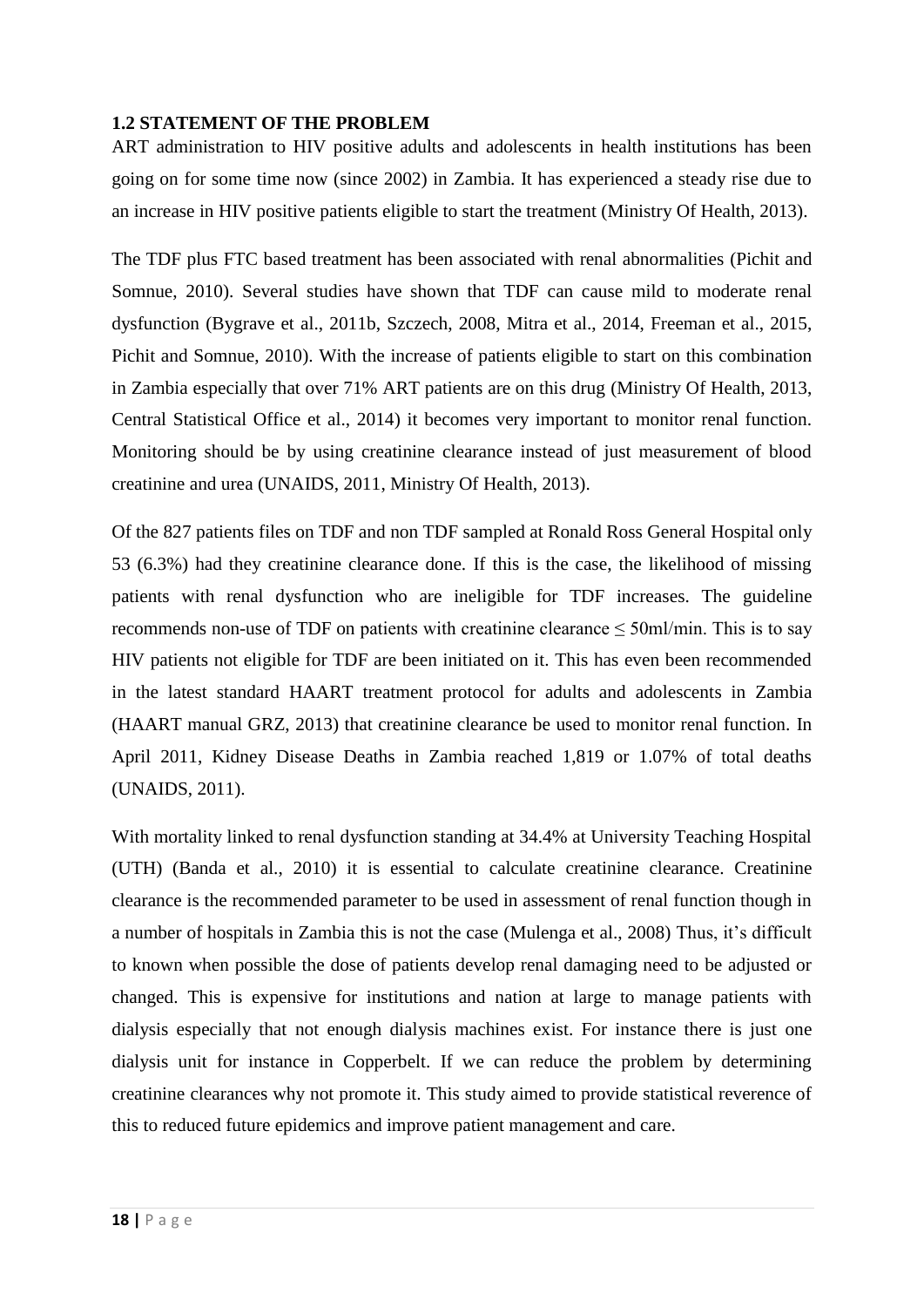### <span id="page-20-0"></span>**1.2 STATEMENT OF THE PROBLEM**

ART administration to HIV positive adults and adolescents in health institutions has been going on for some time now (since 2002) in Zambia. It has experienced a steady rise due to an increase in HIV positive patients eligible to start the treatment [\(Ministry Of Health, 2013\)](#page-47-7).

The TDF plus FTC based treatment has been associated with renal abnormalities [\(Pichit and](#page-48-6)  [Somnue, 2010\)](#page-48-6). Several studies have shown that TDF can cause mild to moderate renal dysfunction [\(Bygrave et al., 2011b,](#page-46-9) [Szczech, 2008,](#page-49-2) [Mitra et al., 2014,](#page-47-4) [Freeman et al., 2015,](#page-46-6) [Pichit and Somnue, 2010\)](#page-48-6). With the increase of patients eligible to start on this combination in Zambia especially that over 71% ART patients are on this drug [\(Ministry Of Health, 2013,](#page-47-7) [Central Statistical Office et al., 2014\)](#page-46-1) it becomes very important to monitor renal function. Monitoring should be by using creatinine clearance instead of just measurement of blood creatinine and urea [\(UNAIDS, 2011,](#page-49-1) [Ministry Of Health, 2013\)](#page-47-7).

Of the 827 patients files on TDF and non TDF sampled at Ronald Ross General Hospital only 53 (6.3%) had they creatinine clearance done. If this is the case, the likelihood of missing patients with renal dysfunction who are ineligible for TDF increases. The guideline recommends non-use of TDF on patients with creatinine clearance  $\leq$  50ml/min. This is to say HIV patients not eligible for TDF are been initiated on it. This has even been recommended in the latest standard HAART treatment protocol for adults and adolescents in Zambia (HAART manual GRZ, 2013) that creatinine clearance be used to monitor renal function. In April 2011, Kidney Disease Deaths in Zambia reached 1,819 or 1.07% of total deaths [\(UNAIDS, 2011\)](#page-49-1).

With mortality linked to renal dysfunction standing at 34.4% at University Teaching Hospital (UTH) [\(Banda et al., 2010\)](#page-46-2) it is essential to calculate creatinine clearance. Creatinine clearance is the recommended parameter to be used in assessment of renal function though in a number of hospitals in Zambia this is not the case [\(Mulenga et al., 2008\)](#page-48-1) Thus, it's difficult to known when possible the dose of patients develop renal damaging need to be adjusted or changed. This is expensive for institutions and nation at large to manage patients with dialysis especially that not enough dialysis machines exist. For instance there is just one dialysis unit for instance in Copperbelt. If we can reduce the problem by determining creatinine clearances why not promote it. This study aimed to provide statistical reverence of this to reduced future epidemics and improve patient management and care.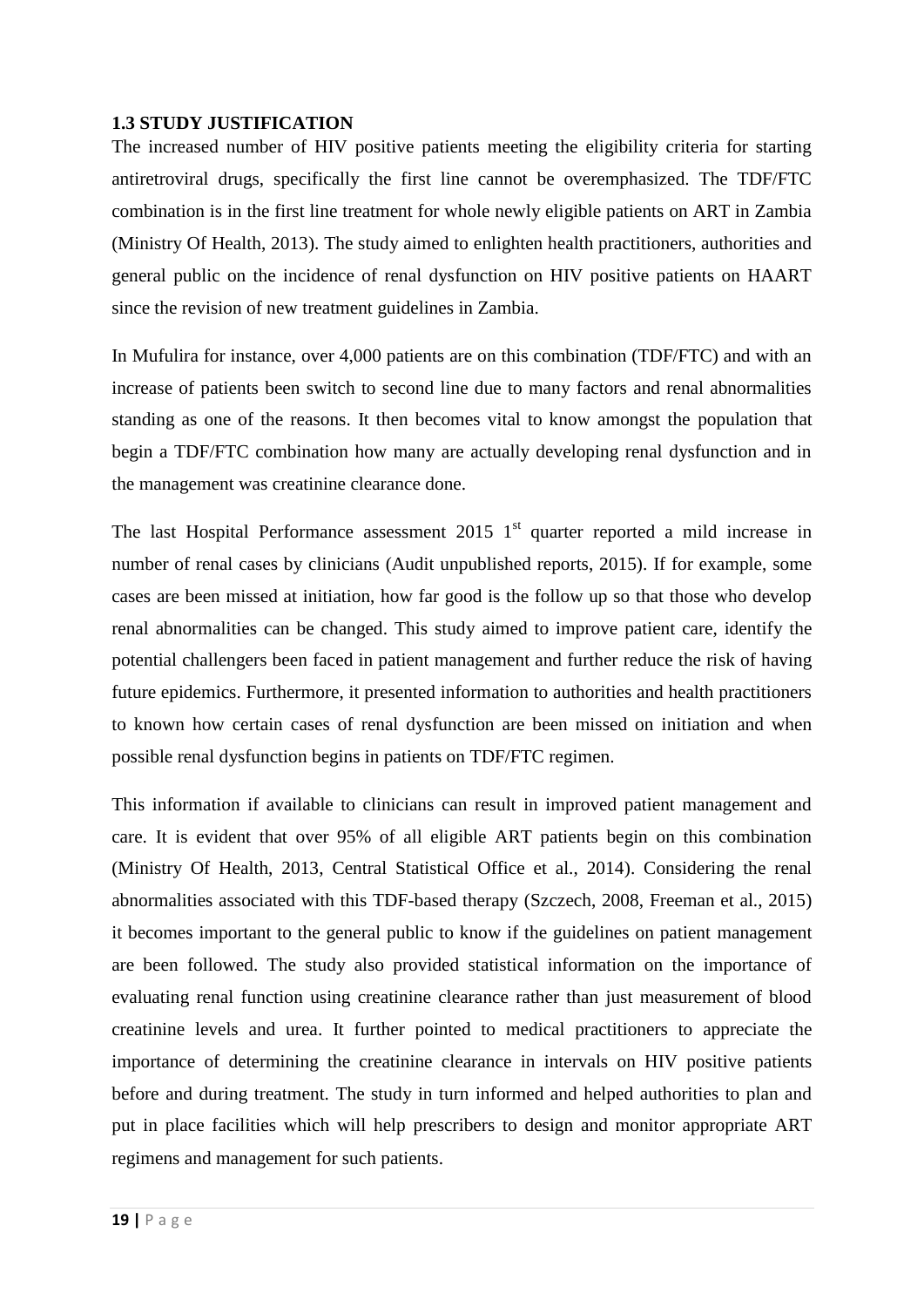## <span id="page-21-0"></span>**1.3 STUDY JUSTIFICATION**

The increased number of HIV positive patients meeting the eligibility criteria for starting antiretroviral drugs, specifically the first line cannot be overemphasized. The TDF/FTC combination is in the first line treatment for whole newly eligible patients on ART in Zambia [\(Ministry Of Health, 2013\)](#page-47-7). The study aimed to enlighten health practitioners, authorities and general public on the incidence of renal dysfunction on HIV positive patients on HAART since the revision of new treatment guidelines in Zambia.

In Mufulira for instance, over 4,000 patients are on this combination (TDF/FTC) and with an increase of patients been switch to second line due to many factors and renal abnormalities standing as one of the reasons. It then becomes vital to know amongst the population that begin a TDF/FTC combination how many are actually developing renal dysfunction and in the management was creatinine clearance done.

The last Hospital Performance assessment  $2015$  1<sup>st</sup> quarter reported a mild increase in number of renal cases by clinicians (Audit unpublished reports, 2015). If for example, some cases are been missed at initiation, how far good is the follow up so that those who develop renal abnormalities can be changed. This study aimed to improve patient care, identify the potential challengers been faced in patient management and further reduce the risk of having future epidemics. Furthermore, it presented information to authorities and health practitioners to known how certain cases of renal dysfunction are been missed on initiation and when possible renal dysfunction begins in patients on TDF/FTC regimen.

This information if available to clinicians can result in improved patient management and care. It is evident that over 95% of all eligible ART patients begin on this combination (Ministry [Of Health, 2013,](#page-47-7) [Central Statistical Office et al., 2014\)](#page-46-1). Considering the renal abnormalities associated with this TDF-based therapy [\(Szczech, 2008,](#page-49-2) [Freeman et al., 2015\)](#page-46-6) it becomes important to the general public to know if the guidelines on patient management are been followed. The study also provided statistical information on the importance of evaluating renal function using creatinine clearance rather than just measurement of blood creatinine levels and urea. It further pointed to medical practitioners to appreciate the importance of determining the creatinine clearance in intervals on HIV positive patients before and during treatment. The study in turn informed and helped authorities to plan and put in place facilities which will help prescribers to design and monitor appropriate ART regimens and management for such patients.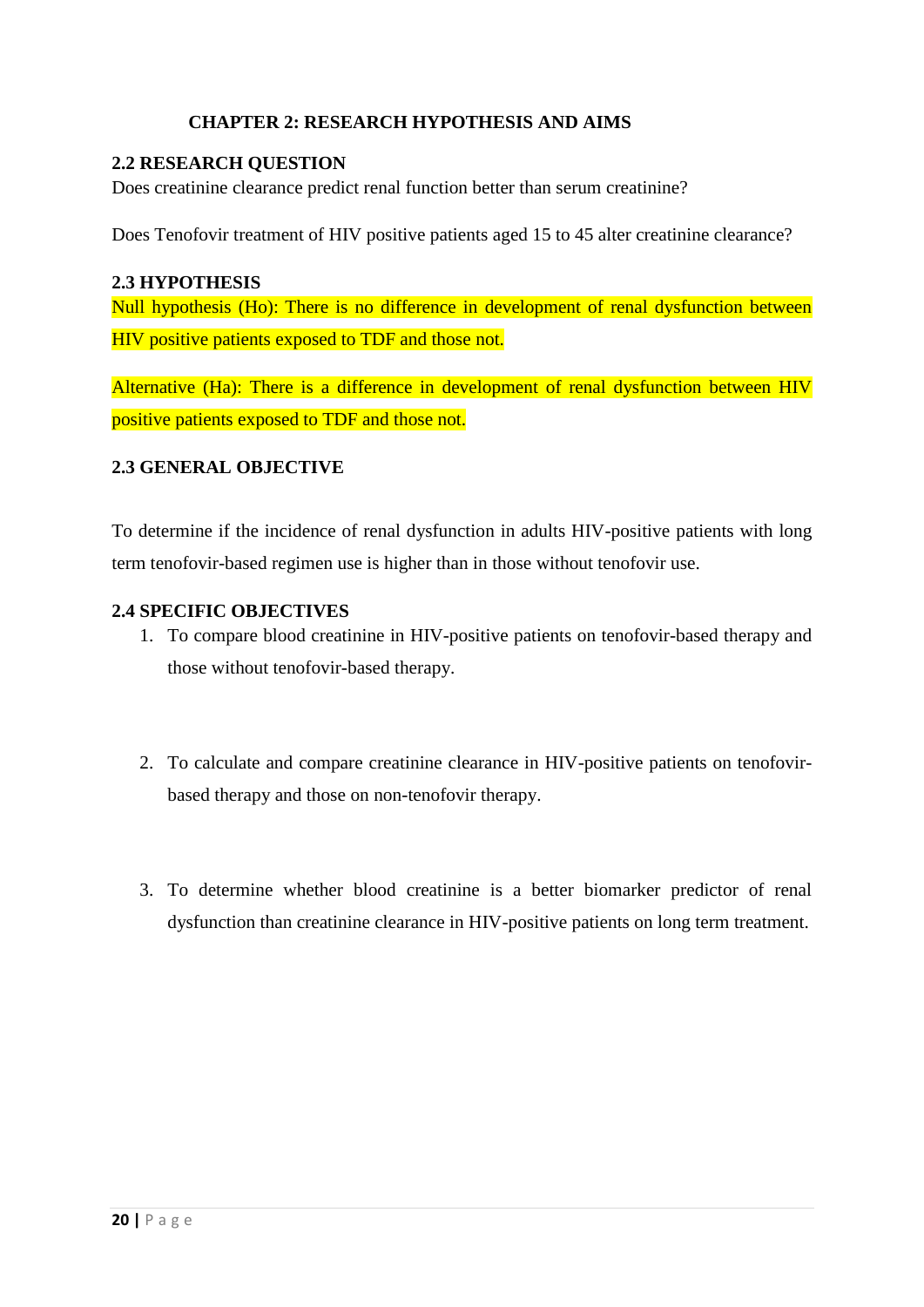## <span id="page-22-0"></span> **CHAPTER 2: RESEARCH HYPOTHESIS AND AIMS**

### <span id="page-22-1"></span>**2.2 RESEARCH QUESTION**

Does creatinine clearance predict renal function better than serum creatinine?

Does Tenofovir treatment of HIV positive patients aged 15 to 45 alter creatinine clearance?

### <span id="page-22-2"></span>**2.3 HYPOTHESIS**

Null hypothesis (Ho): There is no difference in development of renal dysfunction between HIV positive patients exposed to TDF and those not.

Alternative (Ha): There is a difference in development of renal dysfunction between HIV positive patients exposed to TDF and those not.

### <span id="page-22-3"></span>**2.3 GENERAL OBJECTIVE**

To determine if the incidence of renal dysfunction in adults HIV-positive patients with long term tenofovir-based regimen use is higher than in those without tenofovir use.

### <span id="page-22-4"></span>**2.4 SPECIFIC OBJECTIVES**

- 1. To compare blood creatinine in HIV-positive patients on tenofovir-based therapy and those without tenofovir-based therapy.
- 2. To calculate and compare creatinine clearance in HIV-positive patients on tenofovirbased therapy and those on non-tenofovir therapy.
- 3. To determine whether blood creatinine is a better biomarker predictor of renal dysfunction than creatinine clearance in HIV-positive patients on long term treatment.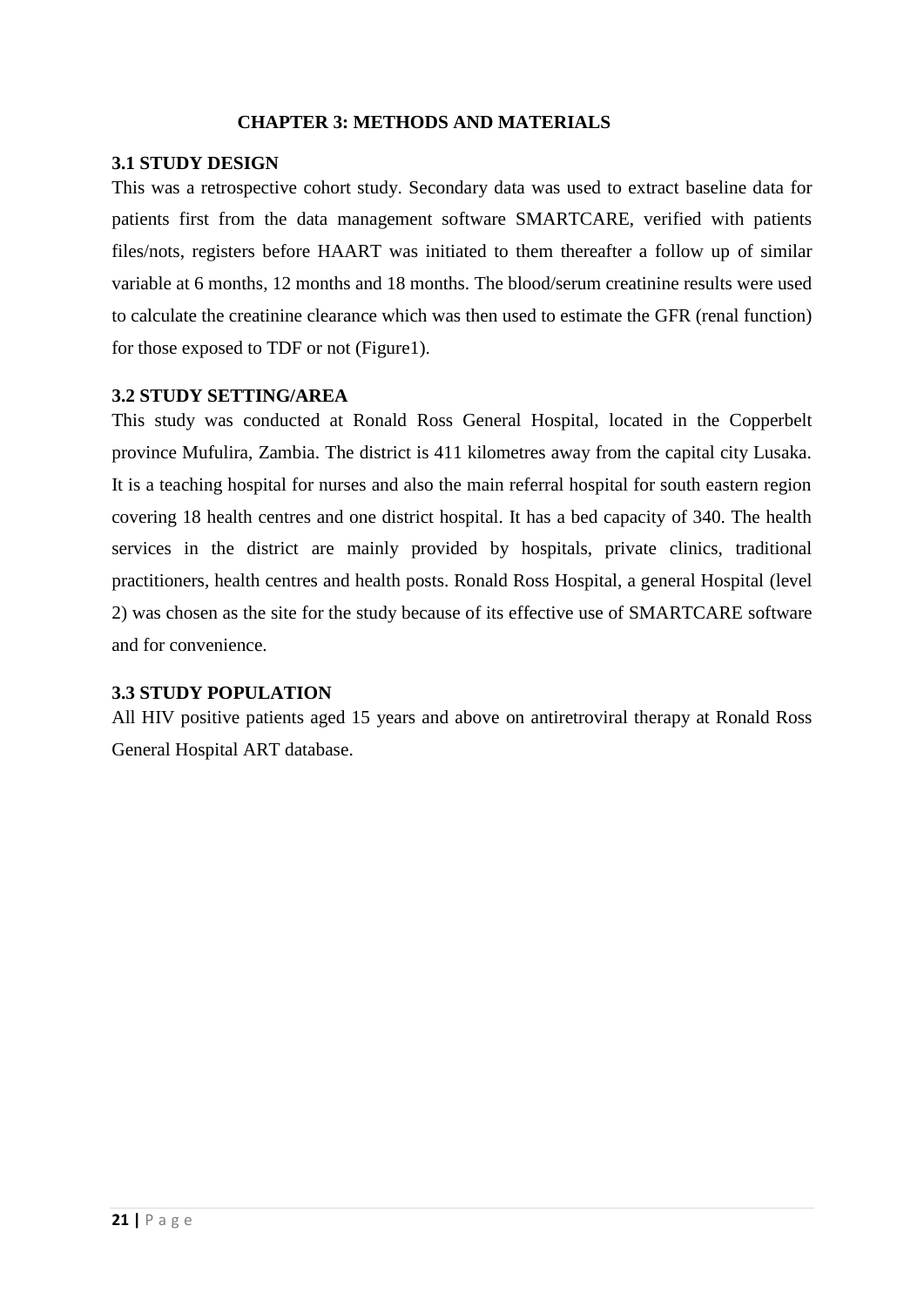### <span id="page-23-0"></span> **CHAPTER 3: METHODS AND MATERIALS**

### <span id="page-23-1"></span>**3.1 STUDY DESIGN**

This was a retrospective cohort study. Secondary data was used to extract baseline data for patients first from the data management software SMARTCARE, verified with patients files/nots, registers before HAART was initiated to them thereafter a follow up of similar variable at 6 months, 12 months and 18 months. The blood/serum creatinine results were used to calculate the creatinine clearance which was then used to estimate the GFR (renal function) for those exposed to TDF or not (Figure1).

### <span id="page-23-2"></span>**3.2 STUDY SETTING/AREA**

This study was conducted at Ronald Ross General Hospital, located in the Copperbelt province Mufulira, Zambia. The district is 411 kilometres away from the capital city Lusaka. It is a teaching hospital for nurses and also the main referral hospital for south eastern region covering 18 health centres and one district hospital. It has a bed capacity of 340. The health services in the district are mainly provided by hospitals, private clinics, traditional practitioners, health centres and health posts. Ronald Ross Hospital, a general Hospital (level 2) was chosen as the site for the study because of its effective use of SMARTCARE software and for convenience.

### <span id="page-23-3"></span>**3.3 STUDY POPULATION**

All HIV positive patients aged 15 years and above on antiretroviral therapy at Ronald Ross General Hospital ART database.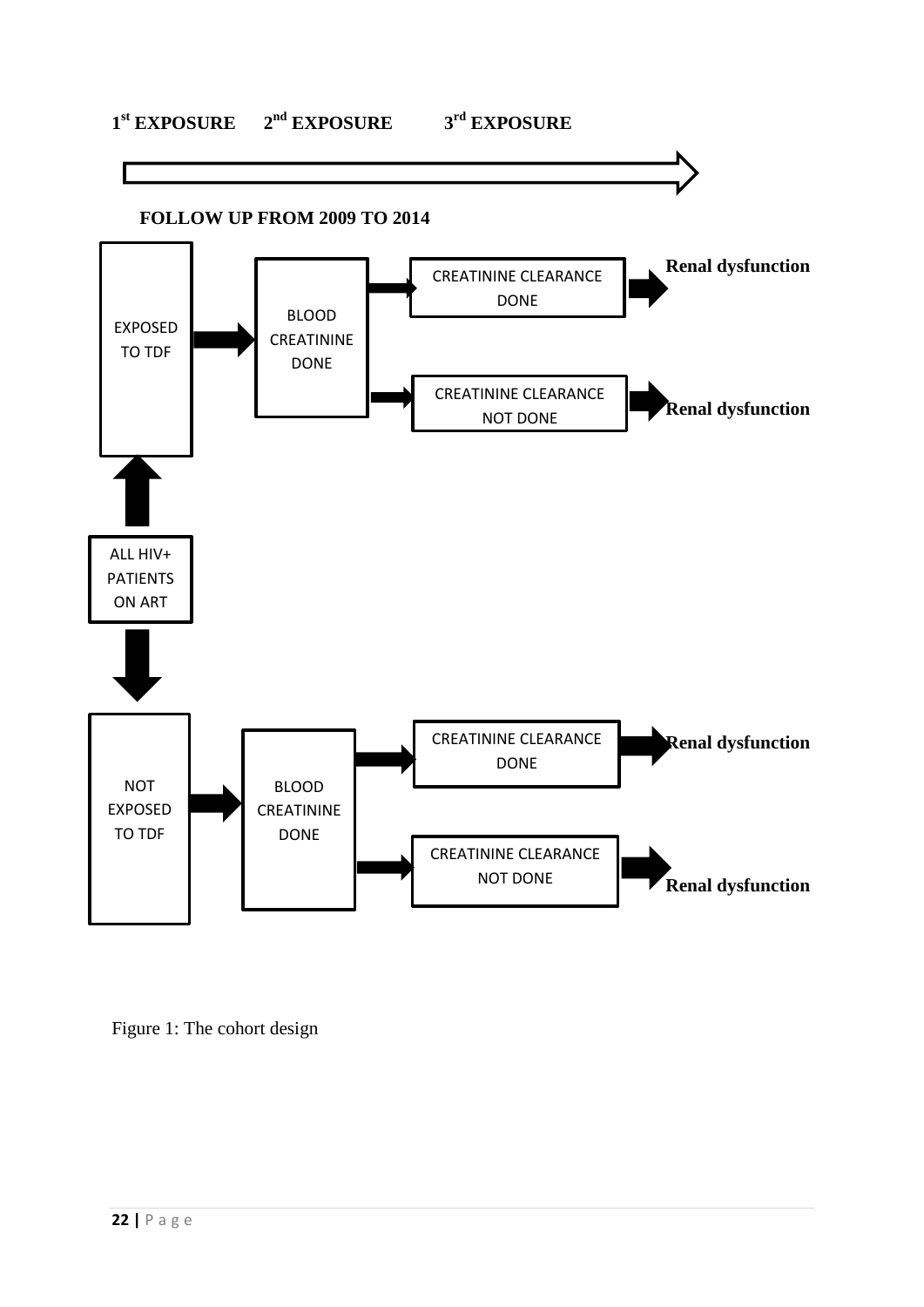# **1 st EXPOSURE 2nd EXPOSURE 3rd EXPOSURE**



Figure 1: The cohort design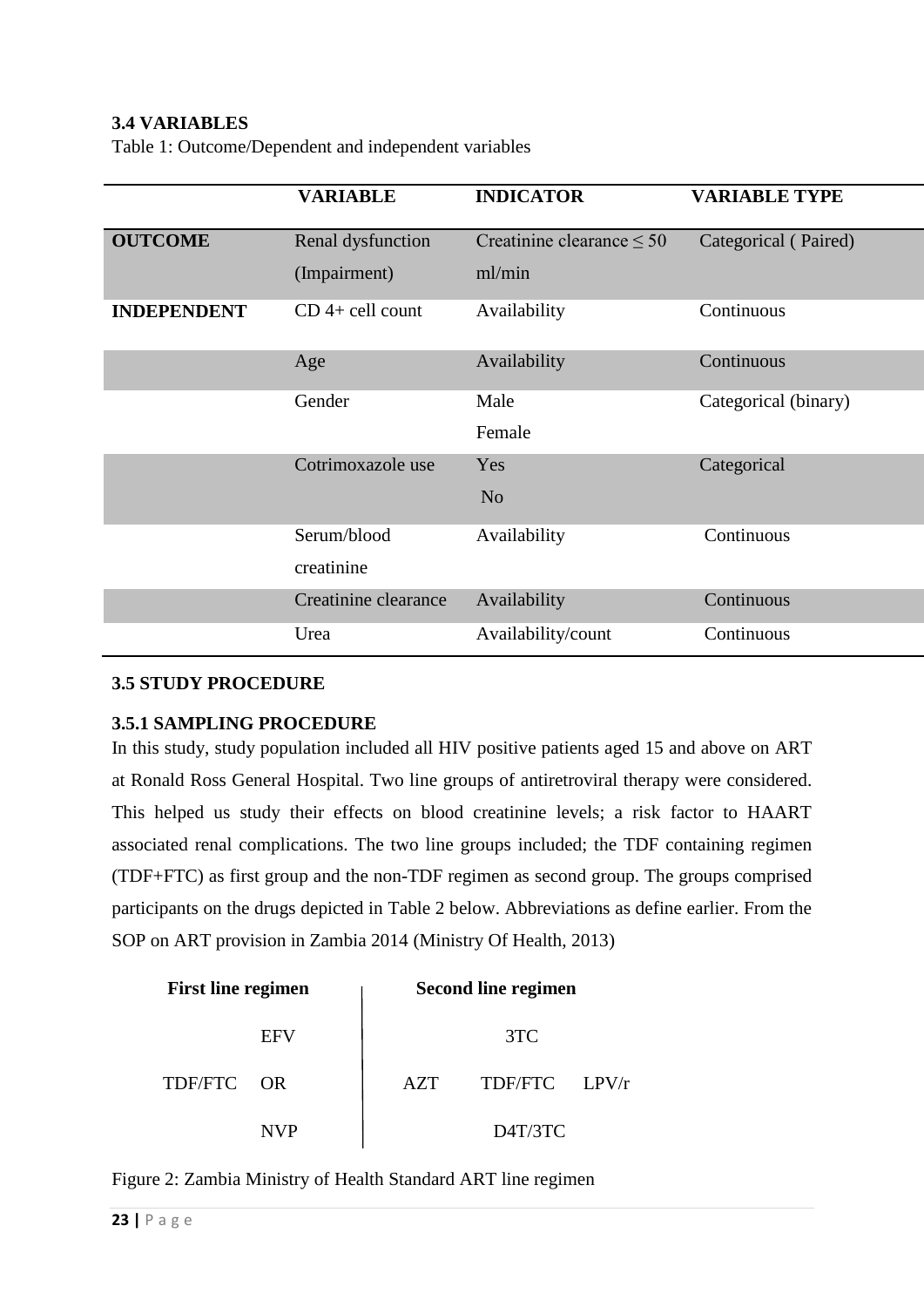# <span id="page-25-0"></span>**3.4 VARIABLES**

Table 1: Outcome/Dependent and independent variables

|                    | <b>VARIABLE</b>                   | <b>INDICATOR</b>                         | <b>VARIABLE TYPE</b> |
|--------------------|-----------------------------------|------------------------------------------|----------------------|
| <b>OUTCOME</b>     | Renal dysfunction<br>(Impairment) | Creatinine clearance $\leq 50$<br>ml/min | Categorical (Paired) |
| <b>INDEPENDENT</b> | $CD$ 4+ cell count                | Availability                             | Continuous           |
|                    | Age                               | Availability                             | Continuous           |
|                    | Gender                            | Male                                     | Categorical (binary) |
|                    |                                   | Female                                   |                      |
|                    | Cotrimoxazole use                 | Yes                                      | Categorical          |
|                    |                                   | N <sub>o</sub>                           |                      |
|                    | Serum/blood                       | Availability                             | Continuous           |
|                    | creatinine                        |                                          |                      |
|                    | Creatinine clearance              | Availability                             | Continuous           |
|                    | Urea                              | Availability/count                       | Continuous           |

## <span id="page-25-1"></span>**3.5 STUDY PROCEDURE**

### <span id="page-25-2"></span>**3.5.1 SAMPLING PROCEDURE**

In this study, study population included all HIV positive patients aged 15 and above on ART at Ronald Ross General Hospital. Two line groups of antiretroviral therapy were considered. This helped us study their effects on blood creatinine levels; a risk factor to HAART associated renal complications. The two line groups included; the TDF containing regimen (TDF+FTC) as first group and the non-TDF regimen as second group. The groups comprised participants on the drugs depicted in Table 2 below. Abbreviations as define earlier. From the SOP on ART provision in Zambia 2014 [\(Ministry Of Health, 2013\)](#page-47-7)

| <b>First line regimen</b> | <b>Second line regimen</b> |  |  |
|---------------------------|----------------------------|--|--|
| EFV                       | 3TC                        |  |  |
| TDF/FTC OR                | TDF/FTC LPV/r<br>AZT       |  |  |
| NVP                       | D <sub>4T</sub> /3TC       |  |  |

Figure 2: Zambia Ministry of Health Standard ART line regimen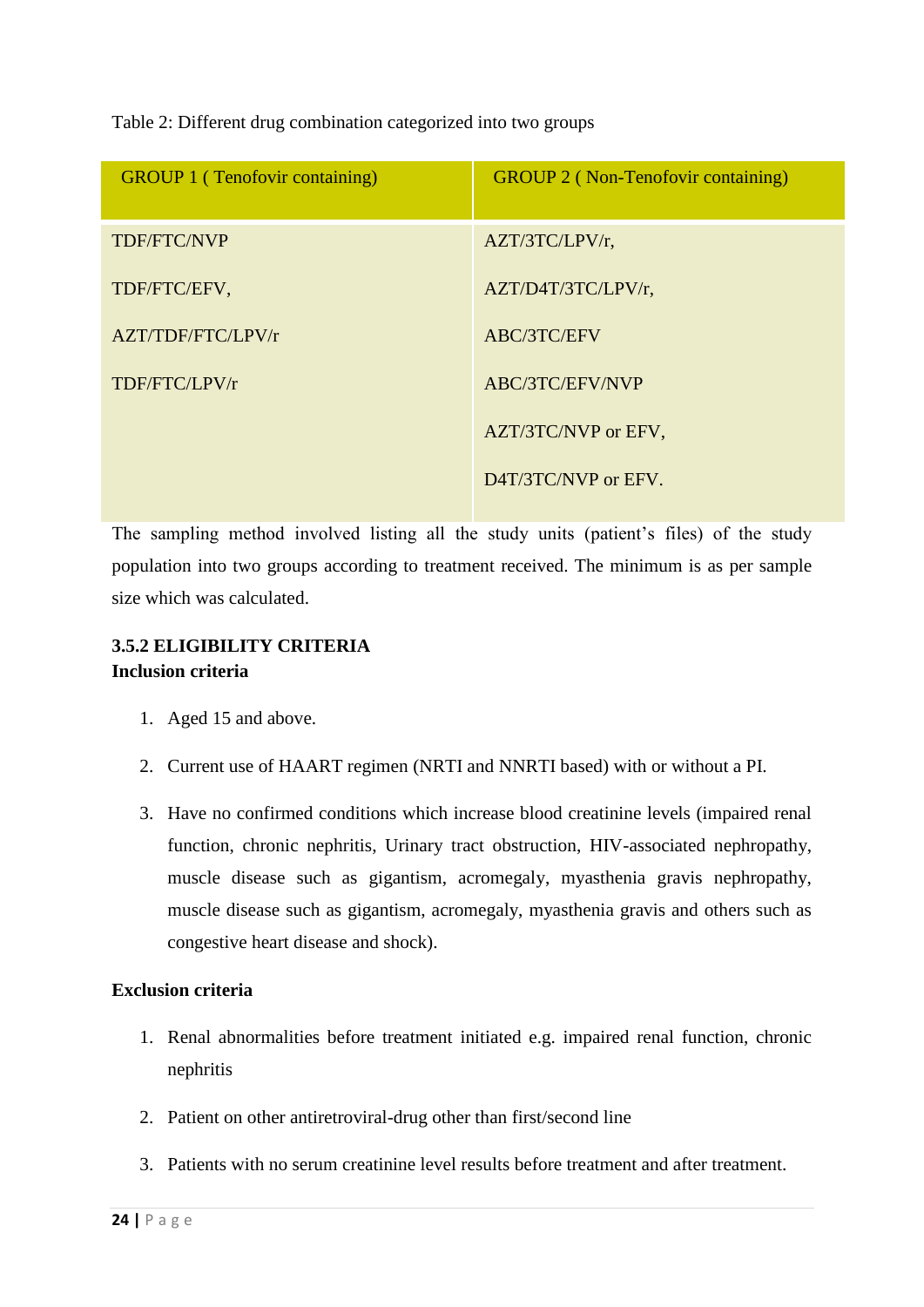Table 2: Different drug combination categorized into two groups

| <b>GROUP 1 (Tenofovir containing)</b> | <b>GROUP 2 (Non-Tenofovir containing)</b> |
|---------------------------------------|-------------------------------------------|
| TDF/FTC/NVP                           | $AZT/3TC/LPV/r$ ,                         |
| TDF/FTC/EFV,                          | AZT/D4T/3TC/LPV/r,                        |
| AZT/TDF/FTC/LPV/r                     | ABC/3TC/EFV                               |
| TDF/FTC/LPV/r                         | ABC/3TC/EFV/NVP                           |
|                                       | AZT/3TC/NVP or EFV,                       |
|                                       | D4T/3TC/NVP or EFV.                       |

The sampling method involved listing all the study units (patient's files) of the study population into two groups according to treatment received. The minimum is as per sample size which was calculated.

# <span id="page-26-0"></span>**3.5.2 ELIGIBILITY CRITERIA Inclusion criteria**

- 1. Aged 15 and above.
- 2. Current use of HAART regimen (NRTI and NNRTI based) with or without a PI.
- 3. Have no confirmed conditions which increase blood creatinine levels (impaired renal function, chronic nephritis, Urinary tract obstruction, HIV-associated nephropathy, muscle disease such as gigantism, acromegaly, myasthenia gravis nephropathy, muscle disease such as gigantism, acromegaly, myasthenia gravis and others such as congestive heart disease and shock).

## **Exclusion criteria**

- 1. Renal abnormalities before treatment initiated e.g. impaired renal function, chronic nephritis
- 2. Patient on other antiretroviral-drug other than first/second line
- 3. Patients with no serum creatinine level results before treatment and after treatment.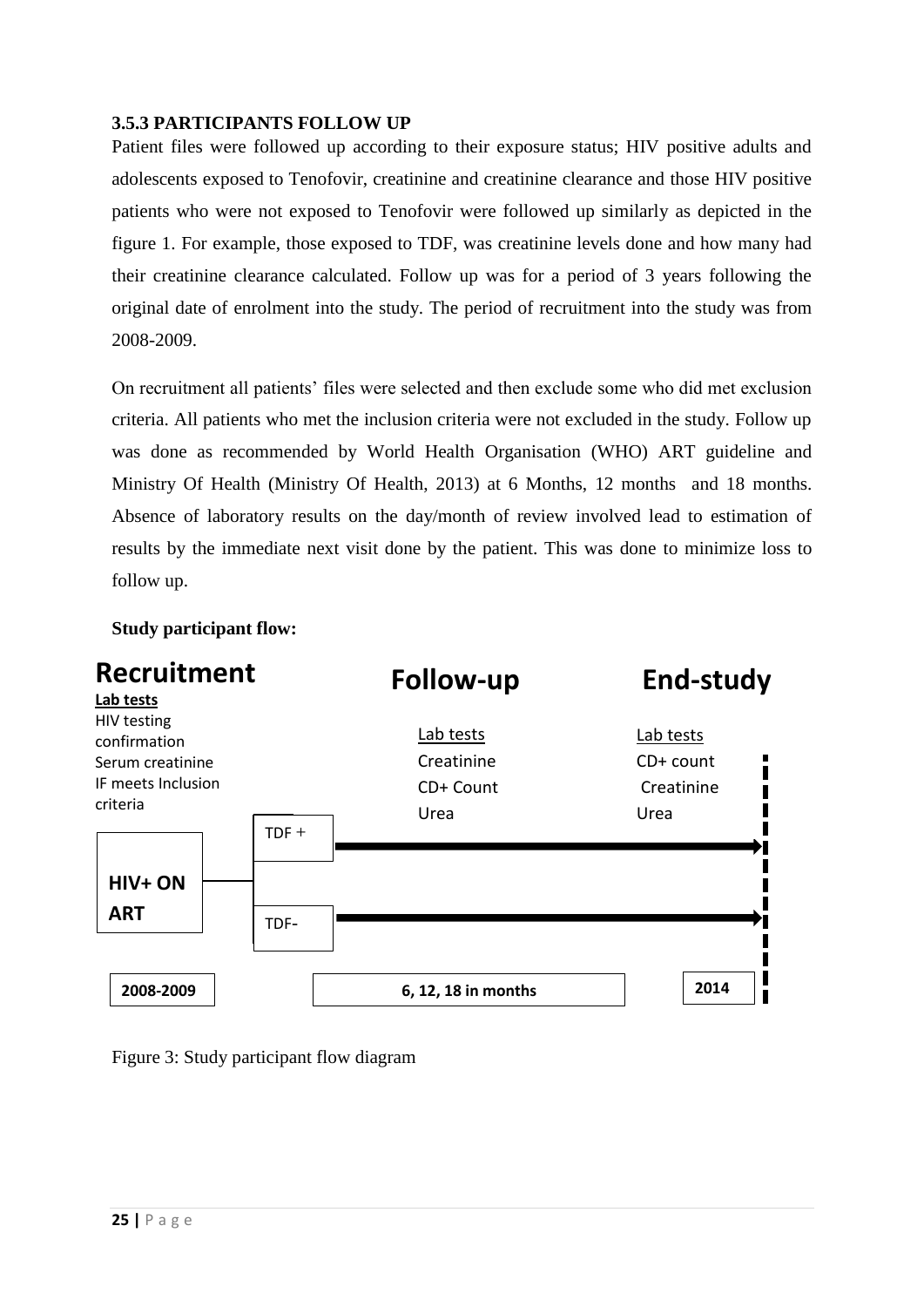## <span id="page-27-0"></span>**3.5.3 PARTICIPANTS FOLLOW UP**

Patient files were followed up according to their exposure status; HIV positive adults and adolescents exposed to Tenofovir, creatinine and creatinine clearance and those HIV positive patients who were not exposed to Tenofovir were followed up similarly as depicted in the figure 1. For example, those exposed to TDF, was creatinine levels done and how many had their creatinine clearance calculated. Follow up was for a period of 3 years following the original date of enrolment into the study. The period of recruitment into the study was from 2008-2009.

On recruitment all patients' files were selected and then exclude some who did met exclusion criteria. All patients who met the inclusion criteria were not excluded in the study. Follow up was done as recommended by World Health Organisation (WHO) ART guideline and Ministry Of Health (Ministry [Of Health, 2013\)](#page-47-7) at 6 Months, 12 months and 18 months. Absence of laboratory results on the day/month of review involved lead to estimation of results by the immediate next visit done by the patient. This was done to minimize loss to follow up.

### **Study participant flow:**



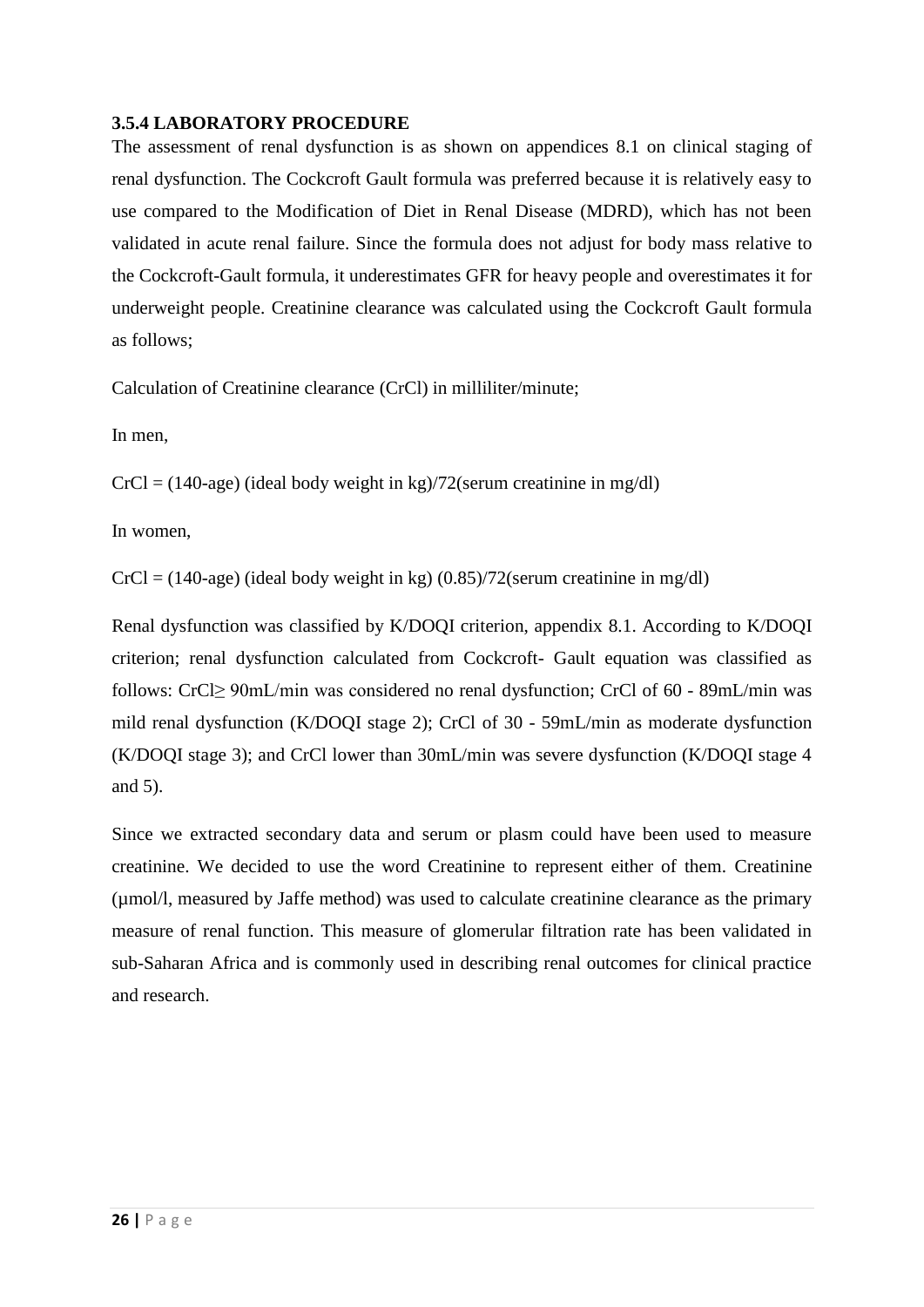## <span id="page-28-0"></span>**3.5.4 LABORATORY PROCEDURE**

The assessment of renal dysfunction is as shown on appendices 8.1 on clinical staging of renal dysfunction. The Cockcroft Gault formula was preferred because it is relatively easy to use compared to the Modification of Diet in Renal Disease (MDRD), which has not been validated in acute renal failure. Since the formula does not adjust for body mass relative to the Cockcroft-Gault formula, it underestimates GFR for heavy people and overestimates it for underweight people. Creatinine clearance was calculated using the Cockcroft Gault formula as follows;

Calculation of Creatinine clearance (CrCl) in milliliter/minute;

In men,

 $CrCl = (140 \text{-age})$  (ideal body weight in kg)/72(serum creatinine in mg/dl)

In women,

 $CrCl = (140 \text{-age})$  (ideal body weight in kg)  $(0.85)/72$  (serum creatinine in mg/dl)

Renal dysfunction was classified by K/DOQI criterion, appendix 8.1. According to K/DOQI criterion; renal dysfunction calculated from Cockcroft- Gault equation was classified as follows: CrCl≥ 90mL/min was considered no renal dysfunction; CrCl of 60 - 89mL/min was mild renal dysfunction (K/DOQI stage 2); CrCl of 30 - 59mL/min as moderate dysfunction (K/DOQI stage 3); and CrCl lower than 30mL/min was severe dysfunction (K/DOQI stage 4 and 5).

Since we extracted secondary data and serum or plasm could have been used to measure creatinine. We decided to use the word Creatinine to represent either of them. Creatinine (µmol/l, measured by Jaffe method) was used to calculate creatinine clearance as the primary measure of renal function. This measure of glomerular filtration rate has been validated in sub-Saharan Africa and is commonly used in describing renal outcomes for clinical practice and research.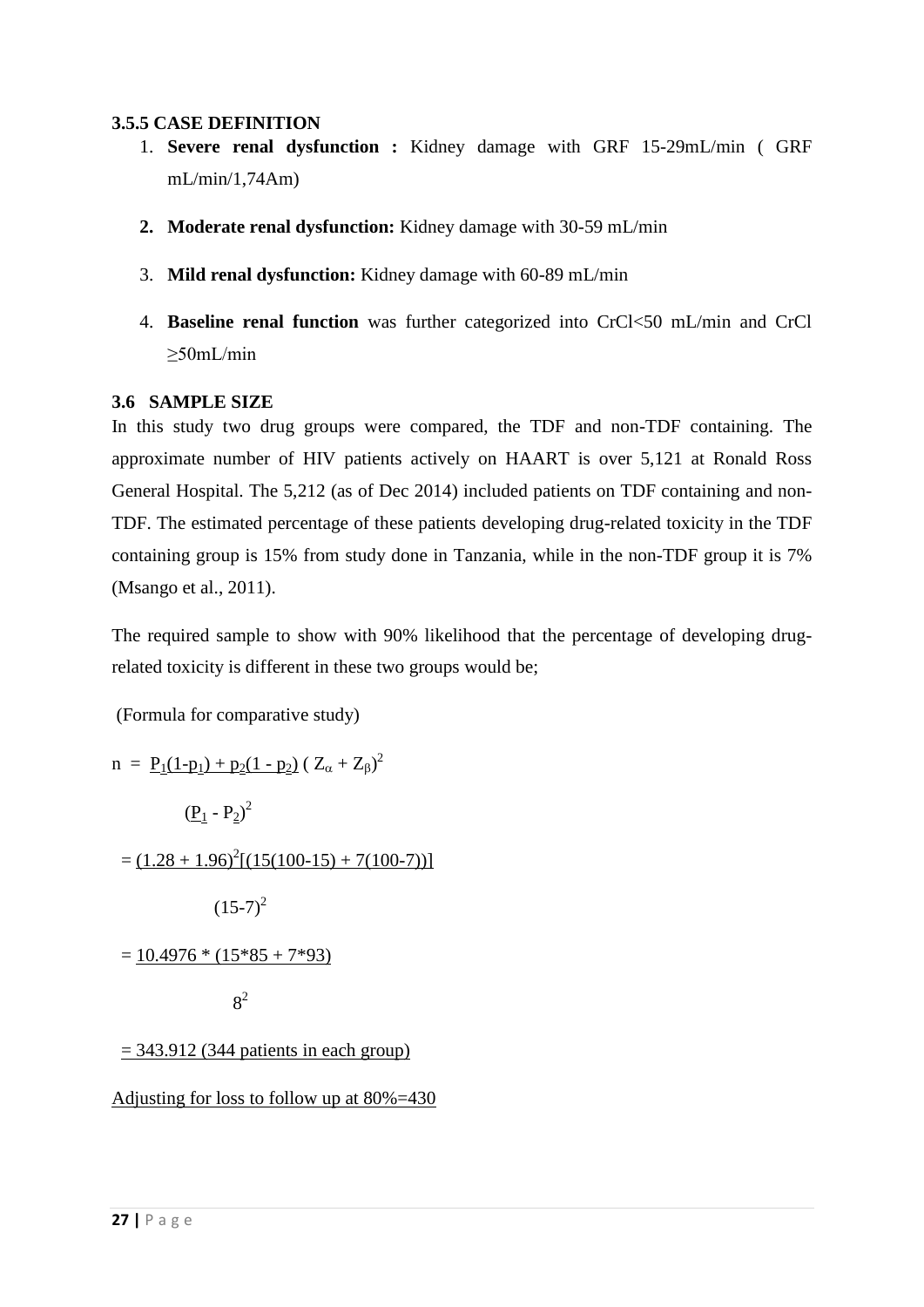### <span id="page-29-0"></span>**3.5.5 CASE DEFINITION**

- 1. **Severe renal dysfunction :** Kidney damage with GRF 15-29mL/min ( GRF  $mL/min/1,74Am$
- **2. Moderate renal dysfunction:** Kidney damage with 30-59 mL/min
- 3. **Mild renal dysfunction:** Kidney damage with 60-89 mL/min
- 4. **Baseline renal function** was further categorized into CrCl<50 mL/min and CrCl ≥50mL/min

### <span id="page-29-1"></span>**3.6 SAMPLE SIZE**

In this study two drug groups were compared, the TDF and non-TDF containing. The approximate number of HIV patients actively on HAART is over 5,121 at Ronald Ross General Hospital. The 5,212 (as of Dec 2014) included patients on TDF containing and non-TDF. The estimated percentage of these patients developing drug-related toxicity in the TDF containing group is 15% from study done in Tanzania, while in the non-TDF group it is 7% [\(Msango et al., 2011\)](#page-48-5).

The required sample to show with 90% likelihood that the percentage of developing drugrelated toxicity is different in these two groups would be;

(Formula for comparative study)

n = 
$$
\underline{P_1(1-p_1) + p_2(1-p_2)} (Z_\alpha + Z_\beta)^2
$$
  
\n
$$
(\underline{P_1} - P_2)^2
$$
\n=  $(1.28 + 1.96)^2 [(15(100-15) + 7(100-7))]$   
\n $(15-7)^2$   
\n=  $\underline{10.4976 * (15 * 85 + 7 * 93)}$   
\n8<sup>2</sup>  
\n= 343.912 (344 patients in each group)

Adjusting for loss to follow up at 80%=430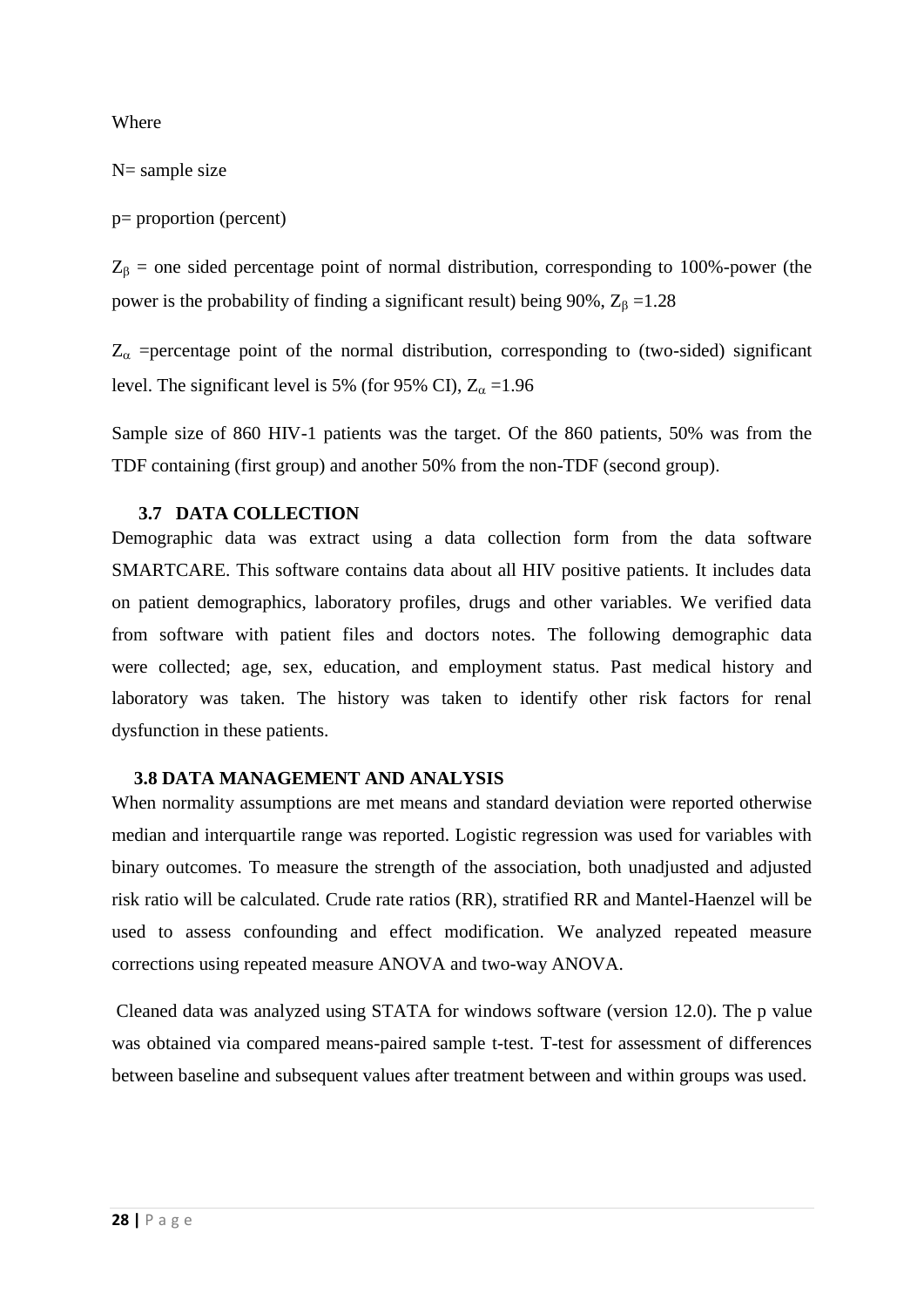Where

N= sample size

p= proportion (percent)

 $Z_{\beta}$  = one sided percentage point of normal distribution, corresponding to 100%-power (the power is the probability of finding a significant result) being 90%,  $Z_{\beta} = 1.28$ 

 $Z_{\alpha}$  =percentage point of the normal distribution, corresponding to (two-sided) significant level. The significant level is 5% (for 95% CI),  $Z_{\alpha} = 1.96$ 

Sample size of 860 HIV-1 patients was the target. Of the 860 patients, 50% was from the TDF containing (first group) and another 50% from the non-TDF (second group).

#### <span id="page-30-0"></span> **3.7 DATA COLLECTION**

Demographic data was extract using a data collection form from the data software SMARTCARE. This software contains data about all HIV positive patients. It includes data on patient demographics, laboratory profiles, drugs and other variables. We verified data from software with patient files and doctors notes. The following demographic data were collected; age, sex, education, and employment status. Past medical history and laboratory was taken. The history was taken to identify other risk factors for renal dysfunction in these patients.

#### <span id="page-30-1"></span> **3.8 DATA MANAGEMENT AND ANALYSIS**

When normality assumptions are met means and standard deviation were reported otherwise median and interquartile range was reported. Logistic regression was used for variables with binary outcomes. To measure the strength of the association, both unadjusted and adjusted risk ratio will be calculated. Crude rate ratios (RR), stratified RR and Mantel-Haenzel will be used to assess confounding and effect modification. We analyzed repeated measure corrections using repeated measure ANOVA and two-way ANOVA.

Cleaned data was analyzed using STATA for windows software (version 12.0). The p value was obtained via compared means-paired sample t-test. T-test for assessment of differences between baseline and subsequent values after treatment between and within groups was used.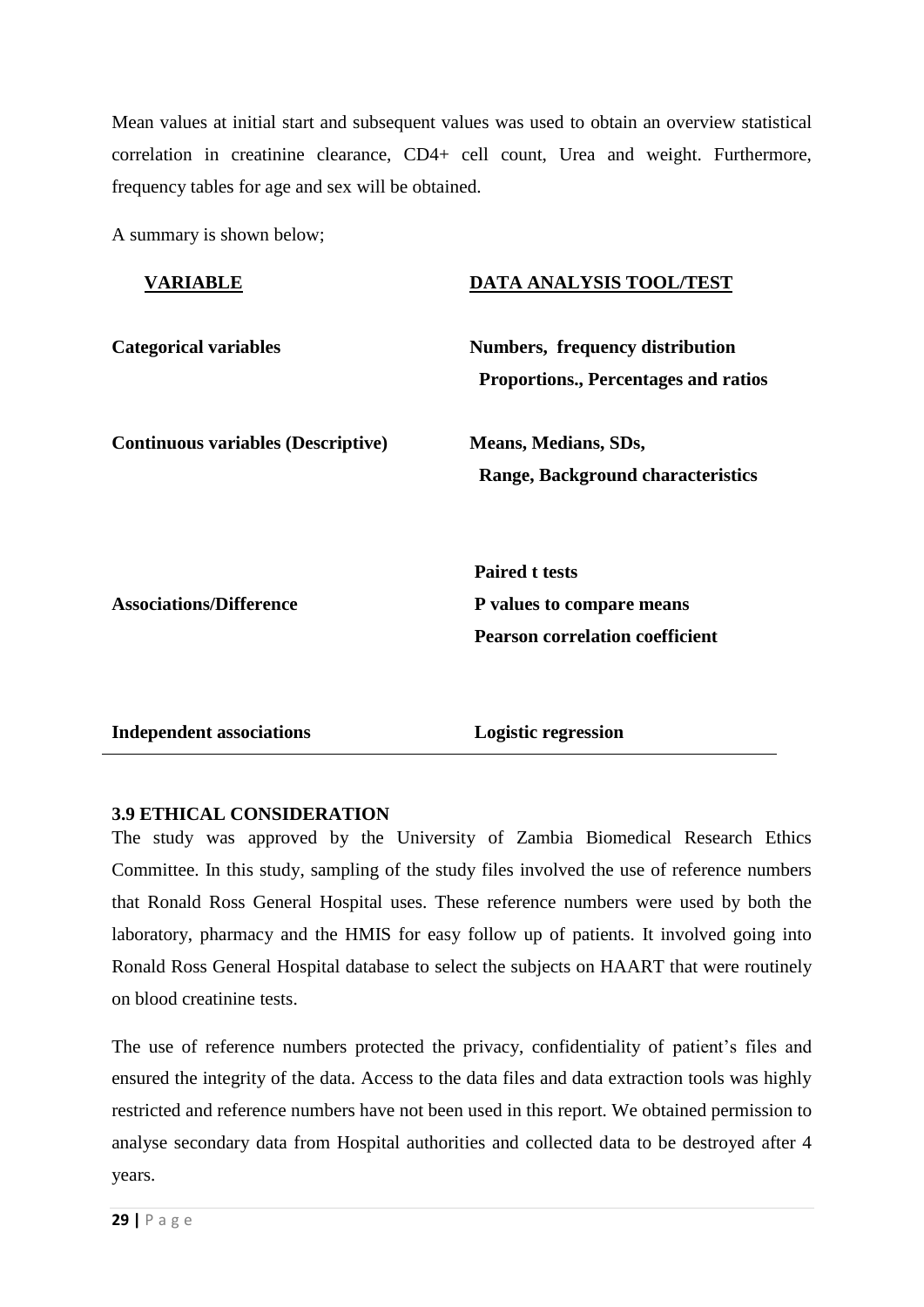Mean values at initial start and subsequent values was used to obtain an overview statistical correlation in creatinine clearance, CD4+ cell count, Urea and weight. Furthermore, frequency tables for age and sex will be obtained.

A summary is shown below;

| <b>VARIABLE</b>                           | <b>DATA ANALYSIS TOOL/TEST</b>                                                               |
|-------------------------------------------|----------------------------------------------------------------------------------------------|
| <b>Categorical variables</b>              | Numbers, frequency distribution<br><b>Proportions., Percentages and ratios</b>               |
| <b>Continuous variables (Descriptive)</b> | <b>Means, Medians, SDs,</b><br><b>Range, Background characteristics</b>                      |
| <b>Associations/Difference</b>            | <b>Paired t tests</b><br>P values to compare means<br><b>Pearson correlation coefficient</b> |
| <b>Independent associations</b>           | <b>Logistic regression</b>                                                                   |

### <span id="page-31-0"></span>**3.9 ETHICAL CONSIDERATION**

The study was approved by the University of Zambia Biomedical Research Ethics Committee. In this study, sampling of the study files involved the use of reference numbers that Ronald Ross General Hospital uses. These reference numbers were used by both the laboratory, pharmacy and the HMIS for easy follow up of patients. It involved going into Ronald Ross General Hospital database to select the subjects on HAART that were routinely on blood creatinine tests.

The use of reference numbers protected the privacy, confidentiality of patient's files and ensured the integrity of the data. Access to the data files and data extraction tools was highly restricted and reference numbers have not been used in this report. We obtained permission to analyse secondary data from Hospital authorities and collected data to be destroyed after 4 years.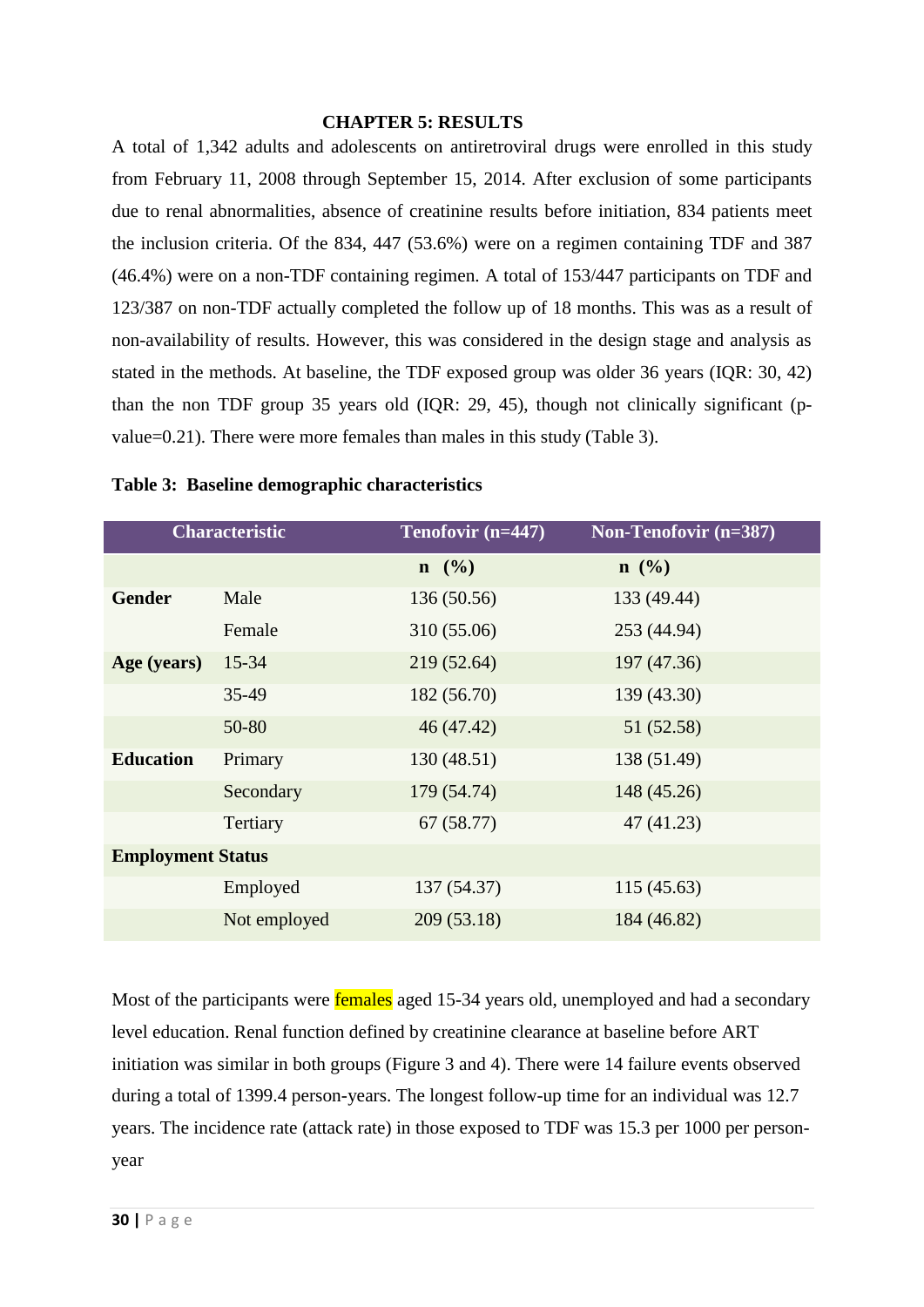### <span id="page-32-0"></span> **CHAPTER 5: RESULTS**

A total of 1,342 adults and adolescents on antiretroviral drugs were enrolled in this study from February 11, 2008 through September 15, 2014. After exclusion of some participants due to renal abnormalities, absence of creatinine results before initiation, 834 patients meet the inclusion criteria. Of the 834, 447 (53.6%) were on a regimen containing TDF and 387 (46.4%) were on a non-TDF containing regimen. A total of 153/447 participants on TDF and 123/387 on non-TDF actually completed the follow up of 18 months. This was as a result of non-availability of results. However, this was considered in the design stage and analysis as stated in the methods. At baseline, the TDF exposed group was older 36 years (IQR: 30, 42) than the non TDF group 35 years old (IQR: 29, 45), though not clinically significant (pvalue=0.21). There were more females than males in this study (Table 3).

|                          | <b>Characteristic</b> | Tenofovir (n=447) | <b>Non-Tenofovir (n=387)</b> |
|--------------------------|-----------------------|-------------------|------------------------------|
|                          |                       | $n \ (\%)$        | $n \ (\%)$                   |
| <b>Gender</b>            | Male                  | 136 (50.56)       | 133 (49.44)                  |
|                          | Female                | 310 (55.06)       | 253 (44.94)                  |
| Age (years)              | $15 - 34$             | 219 (52.64)       | 197 (47.36)                  |
|                          | 35-49                 | 182 (56.70)       | 139 (43.30)                  |
|                          | 50-80                 | 46 (47.42)        | 51 (52.58)                   |
| <b>Education</b>         | Primary               | 130(48.51)        | 138 (51.49)                  |
|                          | Secondary             | 179 (54.74)       | 148 (45.26)                  |
|                          | Tertiary              | 67(58.77)         | 47(41.23)                    |
| <b>Employment Status</b> |                       |                   |                              |
|                          | Employed              | 137 (54.37)       | 115 (45.63)                  |
|                          | Not employed          | 209(53.18)        | 184 (46.82)                  |

### **Table 3: Baseline demographic characteristics**

Most of the participants were **females** aged 15-34 years old, unemployed and had a secondary level education. Renal function defined by creatinine clearance at baseline before ART initiation was similar in both groups (Figure 3 and 4). There were 14 failure events observed during a total of 1399.4 person-years. The longest follow-up time for an individual was 12.7 years. The incidence rate (attack rate) in those exposed to TDF was 15.3 per 1000 per personyear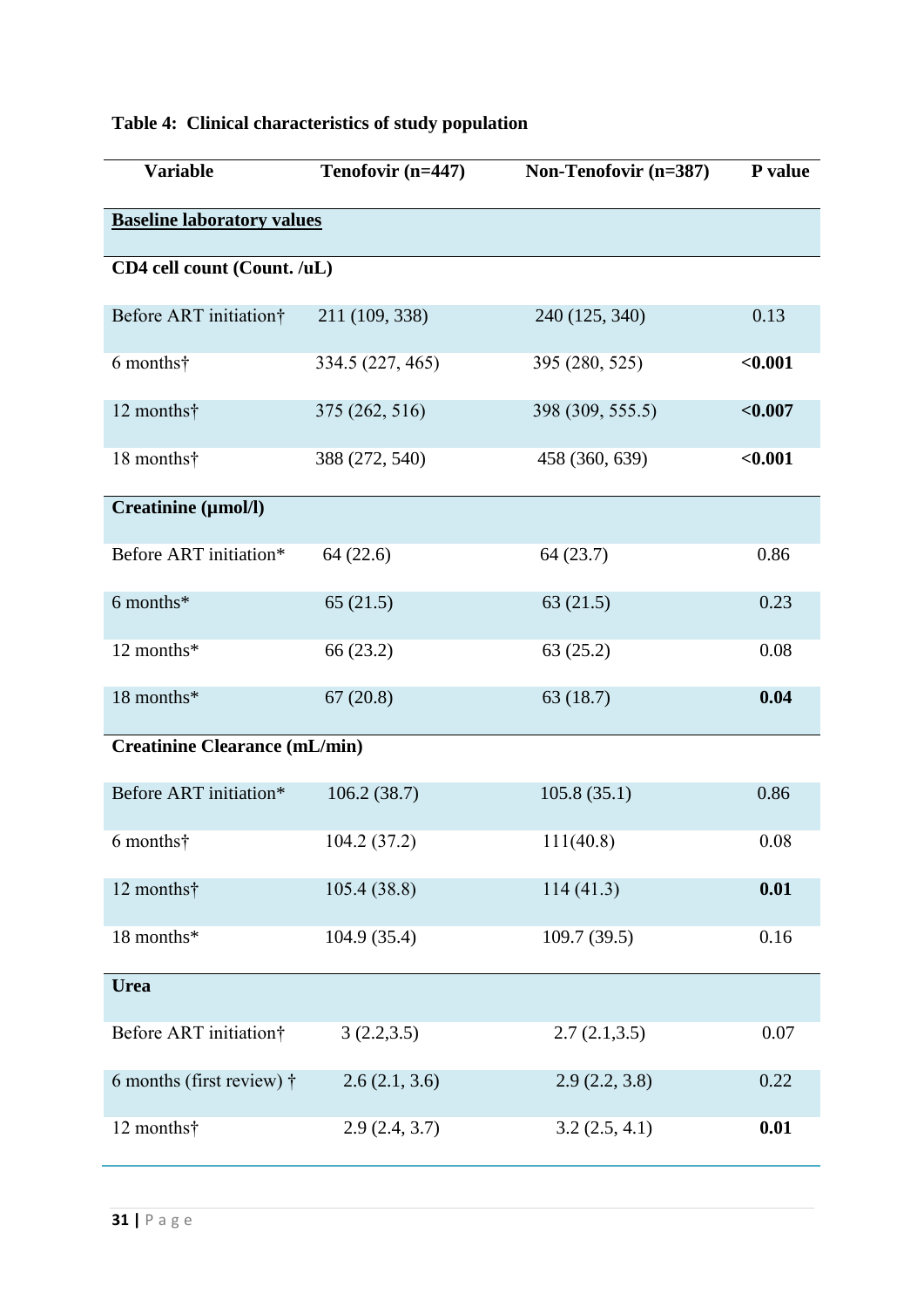| <b>Variable</b>                      | Tenofovir (n=447) | Non-Tenofovir (n=387) | P value    |  |  |
|--------------------------------------|-------------------|-----------------------|------------|--|--|
| <b>Baseline laboratory values</b>    |                   |                       |            |  |  |
| CD4 cell count (Count. /uL)          |                   |                       |            |  |  |
| Before ART initiation†               | 211 (109, 338)    | 240 (125, 340)        | 0.13       |  |  |
| 6 months†                            | 334.5 (227, 465)  | 395 (280, 525)        | $0.001$    |  |  |
| 12 months†                           | 375 (262, 516)    | 398 (309, 555.5)      | ${<}0.007$ |  |  |
| 18 months†                           | 388 (272, 540)    | 458 (360, 639)        | < 0.001    |  |  |
| Creatinine (µmol/l)                  |                   |                       |            |  |  |
| Before ART initiation*               | 64(22.6)          | 64(23.7)              | 0.86       |  |  |
| 6 months*                            | 65(21.5)          | 63(21.5)              | 0.23       |  |  |
| 12 months*                           | 66 (23.2)         | 63(25.2)              | 0.08       |  |  |
| 18 months*                           | 67(20.8)          | 63(18.7)              | 0.04       |  |  |
| <b>Creatinine Clearance (mL/min)</b> |                   |                       |            |  |  |
| Before ART initiation*               | 106.2(38.7)       | 105.8(35.1)           | 0.86       |  |  |
| 6 months†                            | 104.2 (37.2)      | 111(40.8)             | 0.08       |  |  |
| 12 months†                           | 105.4(38.8)       | 114(41.3)             | 0.01       |  |  |
| 18 months*                           | 104.9(35.4)       | 109.7(39.5)           | 0.16       |  |  |
| <b>Urea</b>                          |                   |                       |            |  |  |
| Before ART initiation†               | 3(2.2,3.5)        | 2.7(2.1,3.5)          | 0.07       |  |  |
| 6 months (first review) $\dagger$    | 2.6(2.1, 3.6)     | 2.9(2.2, 3.8)         | 0.22       |  |  |
| 12 months†                           | 2.9(2.4, 3.7)     | 3.2(2.5, 4.1)         | 0.01       |  |  |

# **Table 4: Clinical characteristics of study population**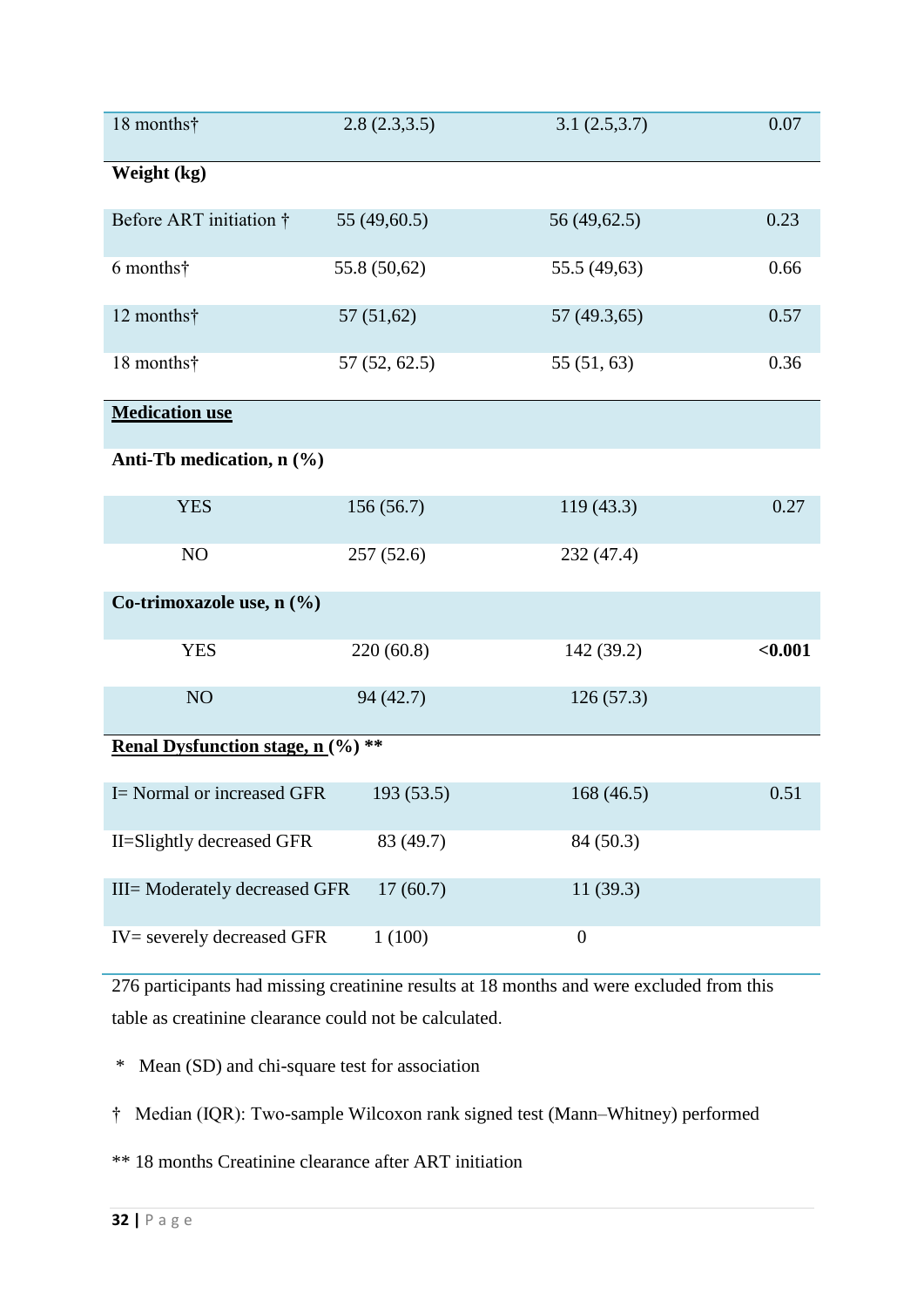| 18 months†                                             | 2.8(2.3,3.5) | 3.1(2.5,3.7)     | 0.07    |  |  |  |
|--------------------------------------------------------|--------------|------------------|---------|--|--|--|
| Weight (kg)                                            |              |                  |         |  |  |  |
| Before ART initiation †                                | 55 (49,60.5) | 56 (49,62.5)     | 0.23    |  |  |  |
| 6 months†                                              | 55.8 (50,62) | 55.5 (49,63)     | 0.66    |  |  |  |
| 12 months†                                             | 57(51,62)    | 57 (49.3,65)     | 0.57    |  |  |  |
| 18 months†                                             | 57(52, 62.5) | 55(51, 63)       | 0.36    |  |  |  |
| <b>Medication use</b>                                  |              |                  |         |  |  |  |
| Anti-Tb medication, n (%)                              |              |                  |         |  |  |  |
| <b>YES</b>                                             | 156(56.7)    | 119(43.3)        | 0.27    |  |  |  |
| NO                                                     | 257(52.6)    | 232 (47.4)       |         |  |  |  |
| Co-trimoxazole use, n (%)                              |              |                  |         |  |  |  |
| <b>YES</b>                                             | 220(60.8)    | 142 (39.2)       | < 0.001 |  |  |  |
| NO <sub>1</sub>                                        | 94 (42.7)    | 126(57.3)        |         |  |  |  |
| <b>Renal Dysfunction stage, n</b> $(\%)$ <sup>**</sup> |              |                  |         |  |  |  |
| I = Normal or increased GFR                            | 193(53.5)    | 168(46.5)        | 0.51    |  |  |  |
| II=Slightly decreased GFR                              | 83 (49.7)    | 84 (50.3)        |         |  |  |  |
| III= Moderately decreased GFR                          | 17(60.7)     | 11(39.3)         |         |  |  |  |
| IV= severely decreased GFR                             | 1(100)       | $\boldsymbol{0}$ |         |  |  |  |

276 participants had missing creatinine results at 18 months and were excluded from this table as creatinine clearance could not be calculated.

\* Mean (SD) and chi-square test for association

† Median (IQR): Two-sample Wilcoxon rank signed test (Mann–Whitney) performed

\*\* 18 months Creatinine clearance after ART initiation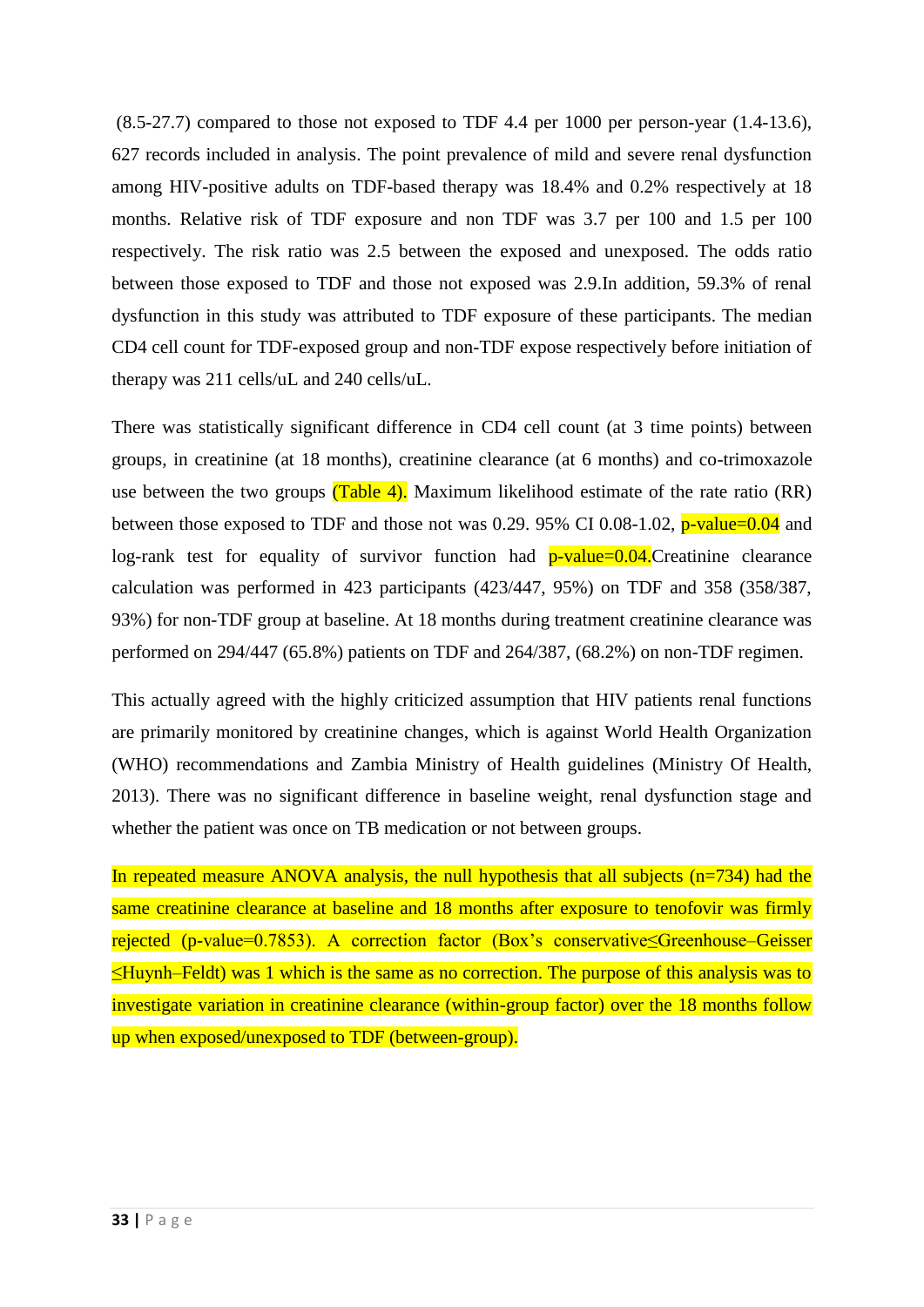(8.5-27.7) compared to those not exposed to TDF 4.4 per 1000 per person-year (1.4-13.6), 627 records included in analysis. The point prevalence of mild and severe renal dysfunction among HIV-positive adults on TDF-based therapy was 18.4% and 0.2% respectively at 18 months. Relative risk of TDF exposure and non TDF was 3.7 per 100 and 1.5 per 100 respectively. The risk ratio was 2.5 between the exposed and unexposed. The odds ratio between those exposed to TDF and those not exposed was 2.9.In addition, 59.3% of renal dysfunction in this study was attributed to TDF exposure of these participants. The median CD4 cell count for TDF-exposed group and non-TDF expose respectively before initiation of therapy was 211 cells/uL and 240 cells/uL.

There was statistically significant difference in CD4 cell count (at 3 time points) between groups, in creatinine (at 18 months), creatinine clearance (at 6 months) and co-trimoxazole use between the two groups  $(Table 4)$ . Maximum likelihood estimate of the rate ratio  $(RR)$ between those exposed to TDF and those not was 0.29. 95% CI 0.08-1.02,  $p$ -value=0.04 and log-rank test for equality of survivor function had p-value=0.04. Creatinine clearance calculation was performed in 423 participants (423/447, 95%) on TDF and 358 (358/387, 93%) for non-TDF group at baseline. At 18 months during treatment creatinine clearance was performed on 294/447 (65.8%) patients on TDF and 264/387, (68.2%) on non-TDF regimen.

This actually agreed with the highly criticized assumption that HIV patients renal functions are primarily monitored by creatinine changes, which is against World Health Organization (WHO) recommendations and Zambia Ministry of Health guidelines [\(Ministry Of Health,](#page-47-7)  [2013\)](#page-47-7). There was no significant difference in baseline weight, renal dysfunction stage and whether the patient was once on TB medication or not between groups.

In repeated measure ANOVA analysis, the null hypothesis that all subjects  $(n=734)$  had the same creatinine clearance at baseline and 18 months after exposure to tenofovir was firmly rejected (p-value=0.7853). A correction factor (Box's conservative≤Greenhouse–Geisser ≤Huynh–Feldt) was 1 which is the same as no correction. The purpose of this analysis was to investigate variation in creatinine clearance (within-group factor) over the 18 months follow up when exposed/unexposed to TDF (between-group).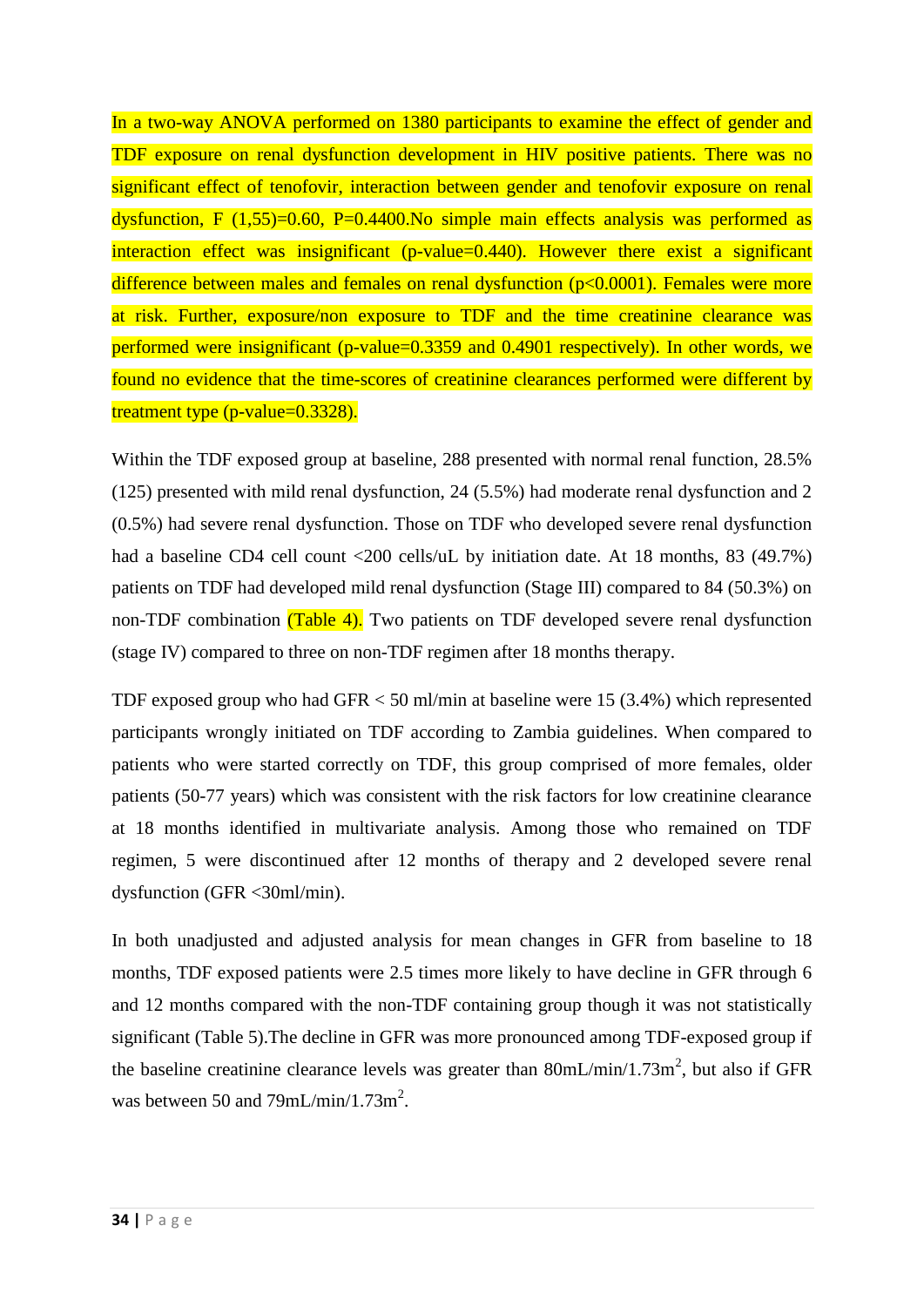In a two-way ANOVA performed on 1380 participants to examine the effect of gender and TDF exposure on renal dysfunction development in HIV positive patients. There was no significant effect of tenofovir, interaction between gender and tenofovir exposure on renal dysfunction, F  $(1,55)=0.60$ , P=0.4400.No simple main effects analysis was performed as interaction effect was insignificant (p-value=0.440). However there exist a significant difference between males and females on renal dysfunction (p<0.0001). Females were more at risk. Further, exposure/non exposure to TDF and the time creatinine clearance was performed were insignificant (p-value=0.3359 and 0.4901 respectively). In other words, we found no evidence that the time-scores of creatinine clearances performed were different by treatment type (p-value=0.3328).

Within the TDF exposed group at baseline, 288 presented with normal renal function, 28.5% (125) presented with mild renal dysfunction, 24 (5.5%) had moderate renal dysfunction and 2 (0.5%) had severe renal dysfunction. Those on TDF who developed severe renal dysfunction had a baseline CD4 cell count <200 cells/uL by initiation date. At 18 months, 83 (49.7%) patients on TDF had developed mild renal dysfunction (Stage III) compared to 84 (50.3%) on non-TDF combination (Table 4). Two patients on TDF developed severe renal dysfunction (stage IV) compared to three on non-TDF regimen after 18 months therapy.

TDF exposed group who had GFR < 50 ml/min at baseline were 15 (3.4%) which represented participants wrongly initiated on TDF according to Zambia guidelines. When compared to patients who were started correctly on TDF, this group comprised of more females, older patients (50-77 years) which was consistent with the risk factors for low creatinine clearance at 18 months identified in multivariate analysis. Among those who remained on TDF regimen, 5 were discontinued after 12 months of therapy and 2 developed severe renal dysfunction (GFR <30ml/min).

In both unadjusted and adjusted analysis for mean changes in GFR from baseline to 18 months, TDF exposed patients were 2.5 times more likely to have decline in GFR through 6 and 12 months compared with the non-TDF containing group though it was not statistically significant (Table 5).The decline in GFR was more pronounced among TDF-exposed group if the baseline creatinine clearance levels was greater than  $80 \text{mL/min}/1.73 \text{m}^2$ , but also if GFR was between 50 and 79mL/min/1.73m<sup>2</sup>.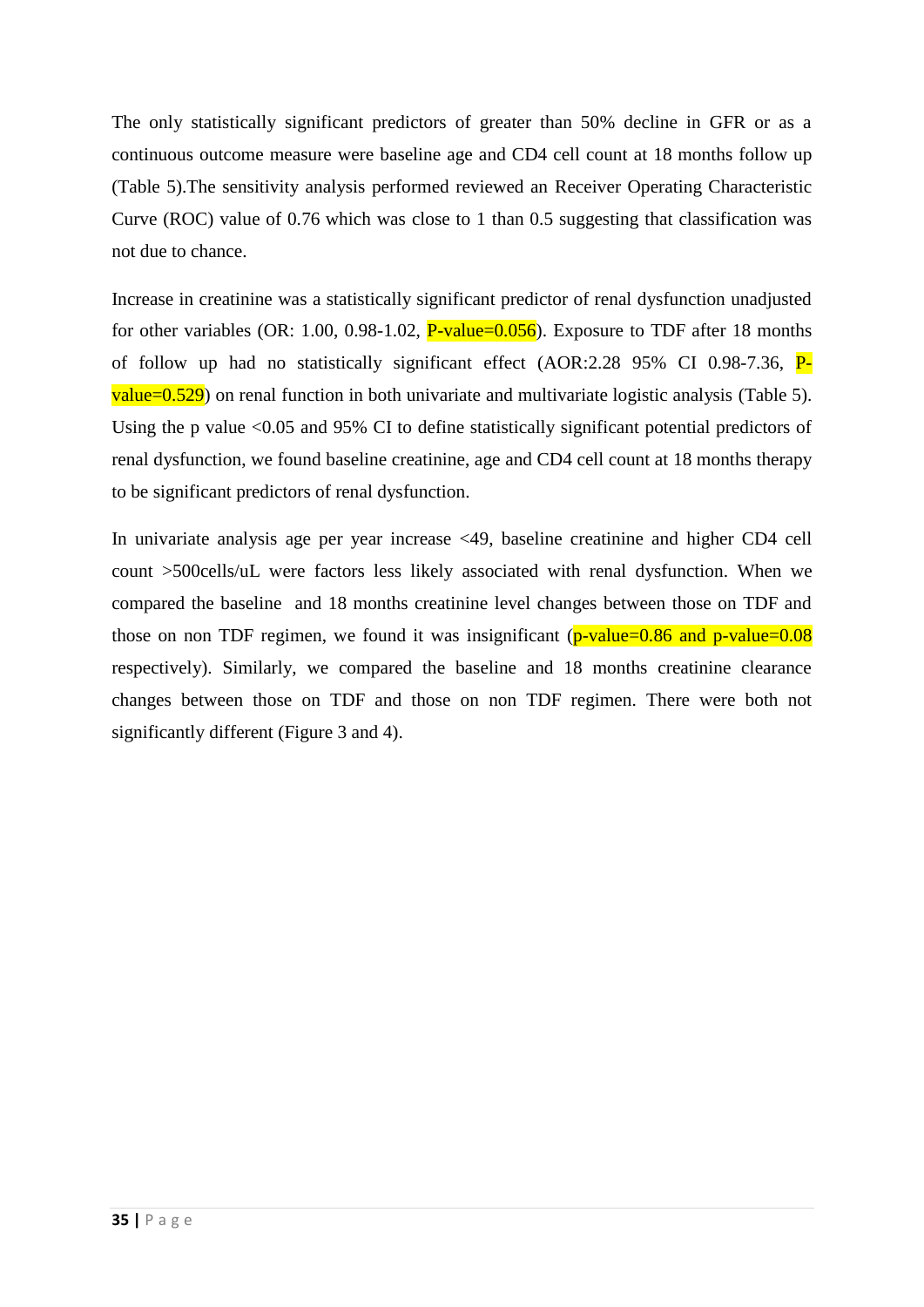The only statistically significant predictors of greater than 50% decline in GFR or as a continuous outcome measure were baseline age and CD4 cell count at 18 months follow up (Table 5).The sensitivity analysis performed reviewed an Receiver Operating Characteristic Curve (ROC) value of 0.76 which was close to 1 than 0.5 suggesting that classification was not due to chance.

Increase in creatinine was a statistically significant predictor of renal dysfunction unadjusted for other variables (OR: 1.00, 0.98-1.02,  $P$ -value=0.056). Exposure to TDF after 18 months of follow up had no statistically significant effect (AOR:2.28 95% CI 0.98-7.36, P $value = 0.529$ ) on renal function in both univariate and multivariate logistic analysis (Table 5). Using the p value <0.05 and 95% CI to define statistically significant potential predictors of renal dysfunction, we found baseline creatinine, age and CD4 cell count at 18 months therapy to be significant predictors of renal dysfunction.

In univariate analysis age per year increase <49, baseline creatinine and higher CD4 cell count >500cells/uL were factors less likely associated with renal dysfunction. When we compared the baseline and 18 months creatinine level changes between those on TDF and those on non TDF regimen, we found it was insignificant ( $p$ -value=0.86 and  $p$ -value=0.08 respectively). Similarly, we compared the baseline and 18 months creatinine clearance changes between those on TDF and those on non TDF regimen. There were both not significantly different (Figure 3 and 4).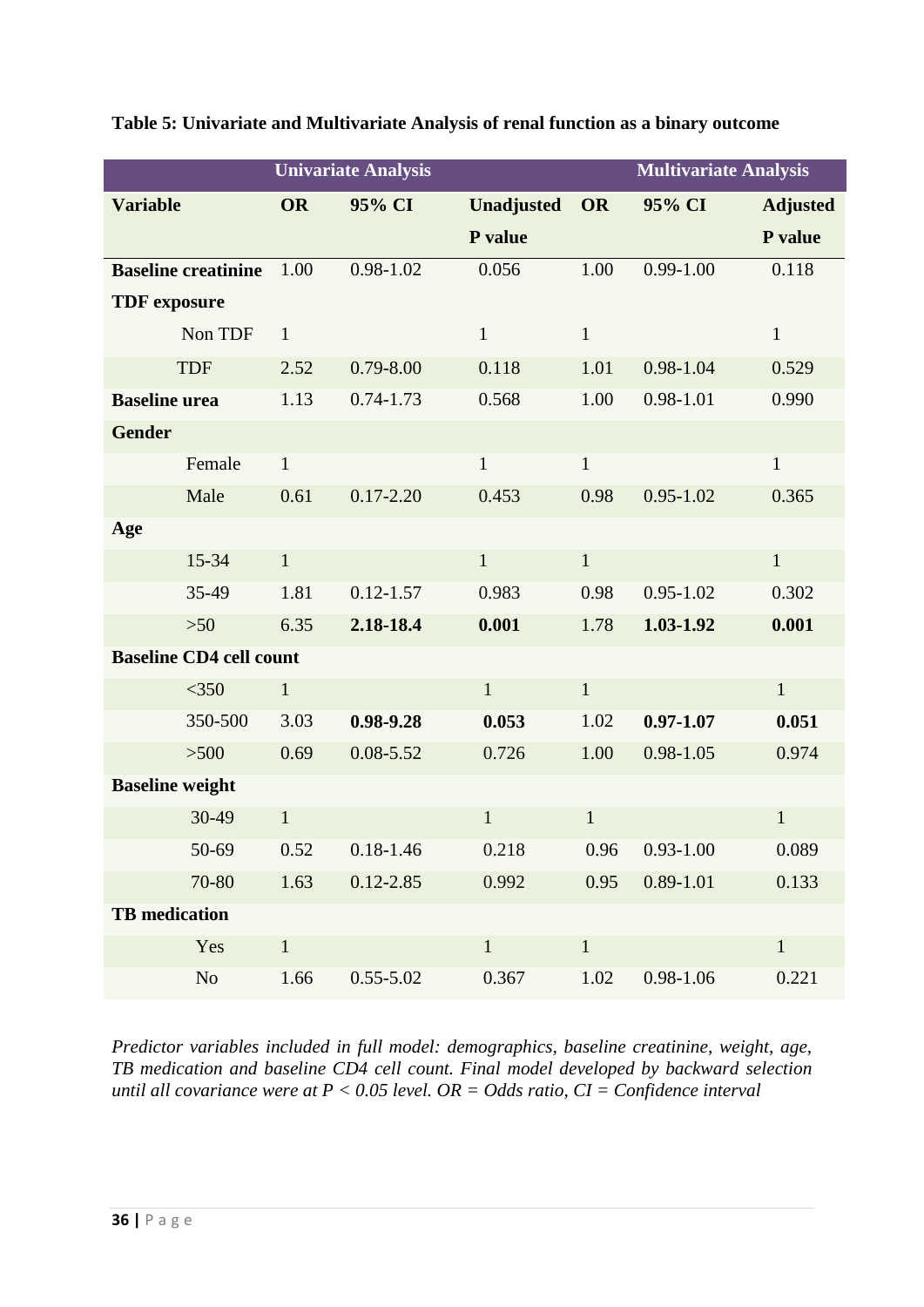|                                | <b>Univariate Analysis</b> |               |                   | <b>Multivariate Analysis</b> |               |                 |
|--------------------------------|----------------------------|---------------|-------------------|------------------------------|---------------|-----------------|
| <b>Variable</b>                | <b>OR</b>                  | 95% CI        | <b>Unadjusted</b> | <b>OR</b>                    | 95% CI        | <b>Adjusted</b> |
|                                |                            |               | P value           |                              |               | P value         |
| <b>Baseline creatinine</b>     | 1.00                       | $0.98 - 1.02$ | 0.056             | 1.00                         | $0.99 - 1.00$ | 0.118           |
| <b>TDF</b> exposure            |                            |               |                   |                              |               |                 |
| Non TDF                        | $\mathbf{1}$               |               | $\mathbf{1}$      | $\mathbf{1}$                 |               | $\mathbf{1}$    |
| <b>TDF</b>                     | 2.52                       | $0.79 - 8.00$ | 0.118             | 1.01                         | 0.98-1.04     | 0.529           |
| <b>Baseline</b> urea           | 1.13                       | $0.74 - 1.73$ | 0.568             | 1.00                         | $0.98 - 1.01$ | 0.990           |
| <b>Gender</b>                  |                            |               |                   |                              |               |                 |
| Female                         | $\mathbf{1}$               |               | $\mathbf{1}$      | $\mathbf{1}$                 |               | $\mathbf{1}$    |
| Male                           | 0.61                       | $0.17 - 2.20$ | 0.453             | 0.98                         | $0.95 - 1.02$ | 0.365           |
| Age                            |                            |               |                   |                              |               |                 |
| 15-34                          | $\mathbf{1}$               |               | $\mathbf{1}$      | $\mathbf{1}$                 |               | $\mathbf{1}$    |
| 35-49                          | 1.81                       | $0.12 - 1.57$ | 0.983             | 0.98                         | $0.95 - 1.02$ | 0.302           |
| $>50$                          | 6.35                       | 2.18-18.4     | 0.001             | 1.78                         | 1.03-1.92     | 0.001           |
| <b>Baseline CD4 cell count</b> |                            |               |                   |                              |               |                 |
| $<$ 350                        | $\mathbf{1}$               |               | $\mathbf{1}$      | $\mathbf{1}$                 |               | $\mathbf{1}$    |
| 350-500                        | 3.03                       | 0.98-9.28     | 0.053             | 1.02                         | $0.97 - 1.07$ | 0.051           |
| $>500$                         | 0.69                       | $0.08 - 5.52$ | 0.726             | 1.00                         | $0.98 - 1.05$ | 0.974           |
| <b>Baseline</b> weight         |                            |               |                   |                              |               |                 |
| 30-49                          | $\mathbf{1}$               |               | $\mathbf{1}$      | $\mathbf{1}$                 |               | $\mathbf{1}$    |
| 50-69                          | 0.52                       | $0.18 - 1.46$ | 0.218             | 0.96                         | $0.93 - 1.00$ | 0.089           |
| 70-80                          | 1.63                       | $0.12 - 2.85$ | 0.992             | 0.95                         | $0.89 - 1.01$ | 0.133           |
| <b>TB</b> medication           |                            |               |                   |                              |               |                 |
| Yes                            | $\mathbf{1}$               |               | $\mathbf{1}$      | $\mathbf{1}$                 |               | $\mathbf{1}$    |
| N <sub>o</sub>                 | 1.66                       | $0.55 - 5.02$ | 0.367             | 1.02                         | $0.98 - 1.06$ | 0.221           |

# **Table 5: Univariate and Multivariate Analysis of renal function as a binary outcome**

*Predictor variables included in full model: demographics, baseline creatinine, weight, age, TB medication and baseline CD4 cell count. Final model developed by backward selection until all covariance were at P < 0.05 level. OR = Odds ratio, CI = Confidence interval*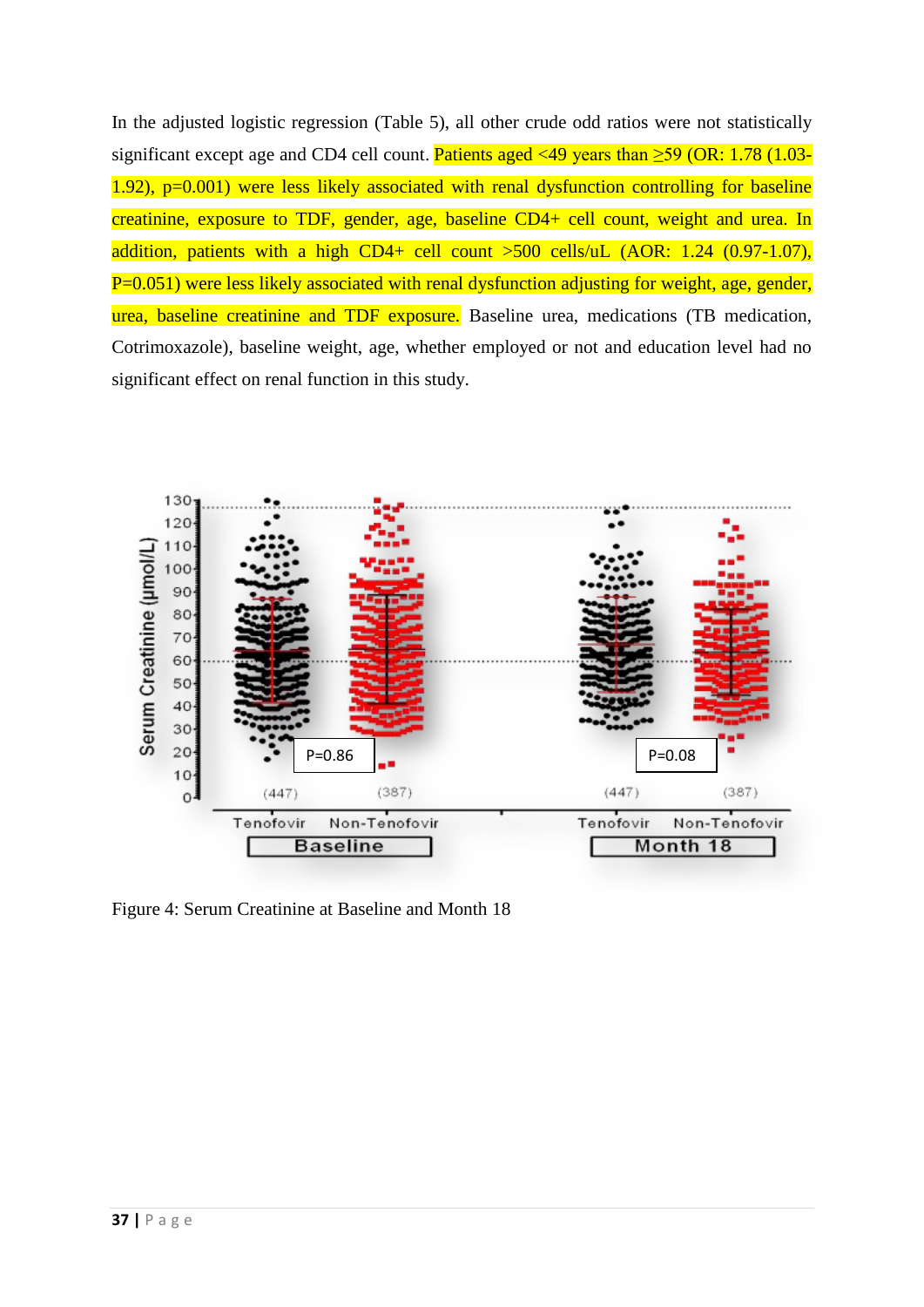In the adjusted logistic regression (Table 5), all other crude odd ratios were not statistically significant except age and CD4 cell count. Patients aged <49 years than  $\geq$ 59 (OR: 1.78 (1.03- $1.92$ ),  $p=0.001$ ) were less likely associated with renal dysfunction controlling for baseline creatinine, exposure to TDF, gender, age, baseline CD4+ cell count, weight and urea. In addition, patients with a high CD4+ cell count >500 cells/uL (AOR: 1.24 (0.97-1.07), P=0.051) were less likely associated with renal dysfunction adjusting for weight, age, gender, urea, baseline creatinine and TDF exposure. Baseline urea, medications (TB medication, Cotrimoxazole), baseline weight, age, whether employed or not and education level had no significant effect on renal function in this study.



Figure 4: Serum Creatinine at Baseline and Month 18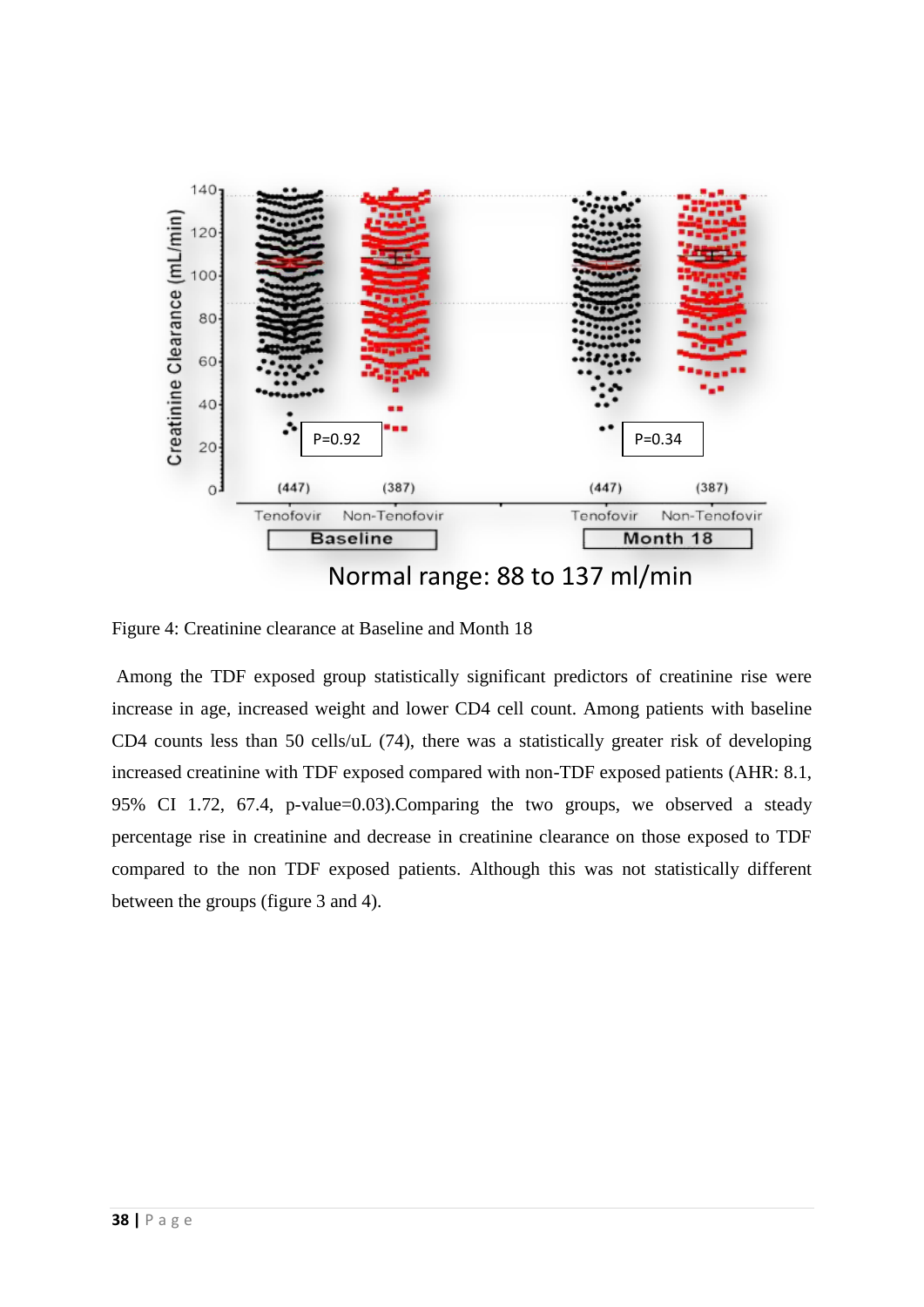

Figure 4: Creatinine clearance at Baseline and Month 18

Among the TDF exposed group statistically significant predictors of creatinine rise were increase in age, increased weight and lower CD4 cell count. Among patients with baseline CD4 counts less than 50 cells/uL (74), there was a statistically greater risk of developing increased creatinine with TDF exposed compared with non-TDF exposed patients (AHR: 8.1, 95% CI 1.72, 67.4, p-value=0.03).Comparing the two groups, we observed a steady percentage rise in creatinine and decrease in creatinine clearance on those exposed to TDF compared to the non TDF exposed patients. Although this was not statistically different between the groups (figure 3 and 4).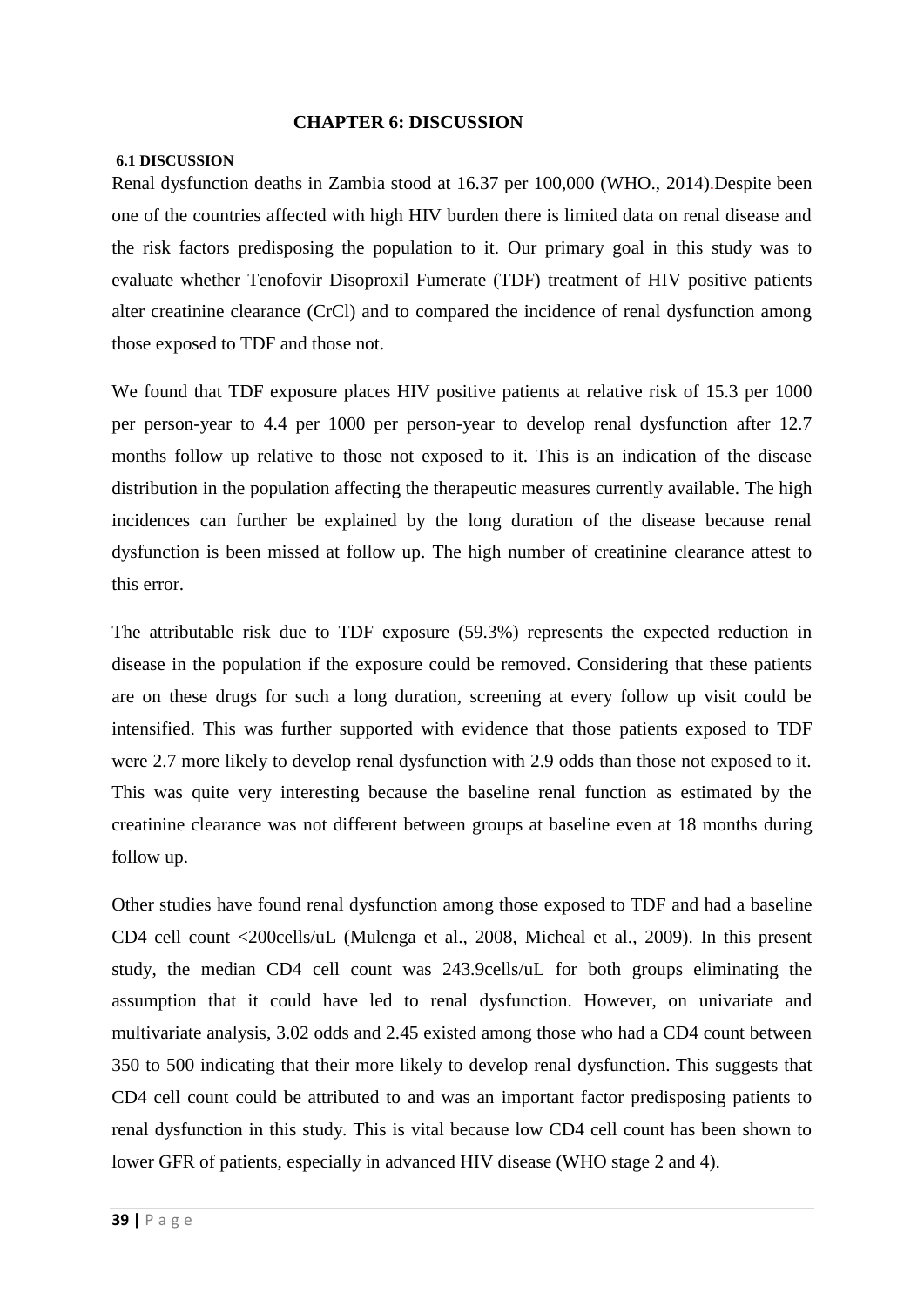#### <span id="page-41-0"></span> **CHAPTER 6: DISCUSSION**

#### <span id="page-41-1"></span>**6.1 DISCUSSION**

Renal dysfunction deaths in Zambia stood at 16.37 per 100,000 [\(WHO., 2014\)](#page-49-5).Despite been one of the countries affected with high HIV burden there is limited data on renal disease and the risk factors predisposing the population to it. Our primary goal in this study was to evaluate whether Tenofovir Disoproxil Fumerate (TDF) treatment of HIV positive patients alter creatinine clearance (CrCl) and to compared the incidence of renal dysfunction among those exposed to TDF and those not.

We found that TDF exposure places HIV positive patients at relative risk of 15.3 per 1000 per person-year to 4.4 per 1000 per person-year to develop renal dysfunction after 12.7 months follow up relative to those not exposed to it. This is an indication of the disease distribution in the population affecting the therapeutic measures currently available. The high incidences can further be explained by the long duration of the disease because renal dysfunction is been missed at follow up. The high number of creatinine clearance attest to this error.

The attributable risk due to TDF exposure (59.3%) represents the expected reduction in disease in the population if the exposure could be removed. Considering that these patients are on these drugs for such a long duration, screening at every follow up visit could be intensified. This was further supported with evidence that those patients exposed to TDF were 2.7 more likely to develop renal dysfunction with 2.9 odds than those not exposed to it. This was quite very interesting because the baseline renal function as estimated by the creatinine clearance was not different between groups at baseline even at 18 months during follow up.

Other studies have found renal dysfunction among those exposed to TDF and had a baseline CD4 cell count <200cells/uL [\(Mulenga et al., 2008,](#page-48-1) [Micheal et al., 2009\)](#page-47-10). In this present study, the median CD4 cell count was 243.9cells/uL for both groups eliminating the assumption that it could have led to renal dysfunction. However, on univariate and multivariate analysis, 3.02 odds and 2.45 existed among those who had a CD4 count between 350 to 500 indicating that their more likely to develop renal dysfunction. This suggests that CD4 cell count could be attributed to and was an important factor predisposing patients to renal dysfunction in this study. This is vital because low CD4 cell count has been shown to lower GFR of patients, especially in advanced HIV disease (WHO stage 2 and 4).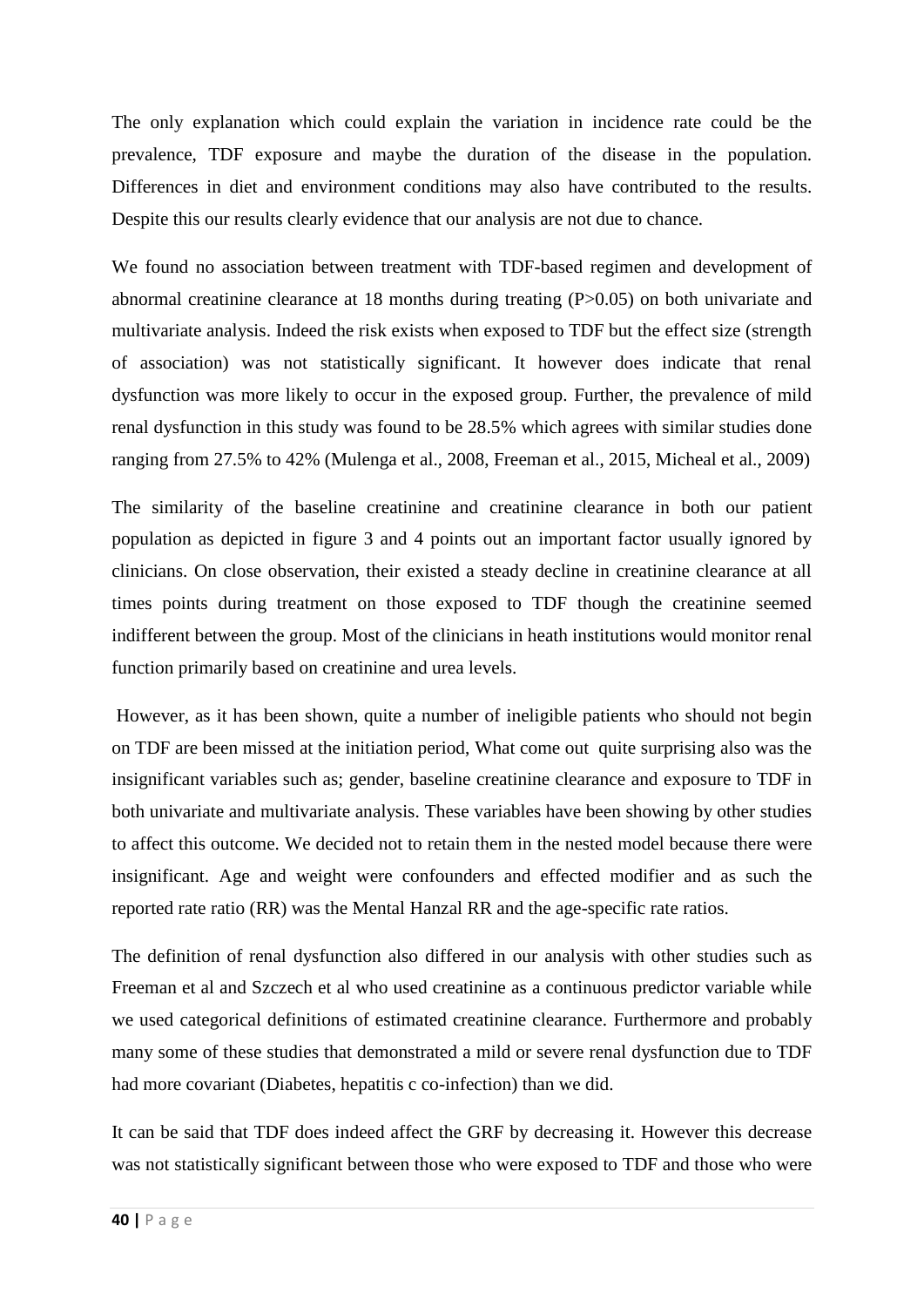The only explanation which could explain the variation in incidence rate could be the prevalence, TDF exposure and maybe the duration of the disease in the population. Differences in diet and environment conditions may also have contributed to the results. Despite this our results clearly evidence that our analysis are not due to chance.

We found no association between treatment with TDF-based regimen and development of abnormal creatinine clearance at 18 months during treating (P>0.05) on both univariate and multivariate analysis. Indeed the risk exists when exposed to TDF but the effect size (strength of association) was not statistically significant. It however does indicate that renal dysfunction was more likely to occur in the exposed group. Further, the prevalence of mild renal dysfunction in this study was found to be 28.5% which agrees with similar studies done ranging from 27.5% to 42% [\(Mulenga et al., 2008,](#page-48-1) [Freeman et al., 2015,](#page-46-6) [Micheal et al., 2009\)](#page-47-10)

The similarity of the baseline creatinine and creatinine clearance in both our patient population as depicted in figure 3 and 4 points out an important factor usually ignored by clinicians. On close observation, their existed a steady decline in creatinine clearance at all times points during treatment on those exposed to TDF though the creatinine seemed indifferent between the group. Most of the clinicians in heath institutions would monitor renal function primarily based on creatinine and urea levels.

However, as it has been shown, quite a number of ineligible patients who should not begin on TDF are been missed at the initiation period, What come out quite surprising also was the insignificant variables such as; gender, baseline creatinine clearance and exposure to TDF in both univariate and multivariate analysis. These variables have been showing by other studies to affect this outcome. We decided not to retain them in the nested model because there were insignificant. Age and weight were confounders and effected modifier and as such the reported rate ratio (RR) was the Mental Hanzal RR and the age-specific rate ratios.

The definition of renal dysfunction also differed in our analysis with other studies such as Freeman et al and Szczech et al who used creatinine as a continuous predictor variable while we used categorical definitions of estimated creatinine clearance. Furthermore and probably many some of these studies that demonstrated a mild or severe renal dysfunction due to TDF had more covariant (Diabetes, hepatitis c co-infection) than we did.

It can be said that TDF does indeed affect the GRF by decreasing it. However this decrease was not statistically significant between those who were exposed to TDF and those who were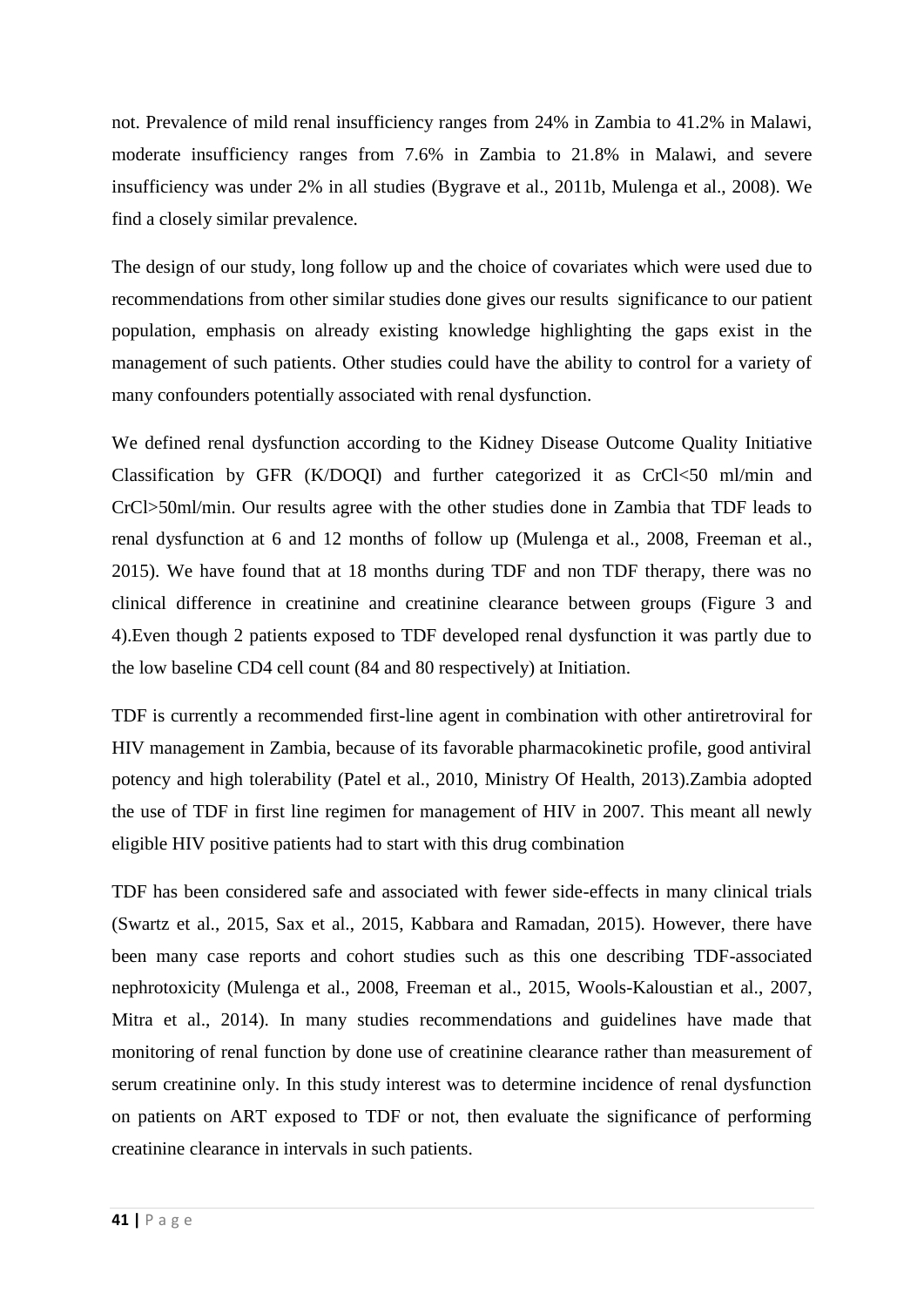not. Prevalence of mild renal insufficiency ranges from 24% in Zambia to 41.2% in Malawi, moderate insufficiency ranges from 7.6% in Zambia to 21.8% in Malawi, and severe insufficiency was under 2% in all studies [\(Bygrave et al., 2011b,](#page-46-9) [Mulenga et al., 2008\)](#page-48-1). We find a closely similar prevalence.

The design of our study, long follow up and the choice of covariates which were used due to recommendations from other similar studies done gives our results significance to our patient population, emphasis on already existing knowledge highlighting the gaps exist in the management of such patients. Other studies could have the ability to control for a variety of many confounders potentially associated with renal dysfunction.

We defined renal dysfunction according to the Kidney Disease Outcome Quality Initiative Classification by GFR (K/DOQI) and further categorized it as CrCl<50 ml/min and CrCl>50ml/min. Our results agree with the other studies done in Zambia that TDF leads to renal dysfunction at 6 and 12 months of follow up [\(Mulenga et al., 2008,](#page-48-1) [Freeman et al.,](#page-46-6)  [2015\)](#page-46-6). We have found that at 18 months during TDF and non TDF therapy, there was no clinical difference in creatinine and creatinine clearance between groups (Figure 3 and 4).Even though 2 patients exposed to TDF developed renal dysfunction it was partly due to the low baseline CD4 cell count (84 and 80 respectively) at Initiation.

TDF is currently a recommended first-line agent in combination with other antiretroviral for HIV management in Zambia, because of its favorable pharmacokinetic profile, good antiviral potency and high tolerability [\(Patel et al., 2010,](#page-48-3) [Ministry Of Health, 2013\)](#page-47-7).Zambia adopted the use of TDF in first line regimen for management of HIV in 2007. This meant all newly eligible HIV positive patients had to start with this drug combination

TDF has been considered safe and associated with fewer side-effects in many clinical trials [\(Swartz et al., 2015,](#page-49-6) [Sax et al., 2015,](#page-48-8) [Kabbara and Ramadan, 2015\)](#page-47-8). However, there have been many case reports and cohort studies such as this one describing TDF-associated nephrotoxicity [\(Mulenga et al., 2008,](#page-48-1) [Freeman et al., 2015,](#page-46-6) [Wools-Kaloustian et al., 2007,](#page-49-0) [Mitra et al., 2014\)](#page-47-4). In many studies recommendations and guidelines have made that monitoring of renal function by done use of creatinine clearance rather than measurement of serum creatinine only. In this study interest was to determine incidence of renal dysfunction on patients on ART exposed to TDF or not, then evaluate the significance of performing creatinine clearance in intervals in such patients.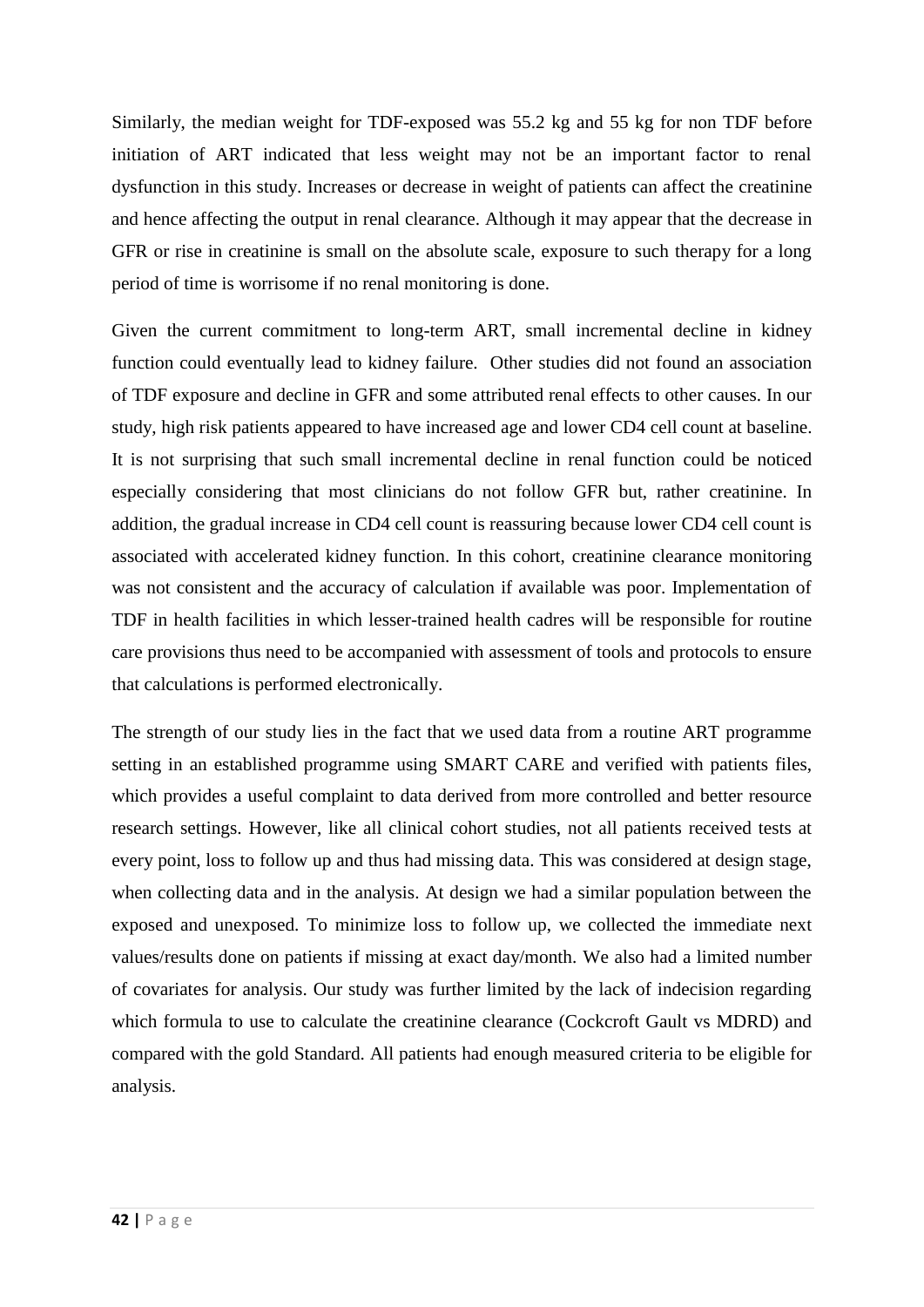Similarly, the median weight for TDF-exposed was 55.2 kg and 55 kg for non TDF before initiation of ART indicated that less weight may not be an important factor to renal dysfunction in this study. Increases or decrease in weight of patients can affect the creatinine and hence affecting the output in renal clearance. Although it may appear that the decrease in GFR or rise in creatinine is small on the absolute scale, exposure to such therapy for a long period of time is worrisome if no renal monitoring is done.

Given the current commitment to long-term ART, small incremental decline in kidney function could eventually lead to kidney failure. Other studies did not found an association of TDF exposure and decline in GFR and some attributed renal effects to other causes. In our study, high risk patients appeared to have increased age and lower CD4 cell count at baseline. It is not surprising that such small incremental decline in renal function could be noticed especially considering that most clinicians do not follow GFR but, rather creatinine. In addition, the gradual increase in CD4 cell count is reassuring because lower CD4 cell count is associated with accelerated kidney function. In this cohort, creatinine clearance monitoring was not consistent and the accuracy of calculation if available was poor. Implementation of TDF in health facilities in which lesser-trained health cadres will be responsible for routine care provisions thus need to be accompanied with assessment of tools and protocols to ensure that calculations is performed electronically.

The strength of our study lies in the fact that we used data from a routine ART programme setting in an established programme using SMART CARE and verified with patients files, which provides a useful complaint to data derived from more controlled and better resource research settings. However, like all clinical cohort studies, not all patients received tests at every point, loss to follow up and thus had missing data. This was considered at design stage, when collecting data and in the analysis. At design we had a similar population between the exposed and unexposed. To minimize loss to follow up, we collected the immediate next values/results done on patients if missing at exact day/month. We also had a limited number of covariates for analysis. Our study was further limited by the lack of indecision regarding which formula to use to calculate the creatinine clearance (Cockcroft Gault vs MDRD) and compared with the gold Standard. All patients had enough measured criteria to be eligible for analysis.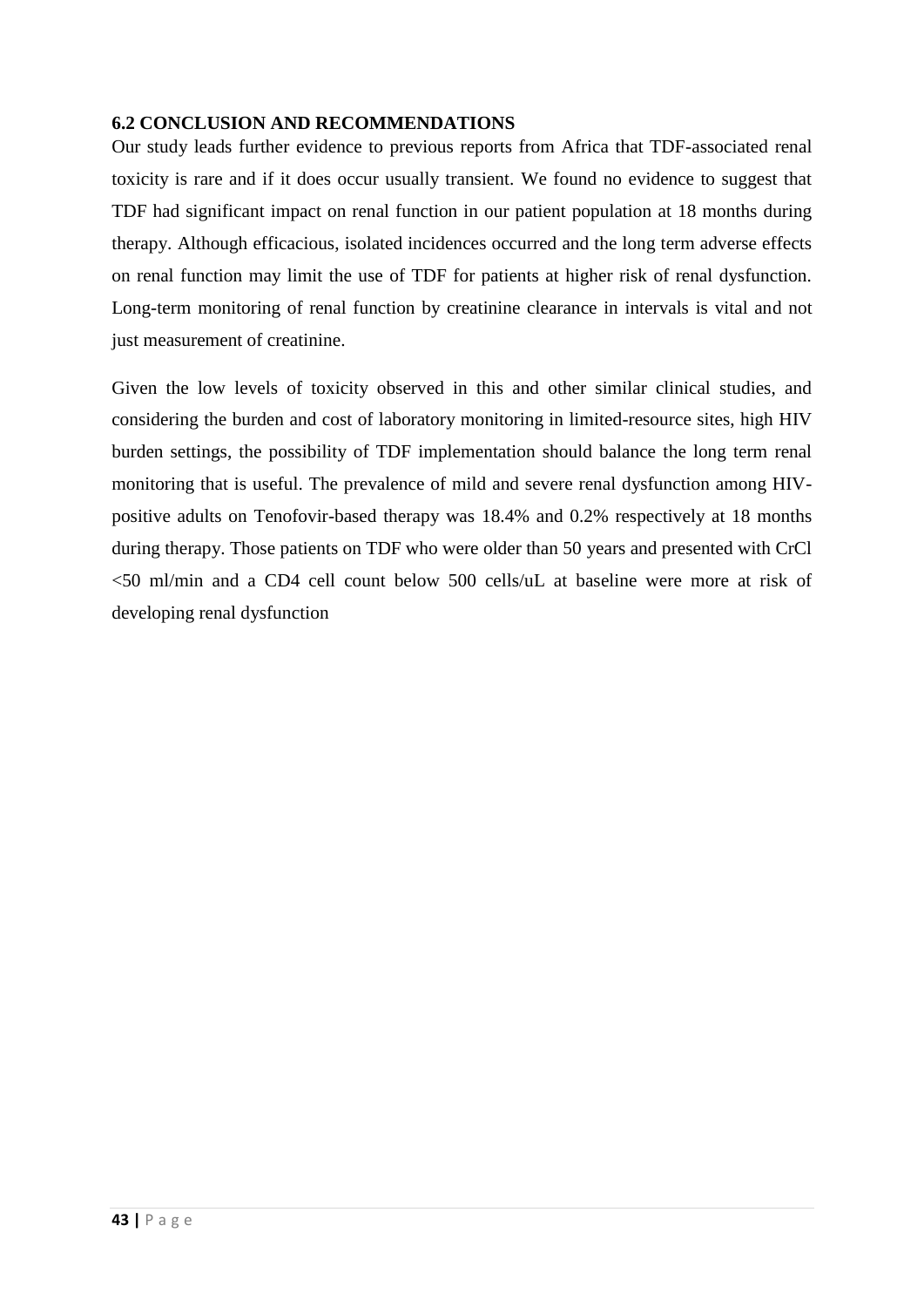### <span id="page-45-0"></span>**6.2 CONCLUSION AND RECOMMENDATIONS**

Our study leads further evidence to previous reports from Africa that TDF-associated renal toxicity is rare and if it does occur usually transient. We found no evidence to suggest that TDF had significant impact on renal function in our patient population at 18 months during therapy. Although efficacious, isolated incidences occurred and the long term adverse effects on renal function may limit the use of TDF for patients at higher risk of renal dysfunction. Long-term monitoring of renal function by creatinine clearance in intervals is vital and not just measurement of creatinine.

Given the low levels of toxicity observed in this and other similar clinical studies, and considering the burden and cost of laboratory monitoring in limited-resource sites, high HIV burden settings, the possibility of TDF implementation should balance the long term renal monitoring that is useful. The prevalence of mild and severe renal dysfunction among HIVpositive adults on Tenofovir-based therapy was 18.4% and 0.2% respectively at 18 months during therapy. Those patients on TDF who were older than 50 years and presented with CrCl <50 ml/min and a CD4 cell count below 500 cells/uL at baseline were more at risk of developing renal dysfunction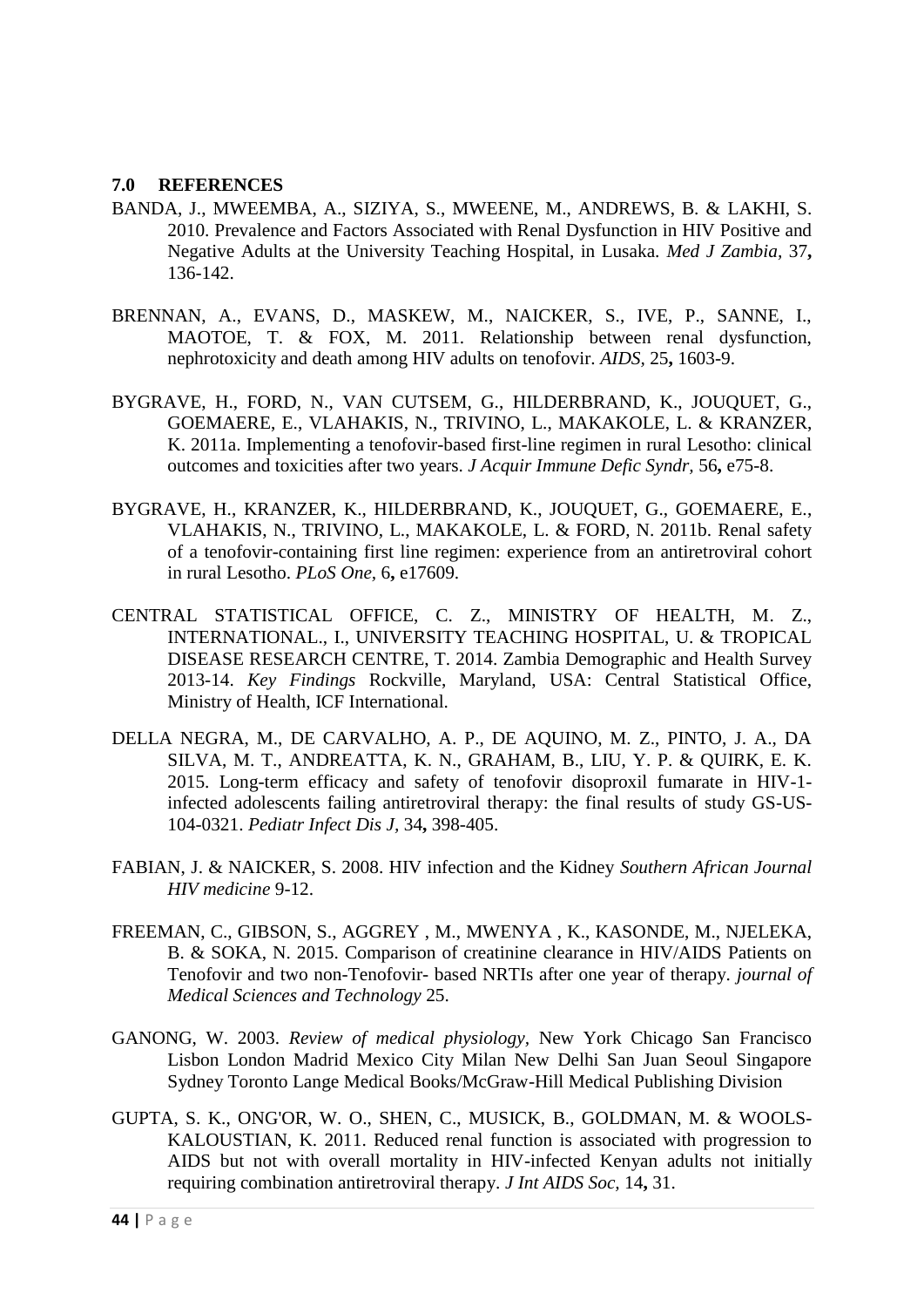### <span id="page-46-0"></span>**7.0 REFERENCES**

- <span id="page-46-2"></span>BANDA, J., MWEEMBA, A., SIZIYA, S., MWEENE, M., ANDREWS, B. & LAKHI, S. 2010. Prevalence and Factors Associated with Renal Dysfunction in HIV Positive and Negative Adults at the University Teaching Hospital, in Lusaka. *Med J Zambia,* 37**,** 136-142.
- <span id="page-46-8"></span>BRENNAN, A., EVANS, D., MASKEW, M., NAICKER, S., IVE, P., SANNE, I., MAOTOE, T. & FOX, M. 2011. Relationship between renal dysfunction, nephrotoxicity and death among HIV adults on tenofovir. *AIDS,* 25**,** 1603-9.
- <span id="page-46-10"></span>BYGRAVE, H., FORD, N., VAN CUTSEM, G., HILDERBRAND, K., JOUQUET, G., GOEMAERE, E., VLAHAKIS, N., TRIVINO, L., MAKAKOLE, L. & KRANZER, K. 2011a. Implementing a tenofovir-based first-line regimen in rural Lesotho: clinical outcomes and toxicities after two years. *J Acquir Immune Defic Syndr,* 56**,** e75-8.
- <span id="page-46-9"></span>BYGRAVE, H., KRANZER, K., HILDERBRAND, K., JOUQUET, G., GOEMAERE, E., VLAHAKIS, N., TRIVINO, L., MAKAKOLE, L. & FORD, N. 2011b. Renal safety of a tenofovir-containing first line regimen: experience from an antiretroviral cohort in rural Lesotho. *PLoS One,* 6**,** e17609.
- <span id="page-46-1"></span>CENTRAL STATISTICAL OFFICE, C. Z., MINISTRY OF HEALTH, M. Z., INTERNATIONAL., I., UNIVERSITY TEACHING HOSPITAL, U. & TROPICAL DISEASE RESEARCH CENTRE, T. 2014. Zambia Demographic and Health Survey 2013-14. *Key Findings* Rockville, Maryland, USA: Central Statistical Office, Ministry of Health, ICF International.
- <span id="page-46-3"></span>DELLA NEGRA, M., DE CARVALHO, A. P., DE AQUINO, M. Z., PINTO, J. A., DA SILVA, M. T., ANDREATTA, K. N., GRAHAM, B., LIU, Y. P. & QUIRK, E. K. 2015. Long-term efficacy and safety of tenofovir disoproxil fumarate in HIV-1 infected adolescents failing antiretroviral therapy: the final results of study GS-US-104-0321. *Pediatr Infect Dis J,* 34**,** 398-405.
- <span id="page-46-5"></span>FABIAN, J. & NAICKER, S. 2008. HIV infection and the Kidney *Southern African Journal HIV medicine* 9-12.
- <span id="page-46-6"></span>FREEMAN, C., GIBSON, S., AGGREY , M., MWENYA , K., KASONDE, M., NJELEKA, B. & SOKA, N. 2015. Comparison of creatinine clearance in HIV/AIDS Patients on Tenofovir and two non-Tenofovir- based NRTIs after one year of therapy. *journal of Medical Sciences and Technology* 25.
- <span id="page-46-7"></span>GANONG, W. 2003. *Review of medical physiology,* New York Chicago San Francisco Lisbon London Madrid Mexico City Milan New Delhi San Juan Seoul Singapore Sydney Toronto Lange Medical Books/McGraw-Hill Medical Publishing Division
- <span id="page-46-4"></span>GUPTA, S. K., ONG'OR, W. O., SHEN, C., MUSICK, B., GOLDMAN, M. & WOOLS-KALOUSTIAN, K. 2011. Reduced renal function is associated with progression to AIDS but not with overall mortality in HIV-infected Kenyan adults not initially requiring combination antiretroviral therapy. *J Int AIDS Soc,* 14**,** 31.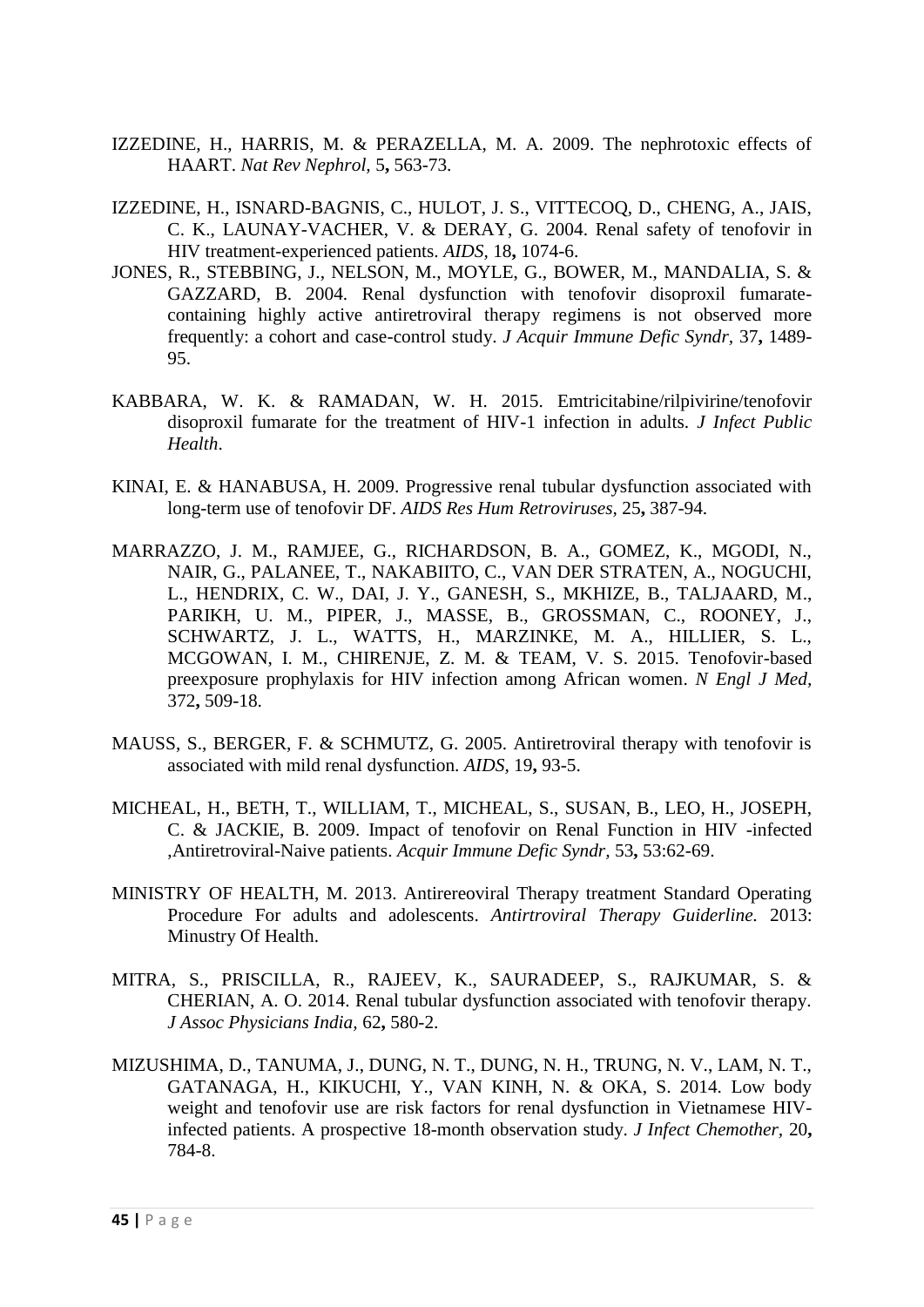- <span id="page-47-0"></span>IZZEDINE, H., HARRIS, M. & PERAZELLA, M. A. 2009. The nephrotoxic effects of HAART. *Nat Rev Nephrol,* 5**,** 563-73.
- <span id="page-47-3"></span>IZZEDINE, H., ISNARD-BAGNIS, C., HULOT, J. S., VITTECOQ, D., CHENG, A., JAIS, C. K., LAUNAY-VACHER, V. & DERAY, G. 2004. Renal safety of tenofovir in HIV treatment-experienced patients. *AIDS,* 18**,** 1074-6.
- <span id="page-47-9"></span>JONES, R., STEBBING, J., NELSON, M., MOYLE, G., BOWER, M., MANDALIA, S. & GAZZARD, B. 2004. Renal dysfunction with tenofovir disoproxil fumaratecontaining highly active antiretroviral therapy regimens is not observed more frequently: a cohort and case-control study. *J Acquir Immune Defic Syndr,* 37**,** 1489- 95.
- <span id="page-47-8"></span>KABBARA, W. K. & RAMADAN, W. H. 2015. Emtricitabine/rilpivirine/tenofovir disoproxil fumarate for the treatment of HIV-1 infection in adults. *J Infect Public Health*.
- <span id="page-47-6"></span>KINAI, E. & HANABUSA, H. 2009. Progressive renal tubular dysfunction associated with long-term use of tenofovir DF. *AIDS Res Hum Retroviruses,* 25**,** 387-94.
- <span id="page-47-5"></span>MARRAZZO, J. M., RAMJEE, G., RICHARDSON, B. A., GOMEZ, K., MGODI, N., NAIR, G., PALANEE, T., NAKABIITO, C., VAN DER STRATEN, A., NOGUCHI, L., HENDRIX, C. W., DAI, J. Y., GANESH, S., MKHIZE, B., TALJAARD, M., PARIKH, U. M., PIPER, J., MASSE, B., GROSSMAN, C., ROONEY, J., SCHWARTZ, J. L., WATTS, H., MARZINKE, M. A., HILLIER, S. L., MCGOWAN, I. M., CHIRENJE, Z. M. & TEAM, V. S. 2015. Tenofovir-based preexposure prophylaxis for HIV infection among African women. *N Engl J Med,* 372**,** 509-18.
- <span id="page-47-1"></span>MAUSS, S., BERGER, F. & SCHMUTZ, G. 2005. Antiretroviral therapy with tenofovir is associated with mild renal dysfunction. *AIDS,* 19**,** 93-5.
- <span id="page-47-10"></span>MICHEAL, H., BETH, T., WILLIAM, T., MICHEAL, S., SUSAN, B., LEO, H., JOSEPH, C. & JACKIE, B. 2009. Impact of tenofovir on Renal Function in HIV -infected ,Antiretroviral-Naive patients. *Acquir Immune Defic Syndr,* 53**,** 53:62-69.
- <span id="page-47-7"></span>MINISTRY OF HEALTH, M. 2013. Antirereoviral Therapy treatment Standard Operating Procedure For adults and adolescents. *Antirtroviral Therapy Guiderline.* 2013: Minustry Of Health.
- <span id="page-47-4"></span>MITRA, S., PRISCILLA, R., RAJEEV, K., SAURADEEP, S., RAJKUMAR, S. & CHERIAN, A. O. 2014. Renal tubular dysfunction associated with tenofovir therapy. *J Assoc Physicians India,* 62**,** 580-2.
- <span id="page-47-2"></span>MIZUSHIMA, D., TANUMA, J., DUNG, N. T., DUNG, N. H., TRUNG, N. V., LAM, N. T., GATANAGA, H., KIKUCHI, Y., VAN KINH, N. & OKA, S. 2014. Low body weight and tenofovir use are risk factors for renal dysfunction in Vietnamese HIVinfected patients. A prospective 18-month observation study. *J Infect Chemother,* 20**,** 784-8.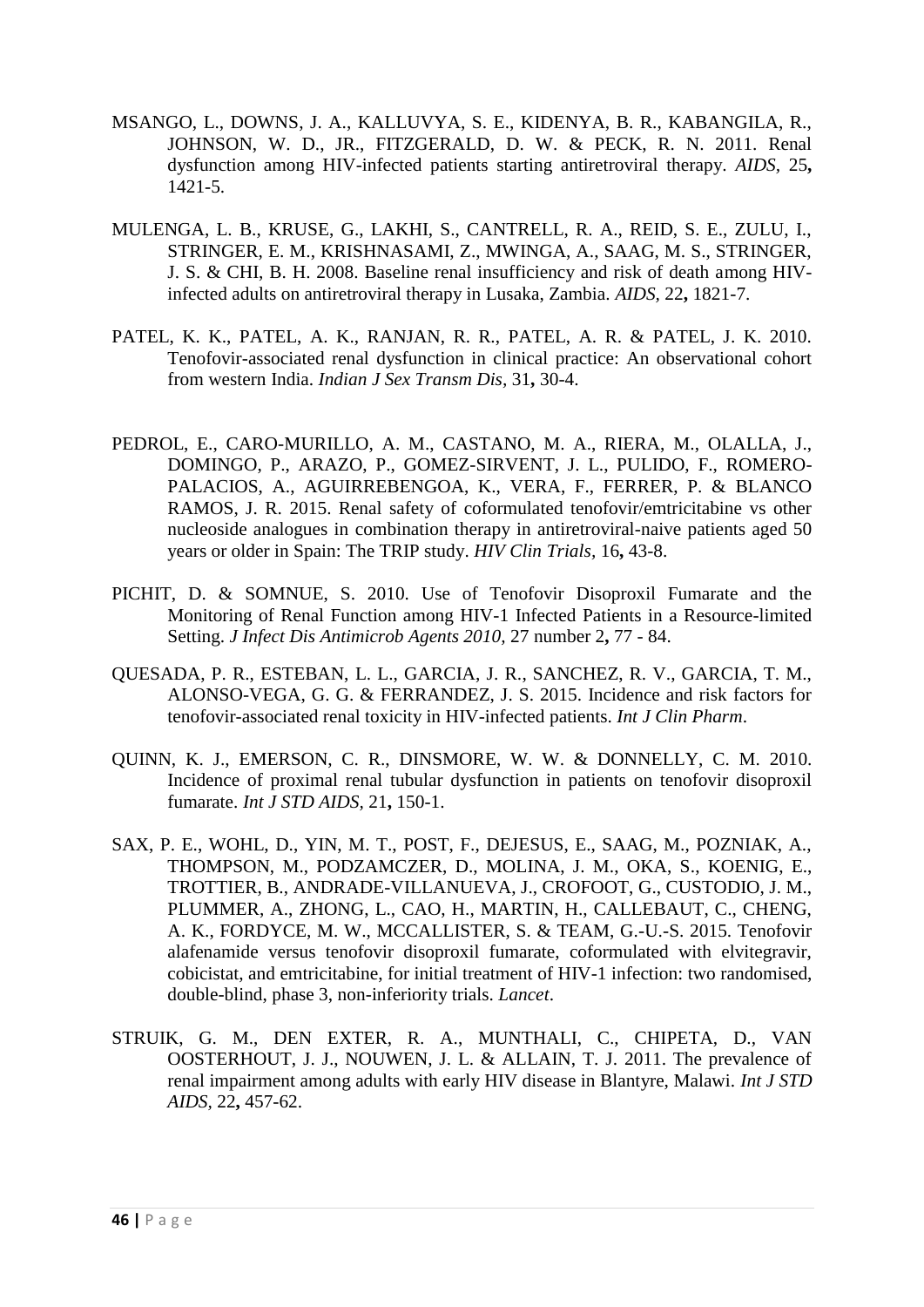- <span id="page-48-5"></span>MSANGO, L., DOWNS, J. A., KALLUVYA, S. E., KIDENYA, B. R., KABANGILA, R., JOHNSON, W. D., JR., FITZGERALD, D. W. & PECK, R. N. 2011. Renal dysfunction among HIV-infected patients starting antiretroviral therapy. *AIDS,* 25**,** 1421-5.
- <span id="page-48-1"></span>MULENGA, L. B., KRUSE, G., LAKHI, S., CANTRELL, R. A., REID, S. E., ZULU, I., STRINGER, E. M., KRISHNASAMI, Z., MWINGA, A., SAAG, M. S., STRINGER, J. S. & CHI, B. H. 2008. Baseline renal insufficiency and risk of death among HIVinfected adults on antiretroviral therapy in Lusaka, Zambia. *AIDS,* 22**,** 1821-7.
- <span id="page-48-3"></span>PATEL, K. K., PATEL, A. K., RANJAN, R. R., PATEL, A. R. & PATEL, J. K. 2010. Tenofovir-associated renal dysfunction in clinical practice: An observational cohort from western India. *Indian J Sex Transm Dis,* 31**,** 30-4.
- <span id="page-48-7"></span>PEDROL, E., CARO-MURILLO, A. M., CASTANO, M. A., RIERA, M., OLALLA, J., DOMINGO, P., ARAZO, P., GOMEZ-SIRVENT, J. L., PULIDO, F., ROMERO-PALACIOS, A., AGUIRREBENGOA, K., VERA, F., FERRER, P. & BLANCO RAMOS, J. R. 2015. Renal safety of coformulated tenofovir/emtricitabine vs other nucleoside analogues in combination therapy in antiretroviral-naive patients aged 50 years or older in Spain: The TRIP study. *HIV Clin Trials,* 16**,** 43-8.
- <span id="page-48-6"></span>PICHIT, D. & SOMNUE, S. 2010. Use of Tenofovir Disoproxil Fumarate and the Monitoring of Renal Function among HIV-1 Infected Patients in a Resource-limited Setting. *J Infect Dis Antimicrob Agents 2010,* 27 number 2**,** 77 - 84.
- <span id="page-48-2"></span>QUESADA, P. R., ESTEBAN, L. L., GARCIA, J. R., SANCHEZ, R. V., GARCIA, T. M., ALONSO-VEGA, G. G. & FERRANDEZ, J. S. 2015. Incidence and risk factors for tenofovir-associated renal toxicity in HIV-infected patients. *Int J Clin Pharm*.
- <span id="page-48-4"></span>QUINN, K. J., EMERSON, C. R., DINSMORE, W. W. & DONNELLY, C. M. 2010. Incidence of proximal renal tubular dysfunction in patients on tenofovir disoproxil fumarate. *Int J STD AIDS,* 21**,** 150-1.
- <span id="page-48-8"></span>SAX, P. E., WOHL, D., YIN, M. T., POST, F., DEJESUS, E., SAAG, M., POZNIAK, A., THOMPSON, M., PODZAMCZER, D., MOLINA, J. M., OKA, S., KOENIG, E., TROTTIER, B., ANDRADE-VILLANUEVA, J., CROFOOT, G., CUSTODIO, J. M., PLUMMER, A., ZHONG, L., CAO, H., MARTIN, H., CALLEBAUT, C., CHENG, A. K., FORDYCE, M. W., MCCALLISTER, S. & TEAM, G.-U.-S. 2015. Tenofovir alafenamide versus tenofovir disoproxil fumarate, coformulated with elvitegravir, cobicistat, and emtricitabine, for initial treatment of HIV-1 infection: two randomised, double-blind, phase 3, non-inferiority trials. *Lancet*.
- <span id="page-48-0"></span>STRUIK, G. M., DEN EXTER, R. A., MUNTHALI, C., CHIPETA, D., VAN OOSTERHOUT, J. J., NOUWEN, J. L. & ALLAIN, T. J. 2011. The prevalence of renal impairment among adults with early HIV disease in Blantyre, Malawi. *Int J STD AIDS,* 22**,** 457-62.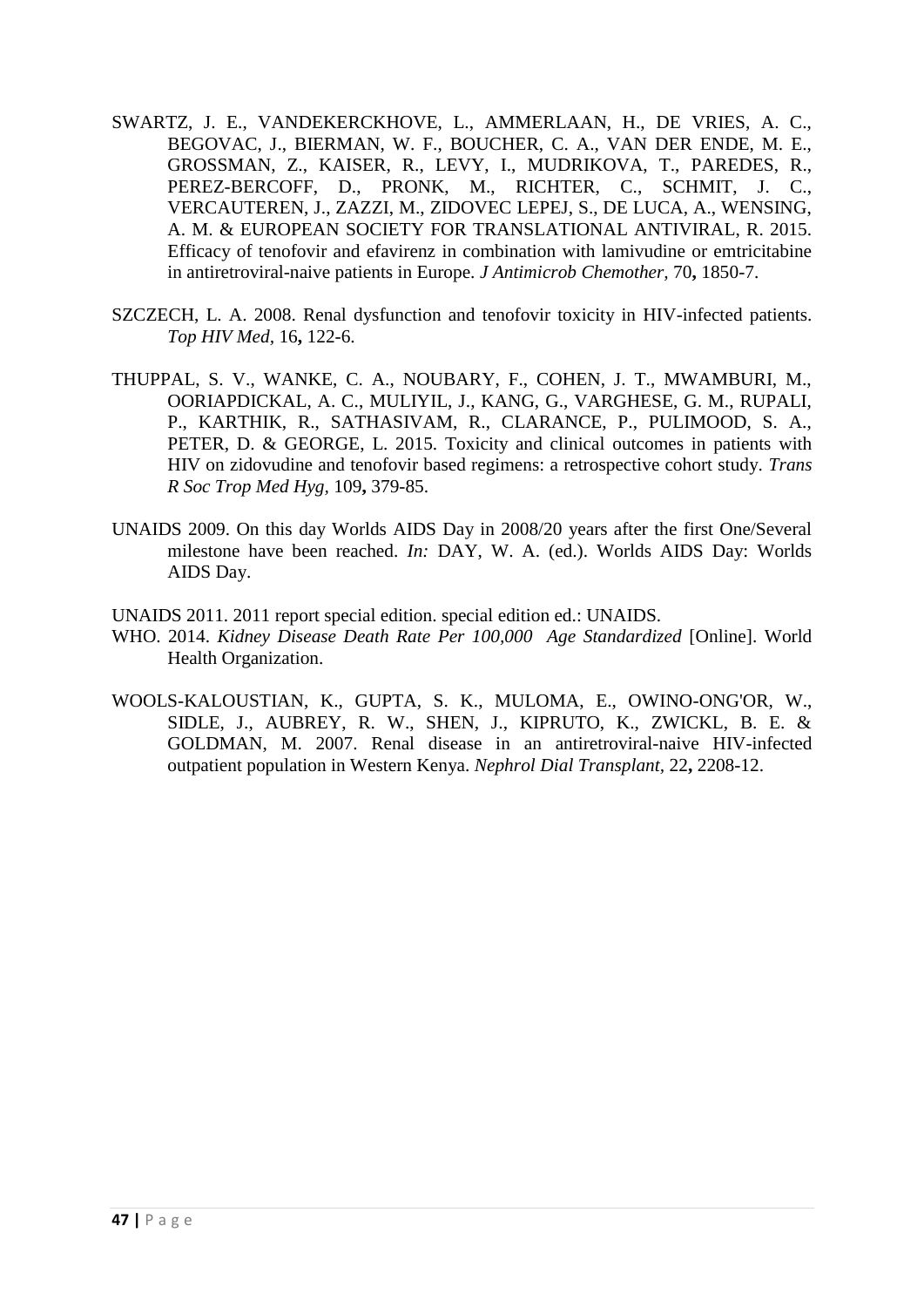- <span id="page-49-6"></span>SWARTZ, J. E., VANDEKERCKHOVE, L., AMMERLAAN, H., DE VRIES, A. C., BEGOVAC, J., BIERMAN, W. F., BOUCHER, C. A., VAN DER ENDE, M. E., GROSSMAN, Z., KAISER, R., LEVY, I., MUDRIKOVA, T., PAREDES, R., PEREZ-BERCOFF, D., PRONK, M., RICHTER, C., SCHMIT, J. C., VERCAUTEREN, J., ZAZZI, M., ZIDOVEC LEPEJ, S., DE LUCA, A., WENSING, A. M. & EUROPEAN SOCIETY FOR TRANSLATIONAL ANTIVIRAL, R. 2015. Efficacy of tenofovir and efavirenz in combination with lamivudine or emtricitabine in antiretroviral-naive patients in Europe. *J Antimicrob Chemother,* 70**,** 1850-7.
- <span id="page-49-2"></span>SZCZECH, L. A. 2008. Renal dysfunction and tenofovir toxicity in HIV-infected patients. *Top HIV Med,* 16**,** 122-6.
- <span id="page-49-3"></span>THUPPAL, S. V., WANKE, C. A., NOUBARY, F., COHEN, J. T., MWAMBURI, M., OORIAPDICKAL, A. C., MULIYIL, J., KANG, G., VARGHESE, G. M., RUPALI, P., KARTHIK, R., SATHASIVAM, R., CLARANCE, P., PULIMOOD, S. A., PETER, D. & GEORGE, L. 2015. Toxicity and clinical outcomes in patients with HIV on zidovudine and tenofovir based regimens: a retrospective cohort study. *Trans R Soc Trop Med Hyg,* 109**,** 379-85.
- <span id="page-49-4"></span>UNAIDS 2009. On this day Worlds AIDS Day in 2008/20 years after the first One/Several milestone have been reached. *In:* DAY, W. A. (ed.). Worlds AIDS Day: Worlds AIDS Day.
- <span id="page-49-1"></span>UNAIDS 2011. 2011 report special edition. special edition ed.: UNAIDS.
- <span id="page-49-5"></span>WHO. 2014. *Kidney Disease Death Rate Per 100,000 Age Standardized* [Online]. World Health Organization.
- <span id="page-49-0"></span>WOOLS-KALOUSTIAN, K., GUPTA, S. K., MULOMA, E., OWINO-ONG'OR, W., SIDLE, J., AUBREY, R. W., SHEN, J., KIPRUTO, K., ZWICKL, B. E. & GOLDMAN, M. 2007. Renal disease in an antiretroviral-naive HIV-infected outpatient population in Western Kenya. *Nephrol Dial Transplant,* 22**,** 2208-12.